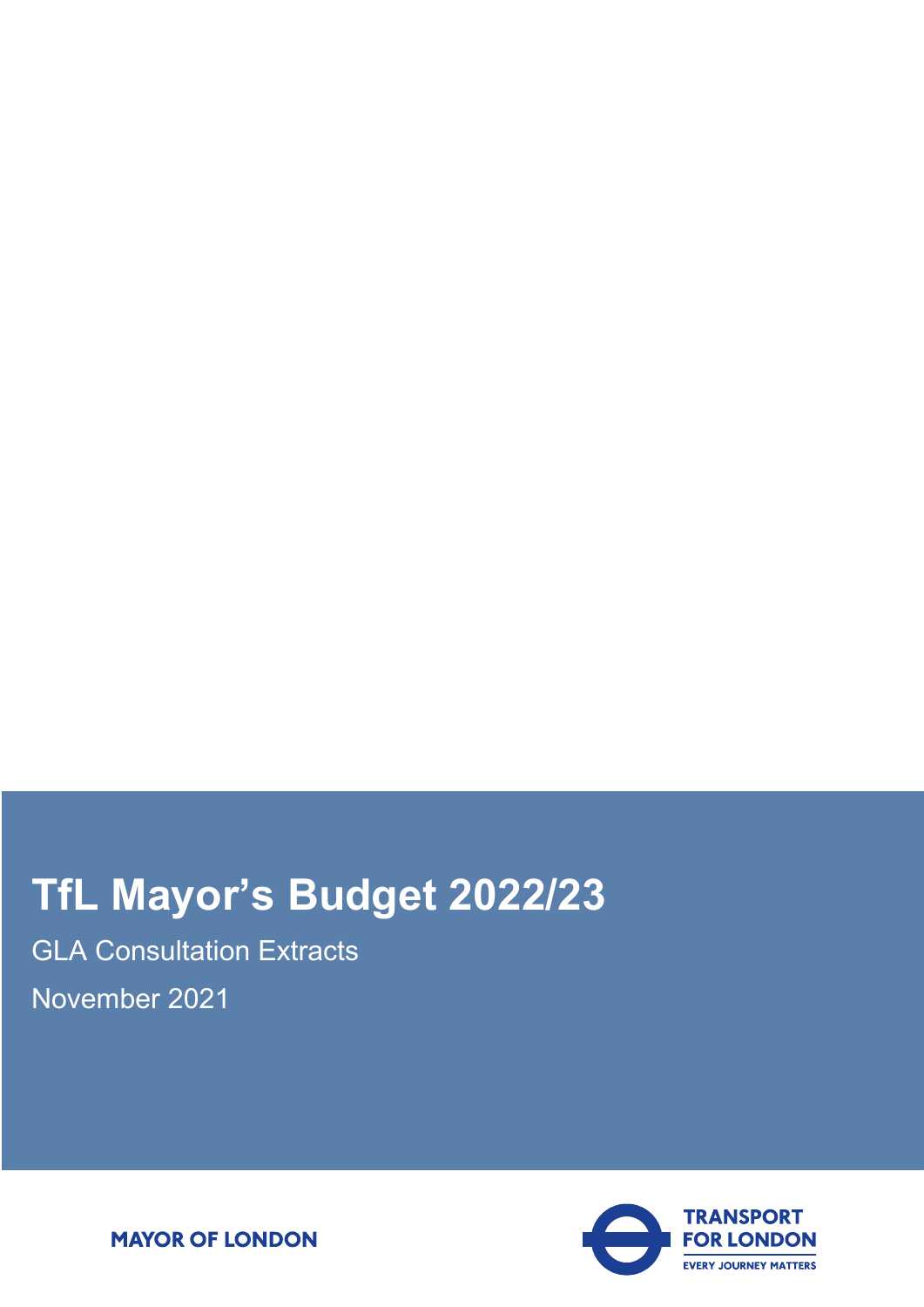# **TfL Mayor's Budget 2022/23**

GLA Consultation Extracts November 2021



**MAYOR OF LONDON**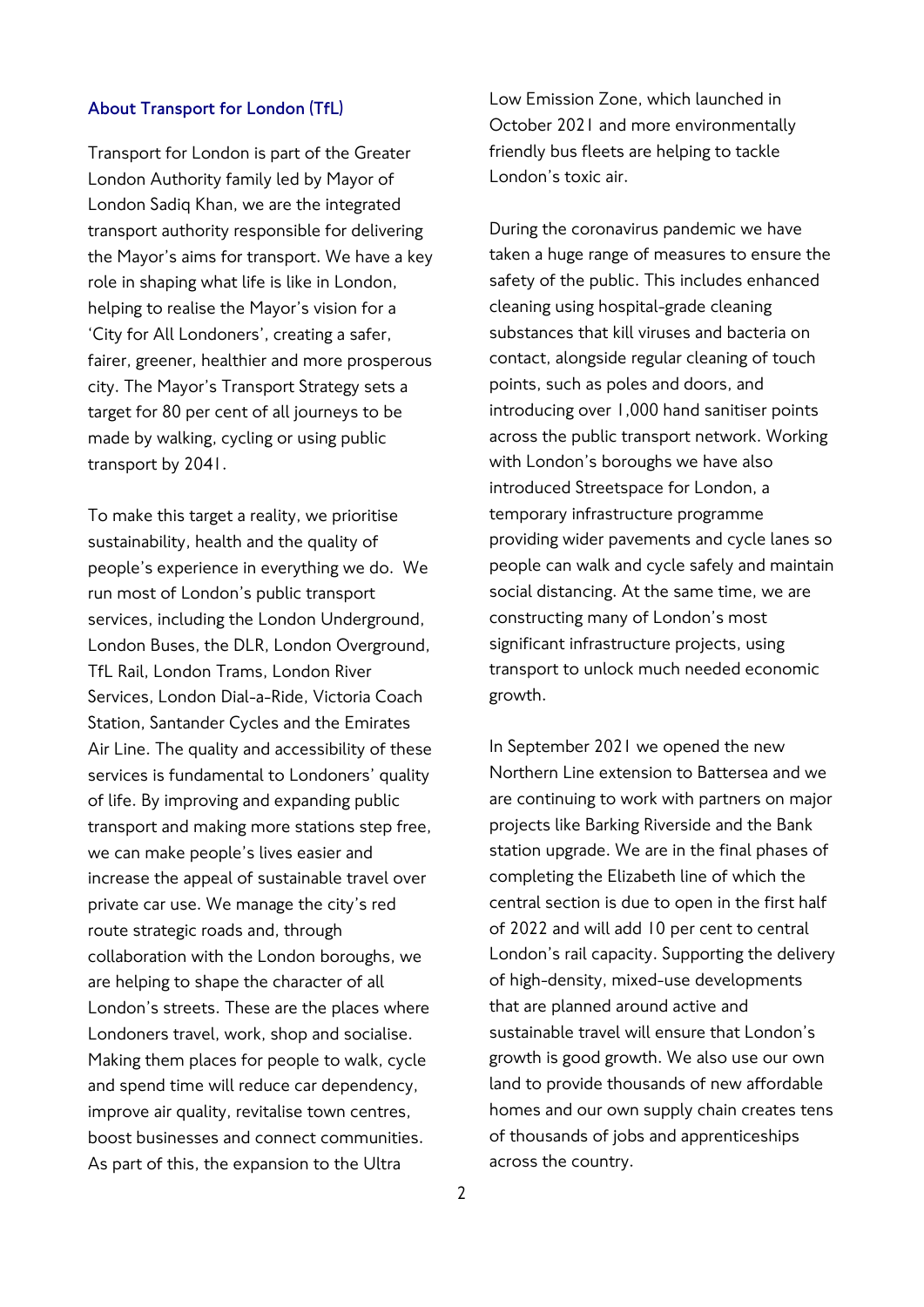#### **About Transport for London (TfL)**

Transport for London is part of the Greater London Authority family led by Mayor of London Sadiq Khan, we are the integrated transport authority responsible for delivering the Mayor's aims for transport. We have a key role in shaping what life is like in London, helping to realise the Mayor's vision for a 'City for All Londoners', creating a safer, fairer, greener, healthier and more prosperous city. The Mayor's Transport Strategy sets a target for 80 per cent of all journeys to be made by walking, cycling or using public transport by 2041.

To make this target a reality, we prioritise sustainability, health and the quality of people's experience in everything we do. We run most of London's public transport services, including the London Underground, London Buses, the DLR, London Overground, TfL Rail, London Trams, London River Services, London Dial-a-Ride, Victoria Coach Station, Santander Cycles and the Emirates Air Line. The quality and accessibility of these services is fundamental to Londoners' quality of life. By improving and expanding public transport and making more stations step free, we can make people's lives easier and increase the appeal of sustainable travel over private car use. We manage the city's red route strategic roads and, through collaboration with the London boroughs, we are helping to shape the character of all London's streets. These are the places where Londoners travel, work, shop and socialise. Making them places for people to walk, cycle and spend time will reduce car dependency, improve air quality, revitalise town centres, boost businesses and connect communities. As part of this, the expansion to the Ultra

Low Emission Zone, which launched in October 2021 and more environmentally friendly bus fleets are helping to tackle London's toxic air.

During the coronavirus pandemic we have taken a huge range of measures to ensure the safety of the public. This includes enhanced cleaning using hospital-grade cleaning substances that kill viruses and bacteria on contact, alongside regular cleaning of touch points, such as poles and doors, and introducing over 1,000 hand sanitiser points across the public transport network. Working with London's boroughs we have also introduced Streetspace for London, a temporary infrastructure programme providing wider pavements and cycle lanes so people can walk and cycle safely and maintain social distancing. At the same time, we are constructing many of London's most significant infrastructure projects, using transport to unlock much needed economic growth.

In September 2021 we opened the new Northern Line extension to Battersea and we are continuing to work with partners on major projects like Barking Riverside and the Bank station upgrade. We are in the final phases of completing the Elizabeth line of which the central section is due to open in the first half of 2022 and will add 10 per cent to central London's rail capacity. Supporting the delivery of high-density, mixed-use developments that are planned around active and sustainable travel will ensure that London's growth is good growth. We also use our own land to provide thousands of new affordable homes and our own supply chain creates tens of thousands of jobs and apprenticeships across the country.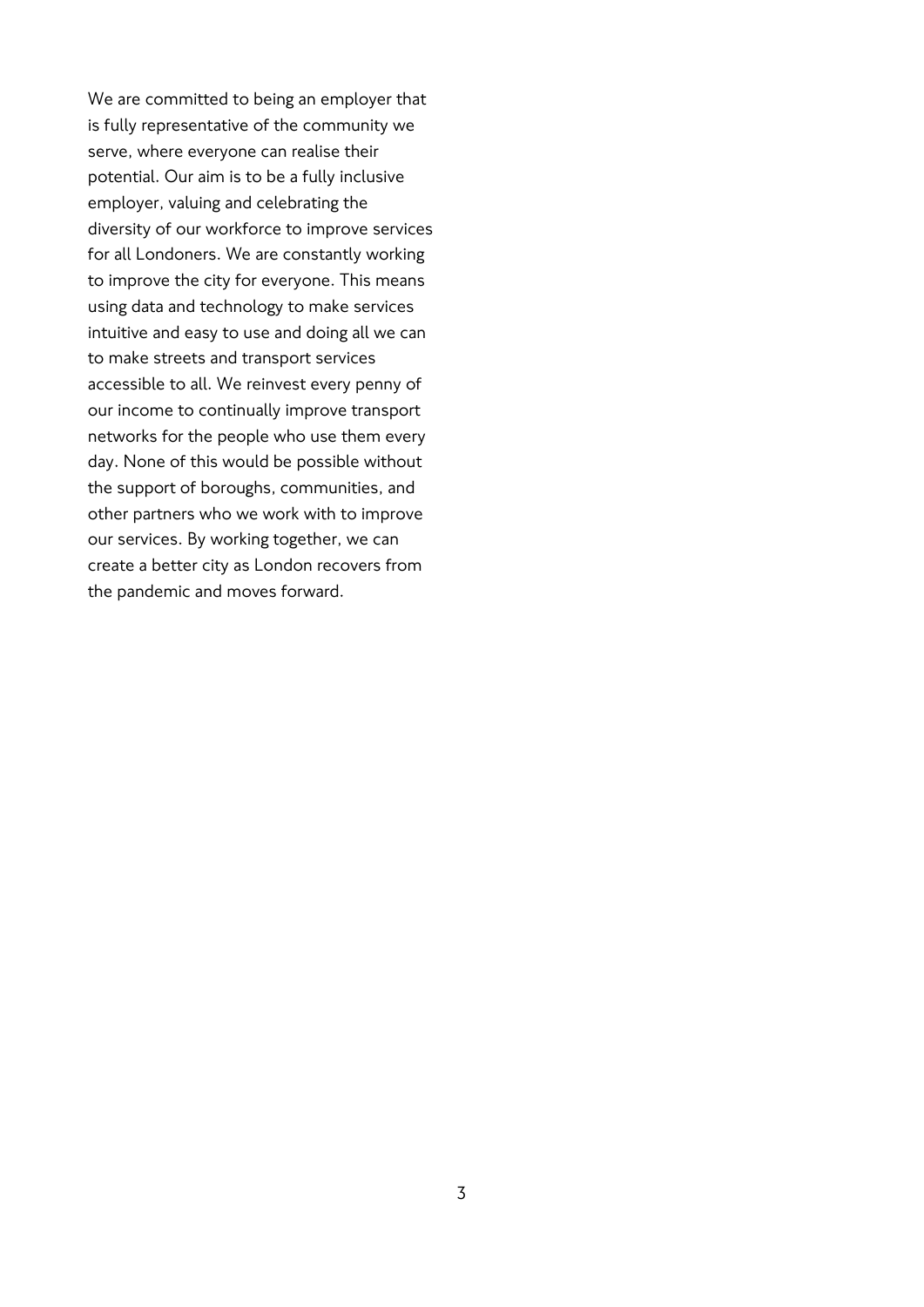We are committed to being an employer that is fully representative of the community we serve, where everyone can realise their potential. Our aim is to be a fully inclusive employer, valuing and celebrating the diversity of our workforce to improve services for all Londoners. We are constantly working to improve the city for everyone. This means using data and technology to make services intuitive and easy to use and doing all we can to make streets and transport services accessible to all. We reinvest every penny of our income to continually improve transport networks for the people who use them every day. None of this would be possible without the support of boroughs, communities, and other partners who we work with to improve our services. By working together, we can create a better city as London recovers from the pandemic and moves forward.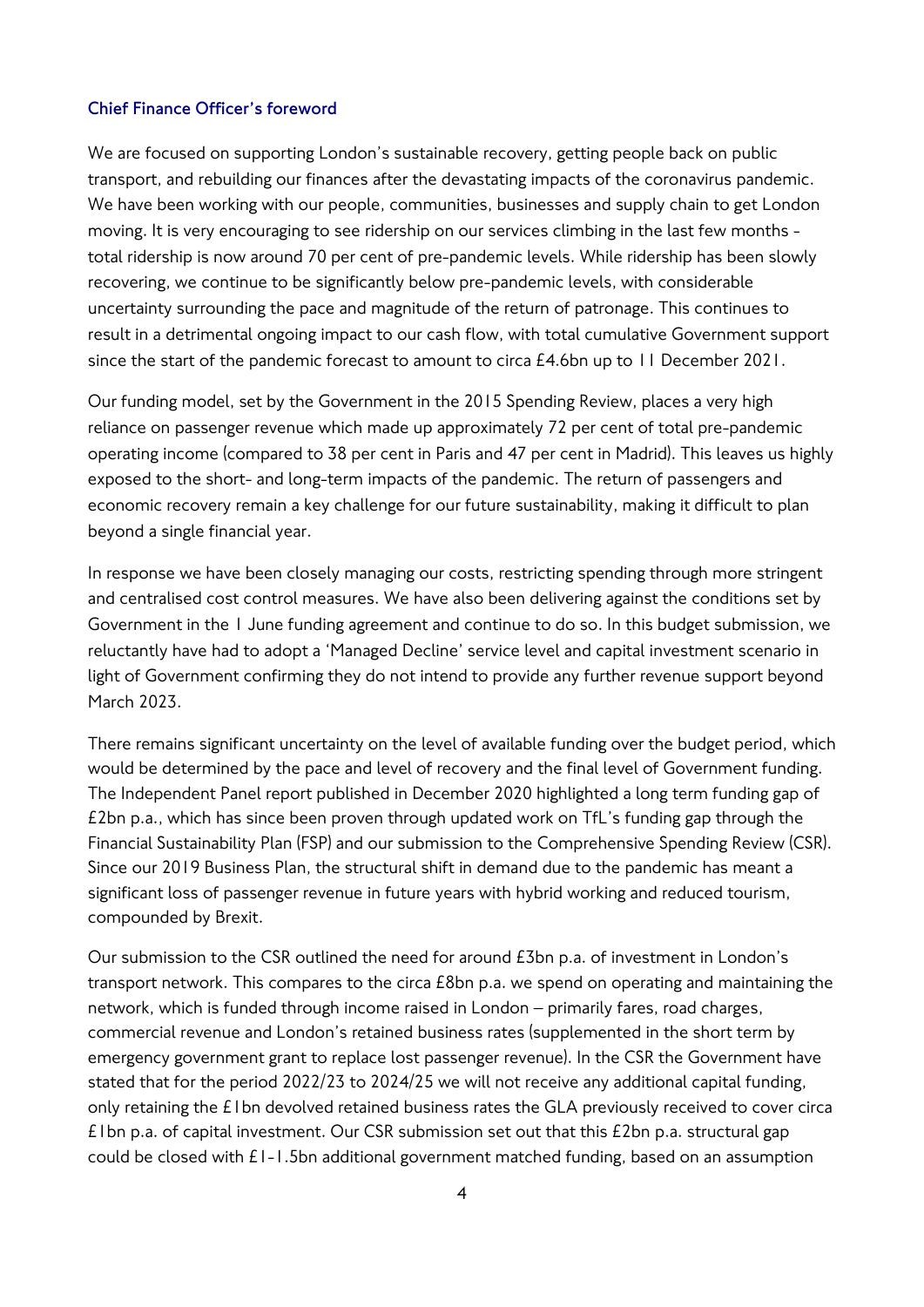#### **Chief Finance Officer's foreword**

We are focused on supporting London's sustainable recovery, getting people back on public transport, and rebuilding our finances after the devastating impacts of the coronavirus pandemic. We have been working with our people, communities, businesses and supply chain to get London moving. It is very encouraging to see ridership on our services climbing in the last few months total ridership is now around 70 per cent of pre-pandemic levels. While ridership has been slowly recovering, we continue to be significantly below pre-pandemic levels, with considerable uncertainty surrounding the pace and magnitude of the return of patronage. This continues to result in a detrimental ongoing impact to our cash flow, with total cumulative Government support since the start of the pandemic forecast to amount to circa £4.6bn up to 11 December 2021.

Our funding model, set by the Government in the 2015 Spending Review, places a very high reliance on passenger revenue which made up approximately 72 per cent of total pre-pandemic operating income (compared to 38 per cent in Paris and 47 per cent in Madrid). This leaves us highly exposed to the short- and long-term impacts of the pandemic. The return of passengers and economic recovery remain a key challenge for our future sustainability, making it difficult to plan beyond a single financial year.

In response we have been closely managing our costs, restricting spending through more stringent and centralised cost control measures. We have also been delivering against the conditions set by Government in the 1 June funding agreement and continue to do so. In this budget submission, we reluctantly have had to adopt a 'Managed Decline' service level and capital investment scenario in light of Government confirming they do not intend to provide any further revenue support beyond March 2023.

There remains significant uncertainty on the level of available funding over the budget period, which would be determined by the pace and level of recovery and the final level of Government funding. The Independent Panel report published in December 2020 highlighted a long term funding gap of £2bn p.a., which has since been proven through updated work on TfL's funding gap through the Financial Sustainability Plan (FSP) and our submission to the Comprehensive Spending Review (CSR). Since our 2019 Business Plan, the structural shift in demand due to the pandemic has meant a significant loss of passenger revenue in future years with hybrid working and reduced tourism, compounded by Brexit.

Our submission to the CSR outlined the need for around £3bn p.a. of investment in London's transport network. This compares to the circa £8bn p.a. we spend on operating and maintaining the network, which is funded through income raised in London – primarily fares, road charges, commercial revenue and London's retained business rates (supplemented in the short term by emergency government grant to replace lost passenger revenue). In the CSR the Government have stated that for the period 2022/23 to 2024/25 we will not receive any additional capital funding, only retaining the £1bn devolved retained business rates the GLA previously received to cover circa  $£1$  bn p.a. of capital investment. Our CSR submission set out that this  $£2$  bn p.a. structural gap could be closed with £1-1.5bn additional government matched funding, based on an assumption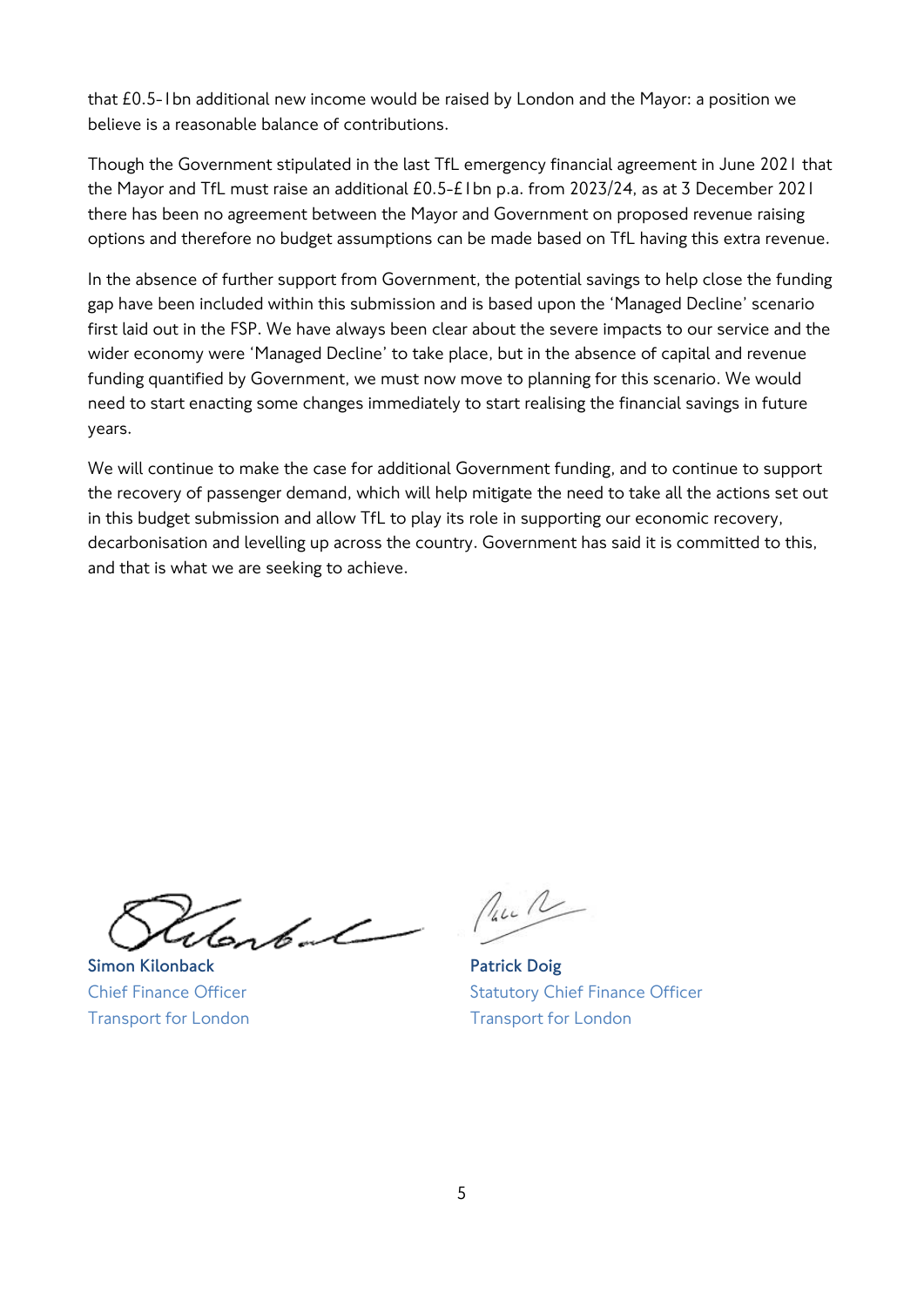that £0.5-1bn additional new income would be raised by London and the Mayor: a position we believe is a reasonable balance of contributions.

Though the Government stipulated in the last TfL emergency financial agreement in June 2021 that the Mayor and TfL must raise an additional £0.5-£1bn p.a. from 2023/24, as at 3 December 2021 there has been no agreement between the Mayor and Government on proposed revenue raising options and therefore no budget assumptions can be made based on TfL having this extra revenue.

In the absence of further support from Government, the potential savings to help close the funding gap have been included within this submission and is based upon the 'Managed Decline' scenario first laid out in the FSP. We have always been clear about the severe impacts to our service and the wider economy were 'Managed Decline' to take place, but in the absence of capital and revenue funding quantified by Government, we must now move to planning for this scenario. We would need to start enacting some changes immediately to start realising the financial savings in future years.

We will continue to make the case for additional Government funding, and to continue to support the recovery of passenger demand, which will help mitigate the need to take all the actions set out in this budget submission and allow TfL to play its role in supporting our economic recovery, decarbonisation and levelling up across the country. Government has said it is committed to this, and that is what we are seeking to achieve.

enb-L

**Simon Kilonback Patrick Doig**

Paul

Chief Finance Officer **Statutory Chief Finance Officer** Statutory Chief Finance Officer Transport for London Transport for London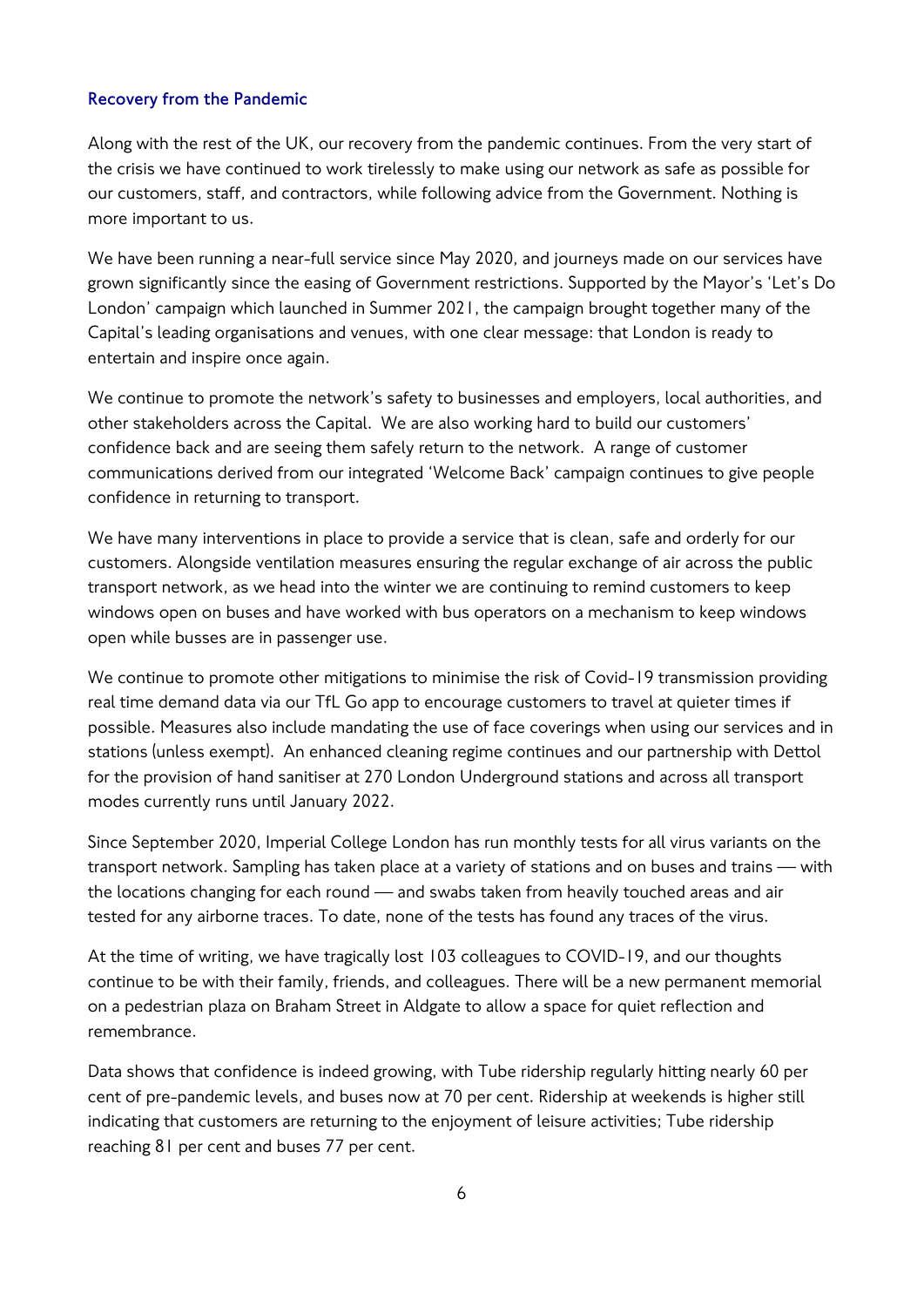## **Recovery from the Pandemic**

Along with the rest of the UK, our recovery from the pandemic continues. From the very start of the crisis we have continued to work tirelessly to make using our network as safe as possible for our customers, staff, and contractors, while following advice from the Government. Nothing is more important to us.

We have been running a near-full service since May 2020, and journeys made on our services have grown significantly since the easing of Government restrictions. Supported by the Mayor's 'Let's Do London' campaign which launched in Summer 2021, the campaign brought together many of the Capital's leading organisations and venues, with one clear message: that London is ready to entertain and inspire once again.

We continue to promote the network's safety to businesses and employers, local authorities, and other stakeholders across the Capital. We are also working hard to build our customers' confidence back and are seeing them safely return to the network. A range of customer communications derived from our integrated 'Welcome Back' campaign continues to give people confidence in returning to transport.

We have many interventions in place to provide a service that is clean, safe and orderly for our customers. Alongside ventilation measures ensuring the regular exchange of air across the public transport network, as we head into the winter we are continuing to remind customers to keep windows open on buses and have worked with bus operators on a mechanism to keep windows open while busses are in passenger use.

We continue to promote other mitigations to minimise the risk of Covid-19 transmission providing real time demand data via our TfL Go app to encourage customers to travel at quieter times if possible. Measures also include mandating the use of face coverings when using our services and in stations (unless exempt). An enhanced cleaning regime continues and our partnership with Dettol for the provision of hand sanitiser at 270 London Underground stations and across all transport modes currently runs until January 2022.

Since September 2020, Imperial College London has run monthly tests for all virus variants on the transport network. Sampling has taken place at a variety of stations and on buses and trains — with the locations changing for each round — and swabs taken from heavily touched areas and air tested for any airborne traces. To date, none of the tests has found any traces of the virus.

At the time of writing, we have tragically lost 103 colleagues to COVID-19, and our thoughts continue to be with their family, friends, and colleagues. There will be a new permanent memorial on a pedestrian plaza on Braham Street in Aldgate to allow a space for quiet reflection and remembrance.

Data shows that confidence is indeed growing, with Tube ridership regularly hitting nearly 60 per cent of pre-pandemic levels, and buses now at 70 per cent. Ridership at weekends is higher still indicating that customers are returning to the enjoyment of leisure activities; Tube ridership reaching 81 per cent and buses 77 per cent.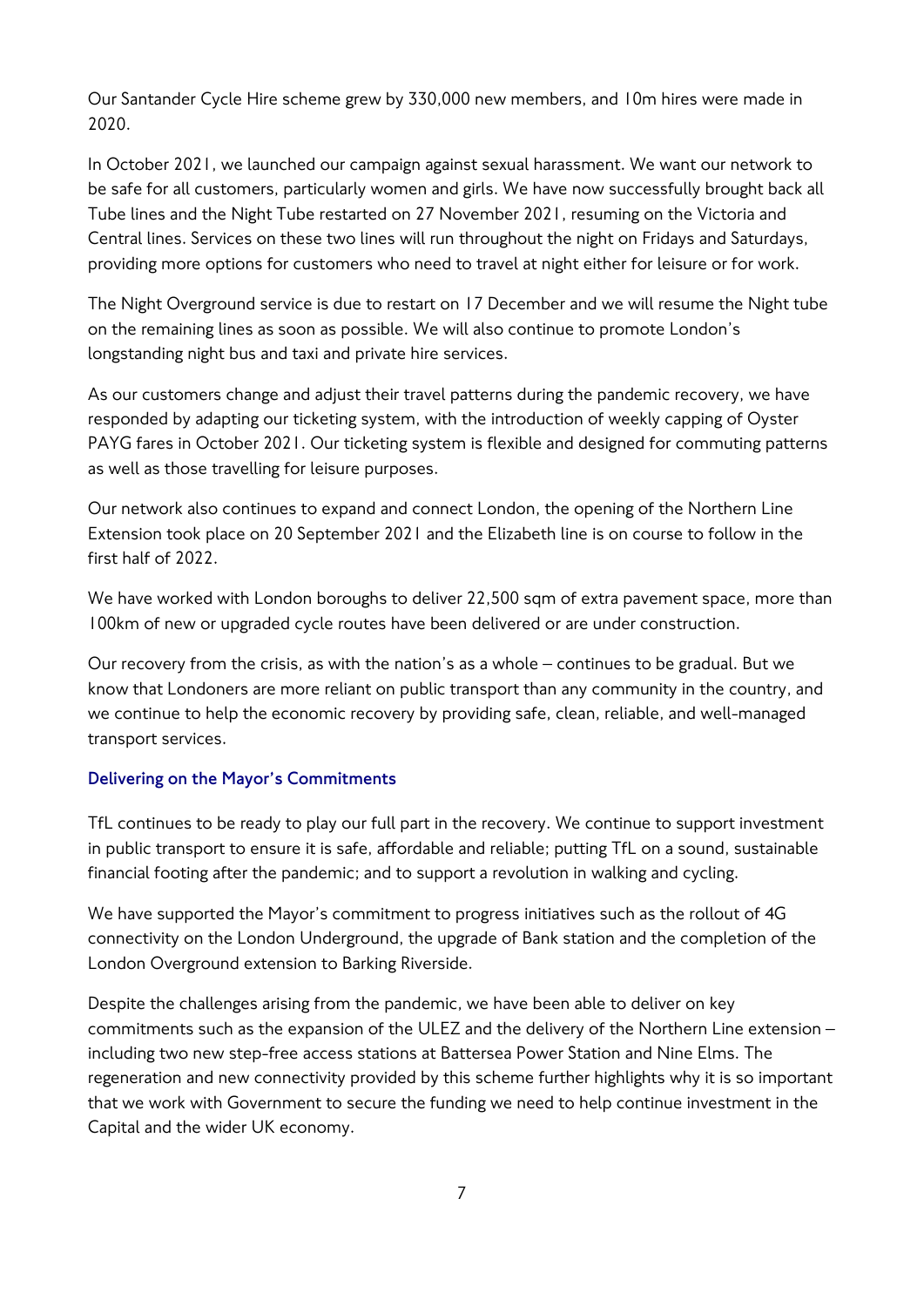Our Santander Cycle Hire scheme grew by 330,000 new members, and 10m hires were made in 2020.

In October 2021, we launched our campaign against sexual harassment. We want our network to be safe for all customers, particularly women and girls. We have now successfully brought back all Tube lines and the Night Tube restarted on 27 November 2021, resuming on the Victoria and Central lines. Services on these two lines will run throughout the night on Fridays and Saturdays, providing more options for customers who need to travel at night either for leisure or for work.

The Night Overground service is due to restart on 17 December and we will resume the Night tube on the remaining lines as soon as possible. We will also continue to promote London's longstanding night bus and taxi and private hire services.

As our customers change and adjust their travel patterns during the pandemic recovery, we have responded by adapting our ticketing system, with the introduction of weekly capping of Oyster PAYG fares in October 2021. Our ticketing system is flexible and designed for commuting patterns as well as those travelling for leisure purposes.

Our network also continues to expand and connect London, the opening of the Northern Line Extension took place on 20 September 2021 and the Elizabeth line is on course to follow in the first half of 2022.

We have worked with London boroughs to deliver 22,500 sqm of extra pavement space, more than 100km of new or upgraded cycle routes have been delivered or are under construction.

Our recovery from the crisis, as with the nation's as a whole – continues to be gradual. But we know that Londoners are more reliant on public transport than any community in the country, and we continue to help the economic recovery by providing safe, clean, reliable, and well-managed transport services.

## **Delivering on the Mayor's Commitments**

TfL continues to be ready to play our full part in the recovery. We continue to support investment in public transport to ensure it is safe, affordable and reliable; putting TfL on a sound, sustainable financial footing after the pandemic; and to support a revolution in walking and cycling.

We have supported the Mayor's commitment to progress initiatives such as the rollout of 4G connectivity on the London Underground, the upgrade of Bank station and the completion of the London Overground extension to Barking Riverside.

Despite the challenges arising from the pandemic, we have been able to deliver on key commitments such as the expansion of the ULEZ and the delivery of the Northern Line extension – including two new step-free access stations at Battersea Power Station and Nine Elms. The regeneration and new connectivity provided by this scheme further highlights why it is so important that we work with Government to secure the funding we need to help continue investment in the Capital and the wider UK economy.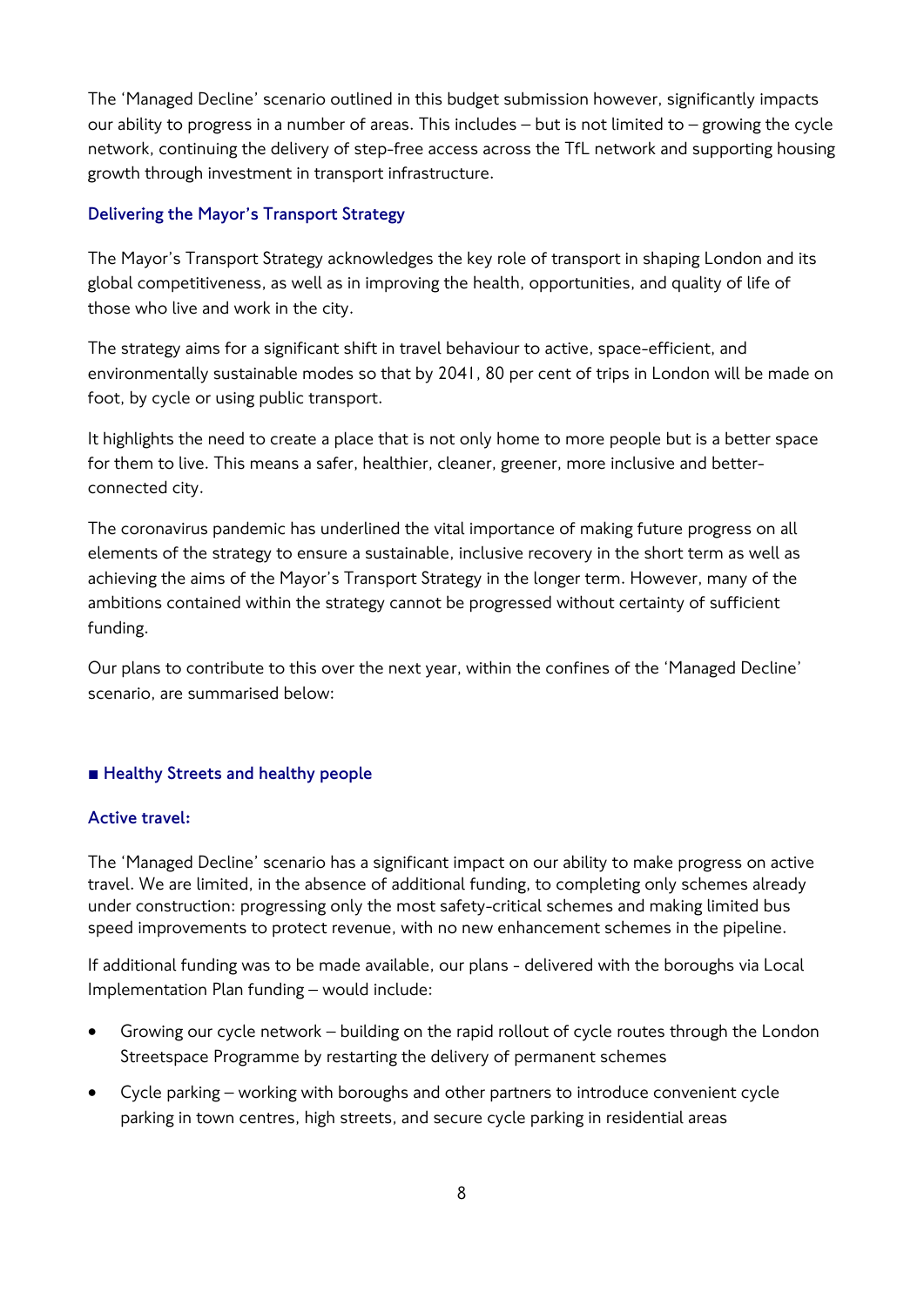The 'Managed Decline' scenario outlined in this budget submission however, significantly impacts our ability to progress in a number of areas. This includes – but is not limited to – growing the cycle network, continuing the delivery of step-free access across the TfL network and supporting housing growth through investment in transport infrastructure.

## **Delivering the Mayor's Transport Strategy**

The Mayor's Transport Strategy acknowledges the key role of transport in shaping London and its global competitiveness, as well as in improving the health, opportunities, and quality of life of those who live and work in the city.

The strategy aims for a significant shift in travel behaviour to active, space-efficient, and environmentally sustainable modes so that by 2041, 80 per cent of trips in London will be made on foot, by cycle or using public transport.

It highlights the need to create a place that is not only home to more people but is a better space for them to live. This means a safer, healthier, cleaner, greener, more inclusive and betterconnected city.

The coronavirus pandemic has underlined the vital importance of making future progress on all elements of the strategy to ensure a sustainable, inclusive recovery in the short term as well as achieving the aims of the Mayor's Transport Strategy in the longer term. However, many of the ambitions contained within the strategy cannot be progressed without certainty of sufficient funding.

Our plans to contribute to this over the next year, within the confines of the 'Managed Decline' scenario, are summarised below:

## **■ Healthy Streets and healthy people**

## **Active travel:**

The 'Managed Decline' scenario has a significant impact on our ability to make progress on active travel. We are limited, in the absence of additional funding, to completing only schemes already under construction: progressing only the most safety-critical schemes and making limited bus speed improvements to protect revenue, with no new enhancement schemes in the pipeline.

If additional funding was to be made available, our plans - delivered with the boroughs via Local Implementation Plan funding – would include:

- Growing our cycle network building on the rapid rollout of cycle routes through the London Streetspace Programme by restarting the delivery of permanent schemes
- Cycle parking working with boroughs and other partners to introduce convenient cycle parking in town centres, high streets, and secure cycle parking in residential areas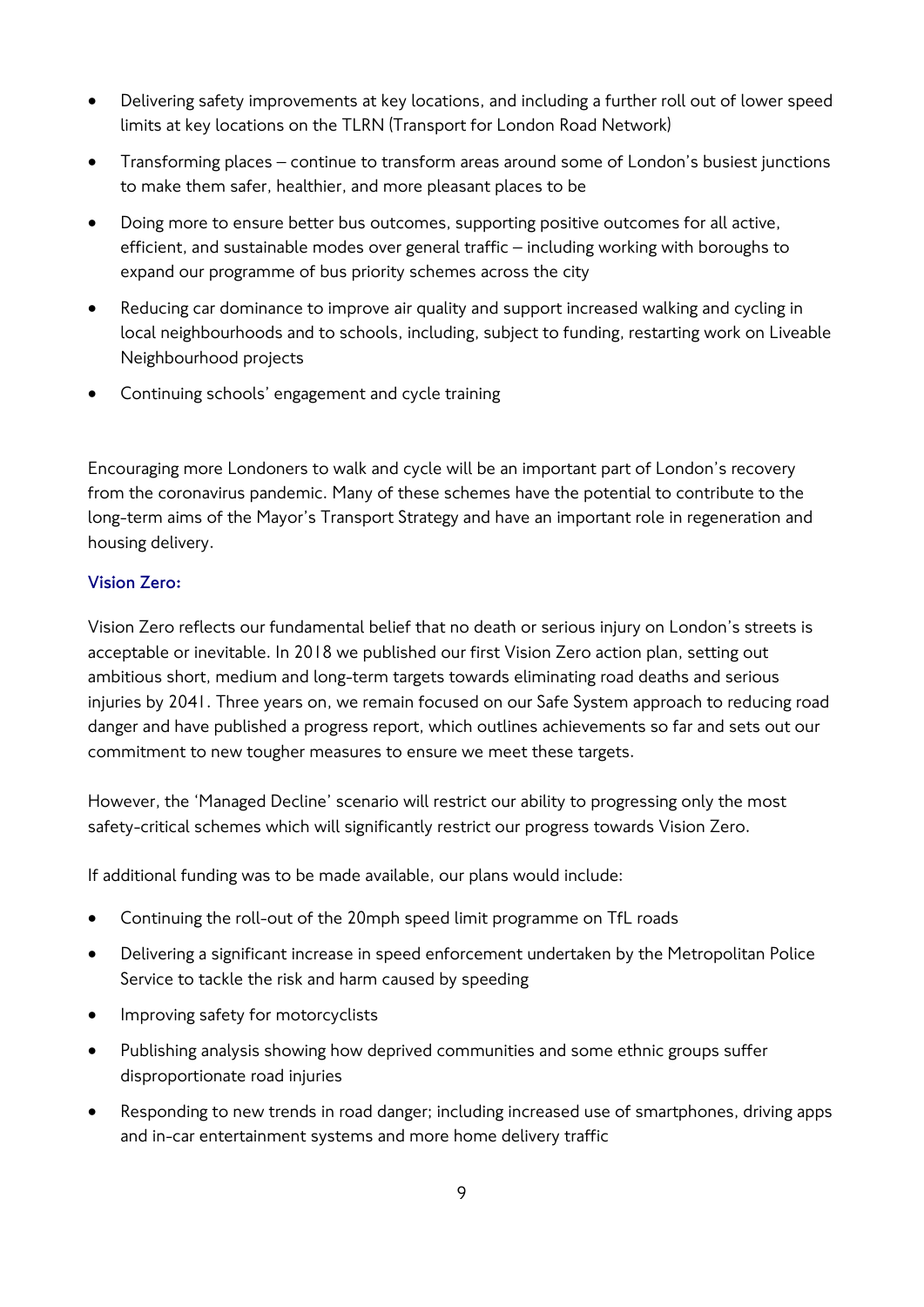- Delivering safety improvements at key locations, and including a further roll out of lower speed limits at key locations on the TLRN (Transport for London Road Network)
- Transforming places continue to transform areas around some of London's busiest junctions to make them safer, healthier, and more pleasant places to be
- Doing more to ensure better bus outcomes, supporting positive outcomes for all active, efficient, and sustainable modes over general traffic – including working with boroughs to expand our programme of bus priority schemes across the city
- Reducing car dominance to improve air quality and support increased walking and cycling in local neighbourhoods and to schools, including, subject to funding, restarting work on Liveable Neighbourhood projects
- Continuing schools' engagement and cycle training

Encouraging more Londoners to walk and cycle will be an important part of London's recovery from the coronavirus pandemic. Many of these schemes have the potential to contribute to the long-term aims of the Mayor's Transport Strategy and have an important role in regeneration and housing delivery.

## **Vision Zero:**

Vision Zero reflects our fundamental belief that no death or serious injury on London's streets is acceptable or inevitable. In 2018 we published our first Vision Zero action plan, setting out ambitious short, medium and long-term targets towards eliminating road deaths and serious injuries by 2041. Three years on, we remain focused on our Safe System approach to reducing road danger and have published a progress report, which outlines achievements so far and sets out our commitment to new tougher measures to ensure we meet these targets.

However, the 'Managed Decline' scenario will restrict our ability to progressing only the most safety-critical schemes which will significantly restrict our progress towards Vision Zero.

If additional funding was to be made available, our plans would include:

- Continuing the roll-out of the 20mph speed limit programme on TfL roads
- Delivering a significant increase in speed enforcement undertaken by the Metropolitan Police Service to tackle the risk and harm caused by speeding
- Improving safety for motorcyclists
- Publishing analysis showing how deprived communities and some ethnic groups suffer disproportionate road injuries
- Responding to new trends in road danger; including increased use of smartphones, driving apps and in-car entertainment systems and more home delivery traffic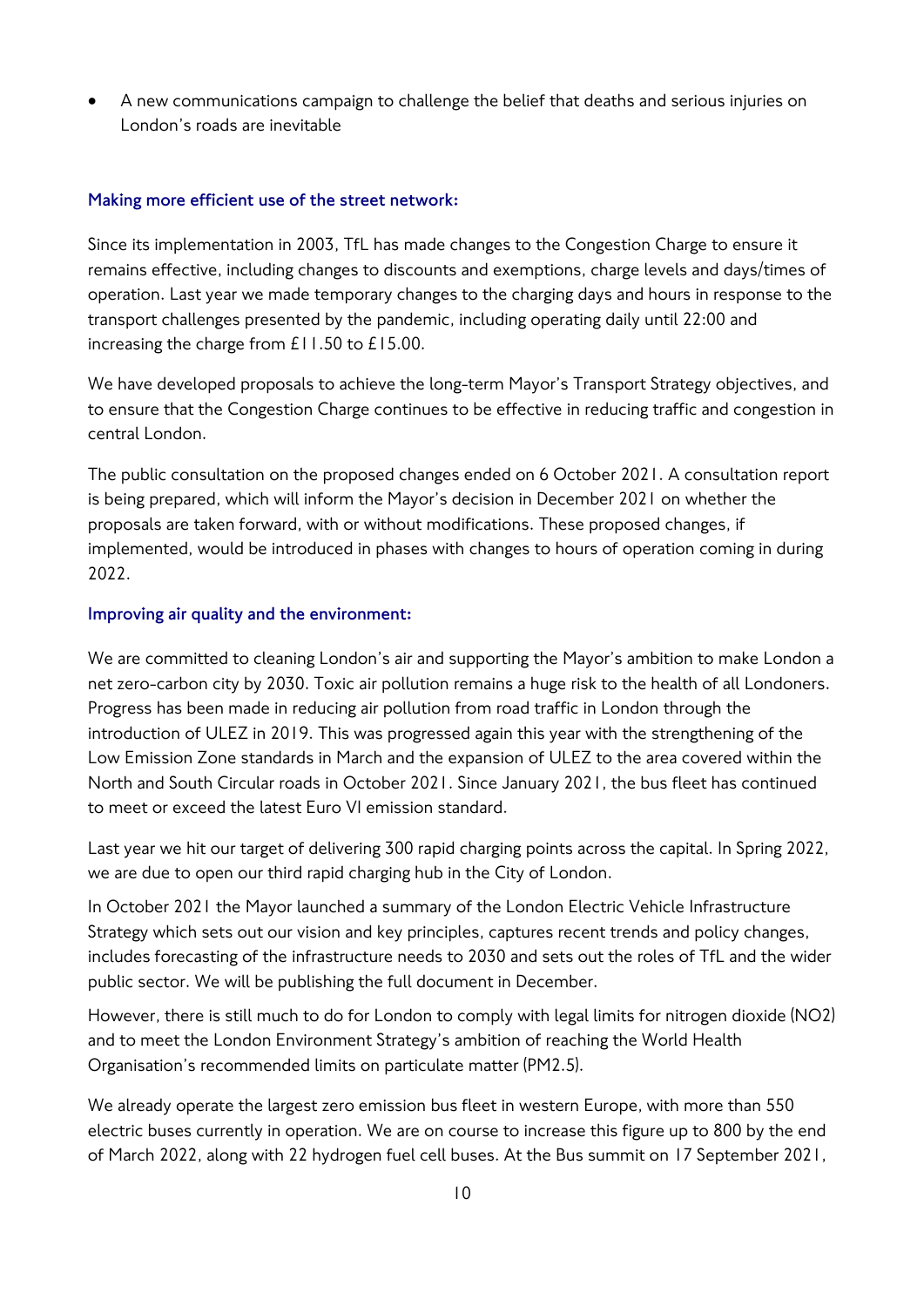• A new communications campaign to challenge the belief that deaths and serious injuries on London's roads are inevitable

#### **Making more efficient use of the street network:**

Since its implementation in 2003, TfL has made changes to the Congestion Charge to ensure it remains effective, including changes to discounts and exemptions, charge levels and days/times of operation. Last year we made temporary changes to the charging days and hours in response to the transport challenges presented by the pandemic, including operating daily until 22:00 and increasing the charge from £11.50 to £15.00.

We have developed proposals to achieve the long-term Mayor's Transport Strategy objectives, and to ensure that the Congestion Charge continues to be effective in reducing traffic and congestion in central London.

The public consultation on the proposed changes ended on 6 October 2021. A consultation report is being prepared, which will inform the Mayor's decision in December 2021 on whether the proposals are taken forward, with or without modifications. These proposed changes, if implemented, would be introduced in phases with changes to hours of operation coming in during 2022.

#### **Improving air quality and the environment:**

We are committed to cleaning London's air and supporting the Mayor's ambition to make London a net zero-carbon city by 2030. Toxic air pollution remains a huge risk to the health of all Londoners. Progress has been made in reducing air pollution from road traffic in London through the introduction of ULEZ in 2019. This was progressed again this year with the strengthening of the Low Emission Zone standards in March and the expansion of ULEZ to the area covered within the North and South Circular roads in October 2021. Since January 2021, the bus fleet has continued to meet or exceed the latest Euro VI emission standard.

Last year we hit our target of delivering 300 rapid charging points across the capital. In Spring 2022, we are due to open our third rapid charging hub in the City of London.

In October 2021 the Mayor launched a summary of the London Electric Vehicle Infrastructure Strategy which sets out our vision and key principles, captures recent trends and policy changes, includes forecasting of the infrastructure needs to 2030 and sets out the roles of TfL and the wider public sector. We will be publishing the full document in December.

However, there is still much to do for London to comply with legal limits for nitrogen dioxide (NO2) and to meet the London Environment Strategy's ambition of reaching the World Health Organisation's recommended limits on particulate matter (PM2.5).

We already operate the largest zero emission bus fleet in western Europe, with more than 550 electric buses currently in operation. We are on course to increase this figure up to 800 by the end of March 2022, along with 22 hydrogen fuel cell buses. At the Bus summit on 17 September 2021,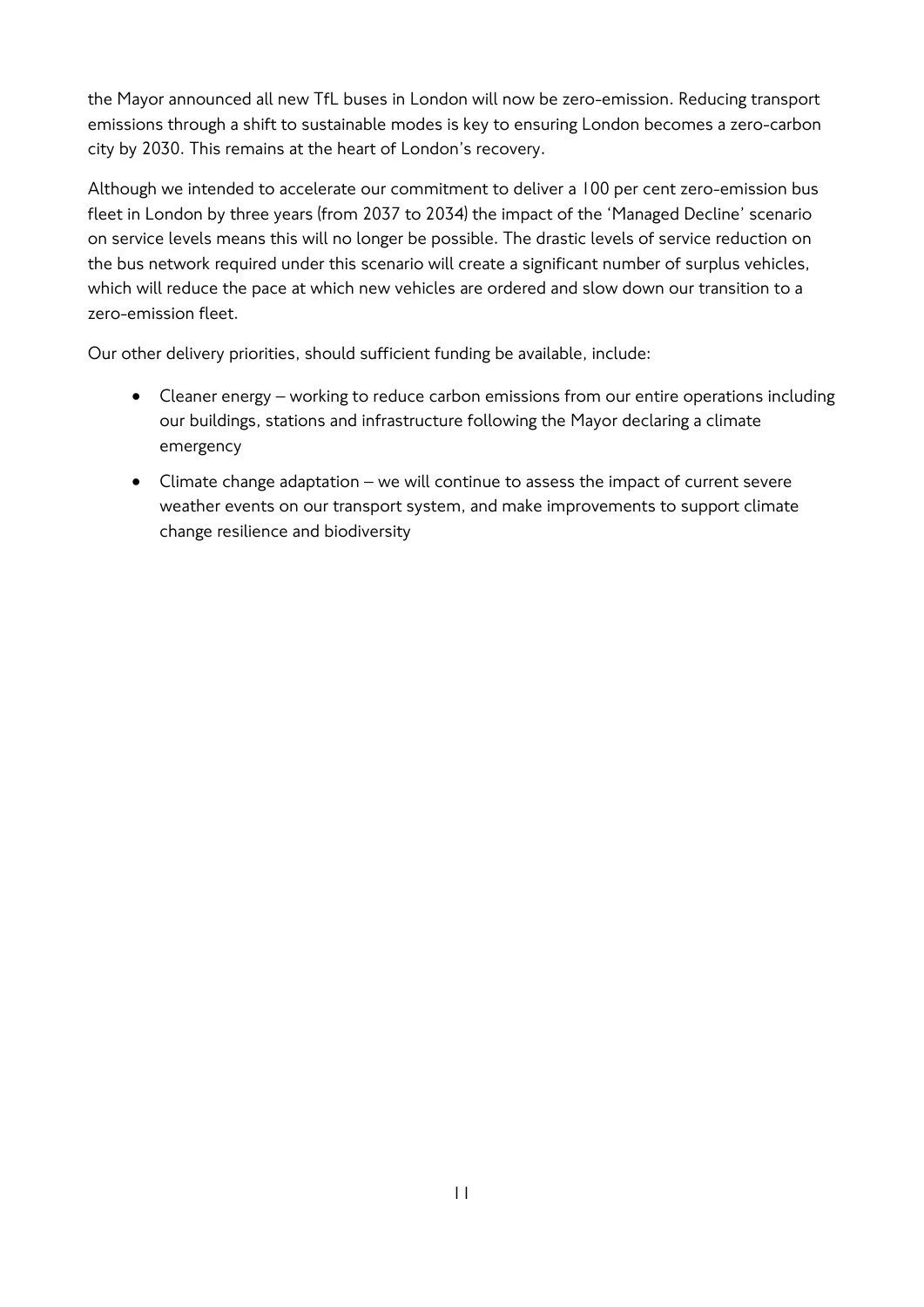the Mayor announced all new TfL buses in London will now be zero-emission. Reducing transport emissions through a shift to sustainable modes is key to ensuring London becomes a zero-carbon city by 2030. This remains at the heart of London's recovery.

Although we intended to accelerate our commitment to deliver a 100 per cent zero-emission bus fleet in London by three years (from 2037 to 2034) the impact of the 'Managed Decline' scenario on service levels means this will no longer be possible. The drastic levels of service reduction on the bus network required under this scenario will create a significant number of surplus vehicles, which will reduce the pace at which new vehicles are ordered and slow down our transition to a zero-emission fleet.

Our other delivery priorities, should sufficient funding be available, include:

- Cleaner energy working to reduce carbon emissions from our entire operations including our buildings, stations and infrastructure following the Mayor declaring a climate emergency
- Climate change adaptation we will continue to assess the impact of current severe weather events on our transport system, and make improvements to support climate change resilience and biodiversity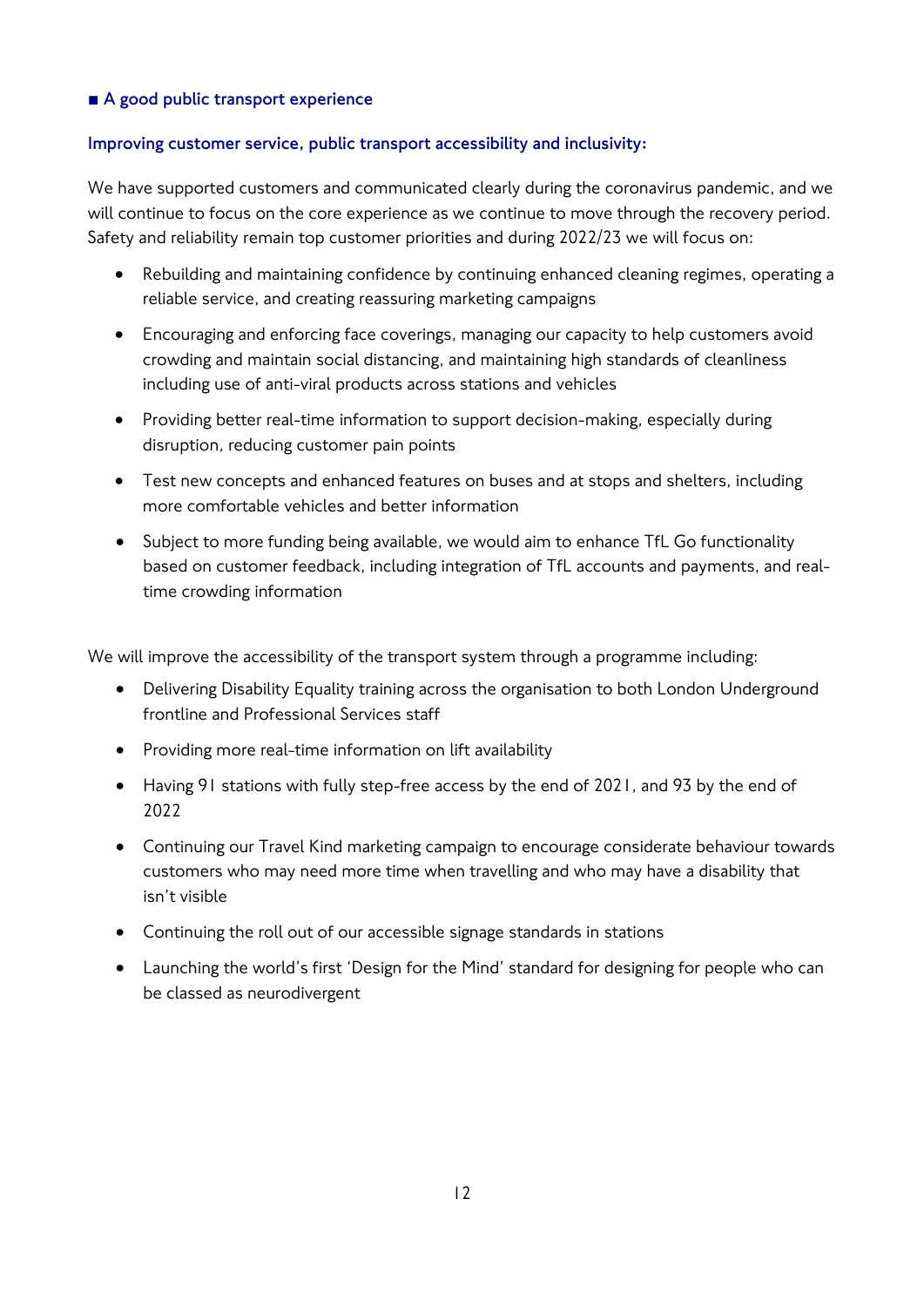## **■ A good public transport experience**

## **Improving customer service, public transport accessibility and inclusivity:**

We have supported customers and communicated clearly during the coronavirus pandemic, and we will continue to focus on the core experience as we continue to move through the recovery period. Safety and reliability remain top customer priorities and during 2022/23 we will focus on:

- Rebuilding and maintaining confidence by continuing enhanced cleaning regimes, operating a reliable service, and creating reassuring marketing campaigns
- Encouraging and enforcing face coverings, managing our capacity to help customers avoid crowding and maintain social distancing, and maintaining high standards of cleanliness including use of anti-viral products across stations and vehicles
- Providing better real-time information to support decision-making, especially during disruption, reducing customer pain points
- Test new concepts and enhanced features on buses and at stops and shelters, including more comfortable vehicles and better information
- Subject to more funding being available, we would aim to enhance TfL Go functionality based on customer feedback, including integration of TfL accounts and payments, and realtime crowding information

We will improve the accessibility of the transport system through a programme including:

- Delivering Disability Equality training across the organisation to both London Underground frontline and Professional Services staff
- Providing more real-time information on lift availability
- Having 91 stations with fully step-free access by the end of 2021, and 93 by the end of 2022
- Continuing our Travel Kind marketing campaign to encourage considerate behaviour towards customers who may need more time when travelling and who may have a disability that isn't visible
- Continuing the roll out of our accessible signage standards in stations
- Launching the world's first 'Design for the Mind' standard for designing for people who can be classed as neurodivergent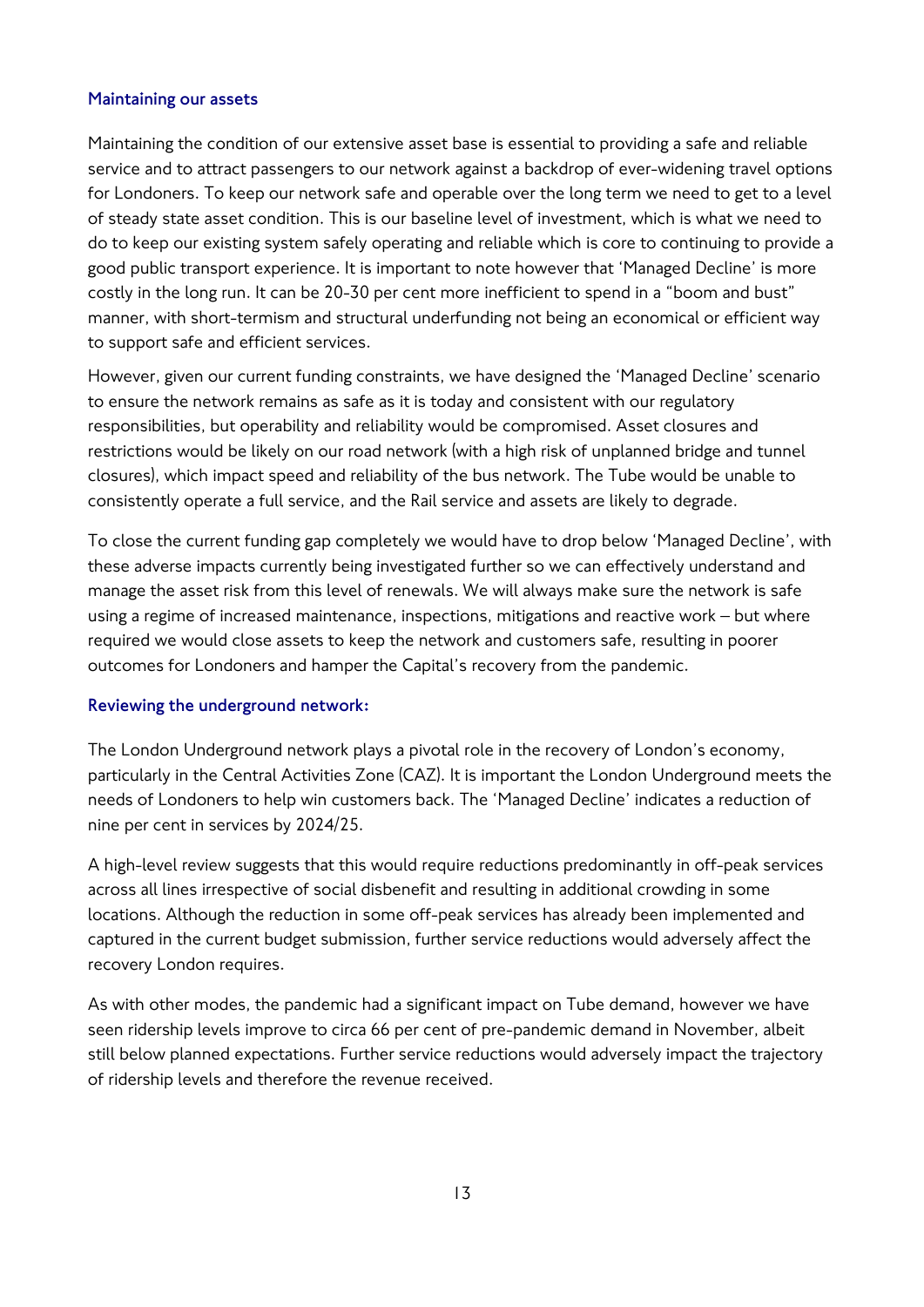## **Maintaining our assets**

Maintaining the condition of our extensive asset base is essential to providing a safe and reliable service and to attract passengers to our network against a backdrop of ever-widening travel options for Londoners. To keep our network safe and operable over the long term we need to get to a level of steady state asset condition. This is our baseline level of investment, which is what we need to do to keep our existing system safely operating and reliable which is core to continuing to provide a good public transport experience. It is important to note however that 'Managed Decline' is more costly in the long run. It can be 20-30 per cent more inefficient to spend in a "boom and bust" manner, with short-termism and structural underfunding not being an economical or efficient way to support safe and efficient services.

However, given our current funding constraints, we have designed the 'Managed Decline' scenario to ensure the network remains as safe as it is today and consistent with our regulatory responsibilities, but operability and reliability would be compromised. Asset closures and restrictions would be likely on our road network (with a high risk of unplanned bridge and tunnel closures), which impact speed and reliability of the bus network. The Tube would be unable to consistently operate a full service, and the Rail service and assets are likely to degrade.

To close the current funding gap completely we would have to drop below 'Managed Decline', with these adverse impacts currently being investigated further so we can effectively understand and manage the asset risk from this level of renewals. We will always make sure the network is safe using a regime of increased maintenance, inspections, mitigations and reactive work – but where required we would close assets to keep the network and customers safe, resulting in poorer outcomes for Londoners and hamper the Capital's recovery from the pandemic.

## **Reviewing the underground network:**

The London Underground network plays a pivotal role in the recovery of London's economy, particularly in the Central Activities Zone (CAZ). It is important the London Underground meets the needs of Londoners to help win customers back. The 'Managed Decline' indicates a reduction of nine per cent in services by 2024/25.

A high-level review suggests that this would require reductions predominantly in off-peak services across all lines irrespective of social disbenefit and resulting in additional crowding in some locations. Although the reduction in some off-peak services has already been implemented and captured in the current budget submission, further service reductions would adversely affect the recovery London requires.

As with other modes, the pandemic had a significant impact on Tube demand, however we have seen ridership levels improve to circa 66 per cent of pre-pandemic demand in November, albeit still below planned expectations. Further service reductions would adversely impact the trajectory of ridership levels and therefore the revenue received.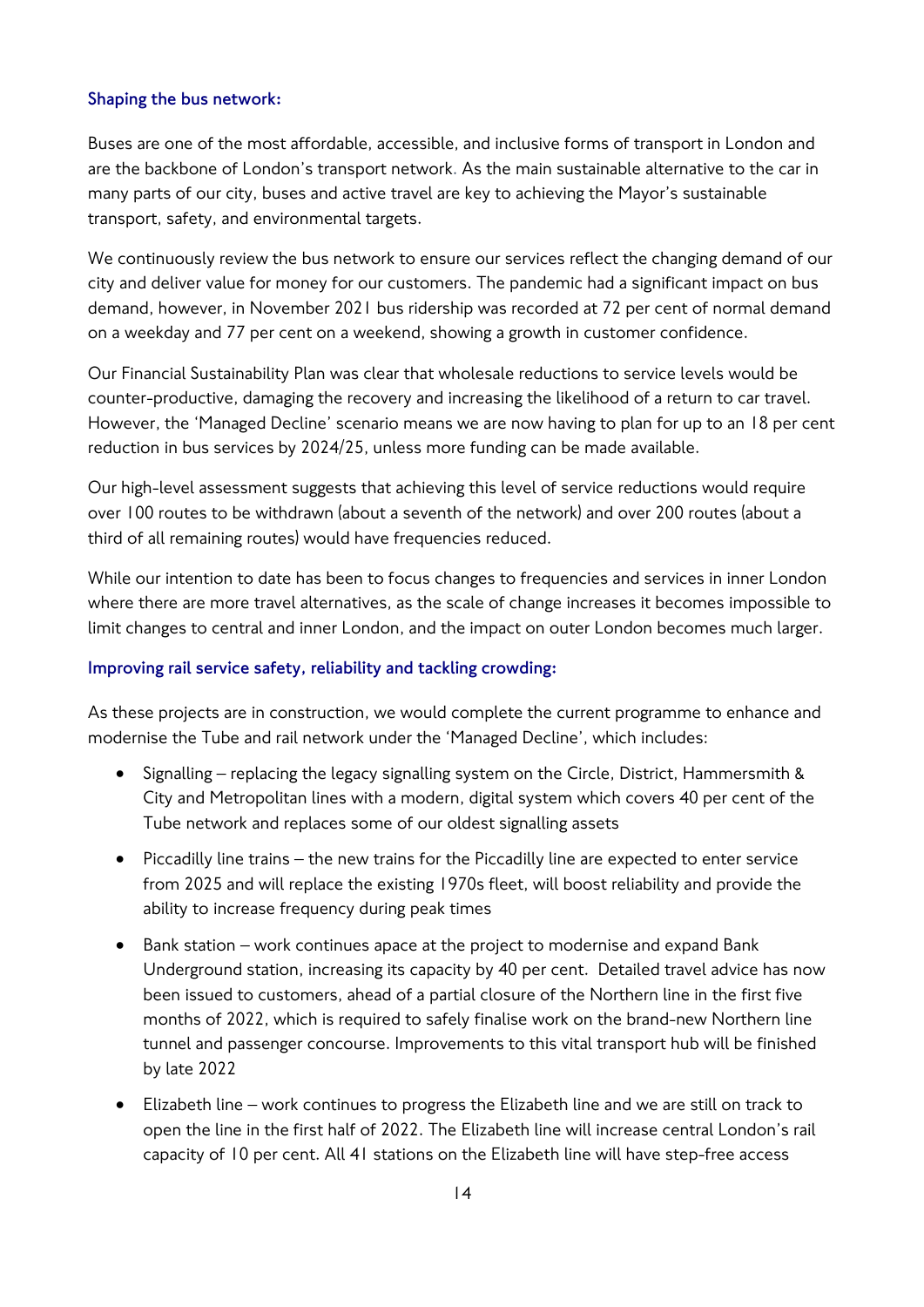## **Shaping the bus network:**

Buses are one of the most affordable, accessible, and inclusive forms of transport in London and are the backbone of London's transport network. As the main sustainable alternative to the car in many parts of our city, buses and active travel are key to achieving the Mayor's sustainable transport, safety, and environmental targets.

We continuously review the bus network to ensure our services reflect the changing demand of our city and deliver value for money for our customers. The pandemic had a significant impact on bus demand, however, in November 2021 bus ridership was recorded at 72 per cent of normal demand on a weekday and 77 per cent on a weekend, showing a growth in customer confidence.

Our Financial Sustainability Plan was clear that wholesale reductions to service levels would be counter-productive, damaging the recovery and increasing the likelihood of a return to car travel. However, the 'Managed Decline' scenario means we are now having to plan for up to an 18 per cent reduction in bus services by 2024/25, unless more funding can be made available.

Our high-level assessment suggests that achieving this level of service reductions would require over 100 routes to be withdrawn (about a seventh of the network) and over 200 routes (about a third of all remaining routes) would have frequencies reduced.

While our intention to date has been to focus changes to frequencies and services in inner London where there are more travel alternatives, as the scale of change increases it becomes impossible to limit changes to central and inner London, and the impact on outer London becomes much larger.

## **Improving rail service safety, reliability and tackling crowding:**

As these projects are in construction, we would complete the current programme to enhance and modernise the Tube and rail network under the 'Managed Decline', which includes:

- Signalling replacing the legacy signalling system on the Circle, District, Hammersmith & City and Metropolitan lines with a modern, digital system which covers 40 per cent of the Tube network and replaces some of our oldest signalling assets
- Piccadilly line trains the new trains for the Piccadilly line are expected to enter service from 2025 and will replace the existing 1970s fleet, will boost reliability and provide the ability to increase frequency during peak times
- Bank station work continues apace at the project to modernise and expand Bank Underground station, increasing its capacity by 40 per cent. Detailed travel advice has now been issued to customers, ahead of a partial closure of the Northern line in the first five months of 2022, which is required to safely finalise work on the brand-new Northern line tunnel and passenger concourse. Improvements to this vital transport hub will be finished by late 2022
- Elizabeth line work continues to progress the Elizabeth line and we are still on track to open the line in the first half of 2022. The Elizabeth line will increase central London's rail capacity of 10 per cent. All 41 stations on the Elizabeth line will have step-free access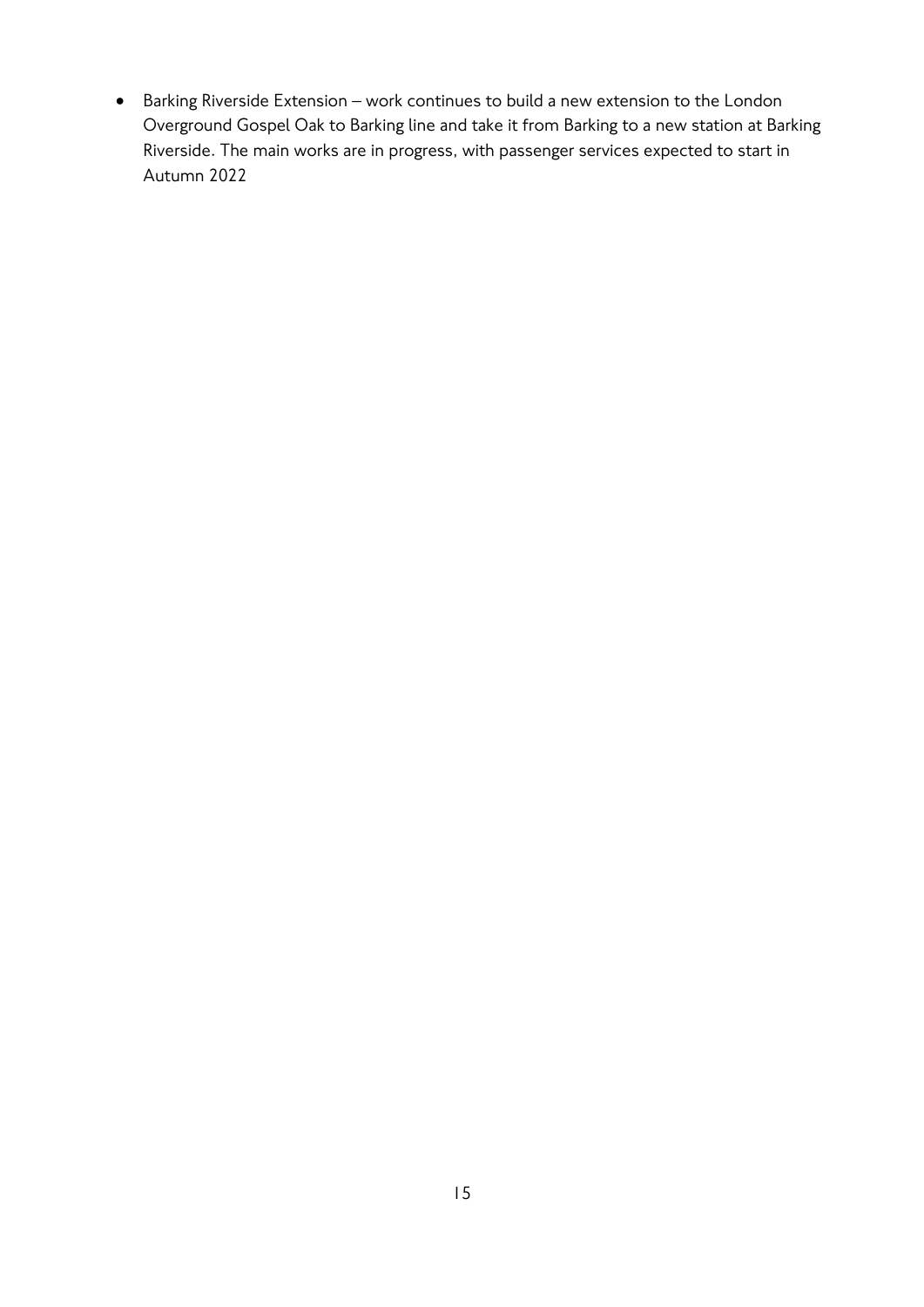• Barking Riverside Extension – work continues to build a new extension to the London Overground Gospel Oak to Barking line and take it from Barking to a new station at Barking Riverside. The main works are in progress, with passenger services expected to start in Autumn 2022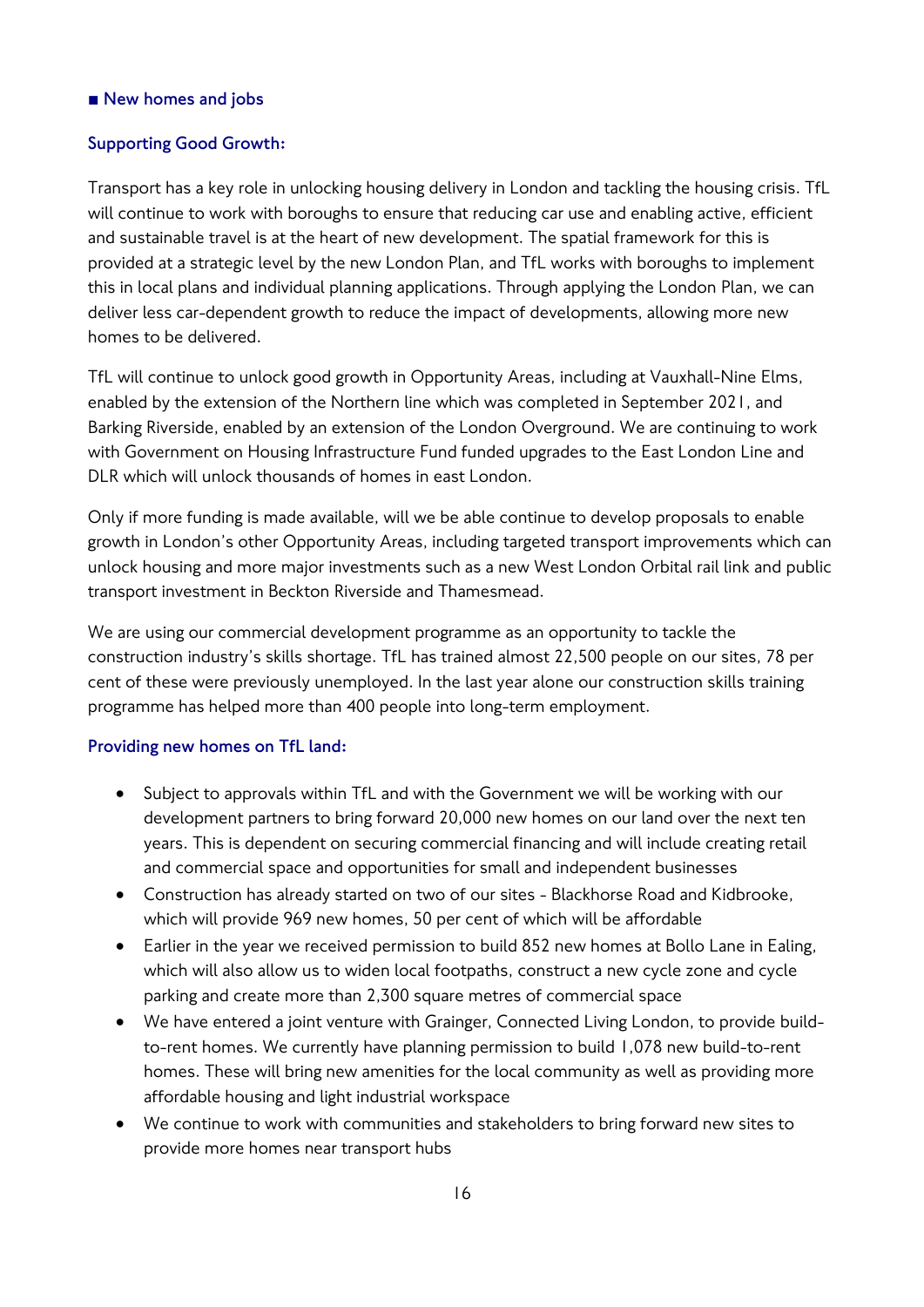## ■ New homes and jobs

#### **Supporting Good Growth:**

Transport has a key role in unlocking housing delivery in London and tackling the housing crisis. TfL will continue to work with boroughs to ensure that reducing car use and enabling active, efficient and sustainable travel is at the heart of new development. The spatial framework for this is provided at a strategic level by the new London Plan, and TfL works with boroughs to implement this in local plans and individual planning applications. Through applying the London Plan, we can deliver less car-dependent growth to reduce the impact of developments, allowing more new homes to be delivered.

TfL will continue to unlock good growth in Opportunity Areas, including at Vauxhall-Nine Elms, enabled by the extension of the Northern line which was completed in September 2021, and Barking Riverside, enabled by an extension of the London Overground. We are continuing to work with Government on Housing Infrastructure Fund funded upgrades to the East London Line and DLR which will unlock thousands of homes in east London.

Only if more funding is made available, will we be able continue to develop proposals to enable growth in London's other Opportunity Areas, including targeted transport improvements which can unlock housing and more major investments such as a new West London Orbital rail link and public transport investment in Beckton Riverside and Thamesmead.

We are using our commercial development programme as an opportunity to tackle the construction industry's skills shortage. TfL has trained almost 22,500 people on our sites, 78 per cent of these were previously unemployed. In the last year alone our construction skills training programme has helped more than 400 people into long-term employment.

#### **Providing new homes on TfL land:**

- Subject to approvals within TfL and with the Government we will be working with our development partners to bring forward 20,000 new homes on our land over the next ten years. This is dependent on securing commercial financing and will include creating retail and commercial space and opportunities for small and independent businesses
- Construction has already started on two of our sites Blackhorse Road and Kidbrooke, which will provide 969 new homes, 50 per cent of which will be affordable
- Earlier in the year we received permission to build 852 new homes at Bollo Lane in Ealing, which will also allow us to widen local footpaths, construct a new cycle zone and cycle parking and create more than 2,300 square metres of commercial space
- We have entered a joint venture with Grainger, Connected Living London, to provide buildto-rent homes. We currently have planning permission to build 1,078 new build-to-rent homes. These will bring new amenities for the local community as well as providing more affordable housing and light industrial workspace
- We continue to work with communities and stakeholders to bring forward new sites to provide more homes near transport hubs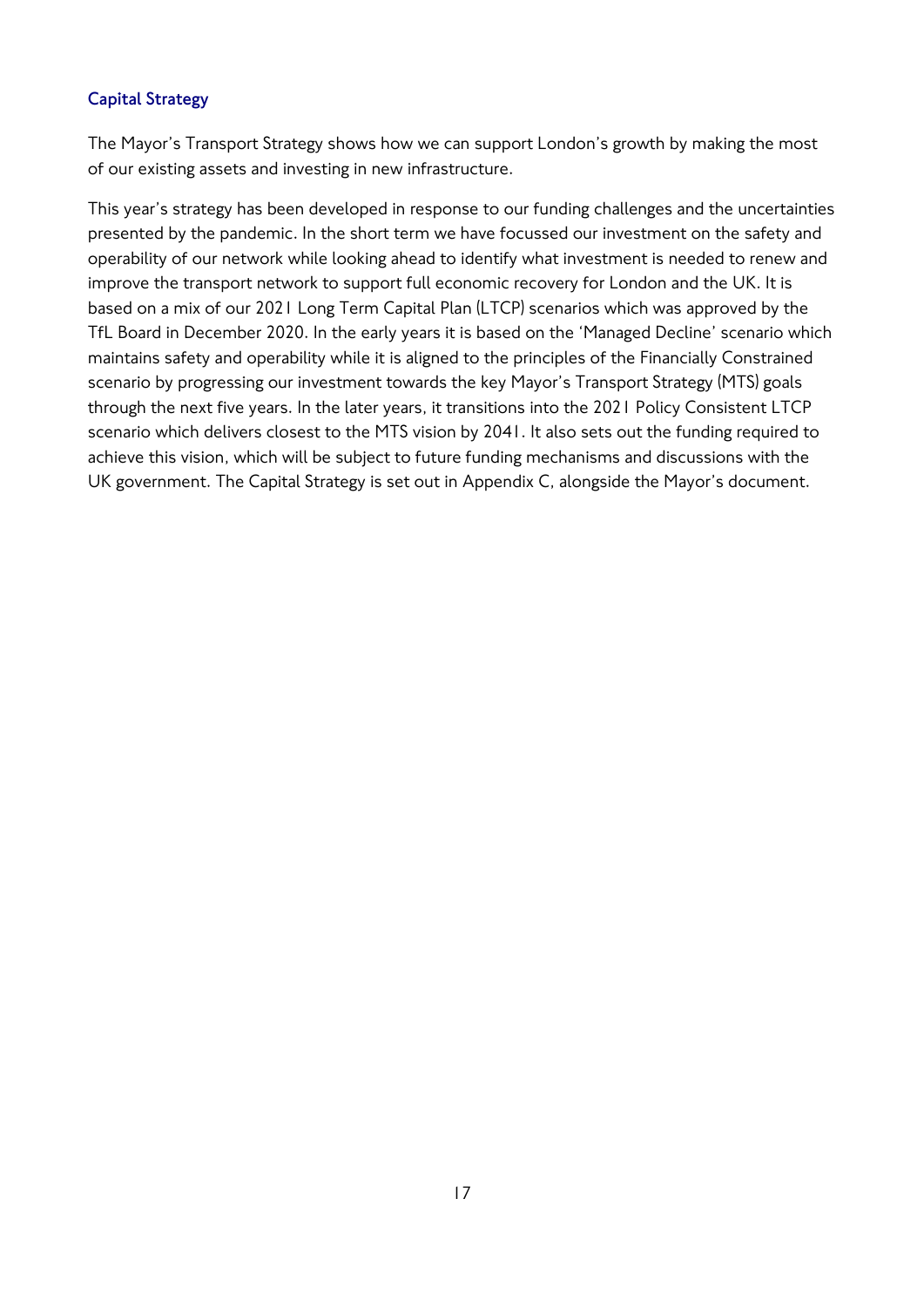## **Capital Strategy**

The Mayor's Transport Strategy shows how we can support London's growth by making the most of our existing assets and investing in new infrastructure.

This year's strategy has been developed in response to our funding challenges and the uncertainties presented by the pandemic. In the short term we have focussed our investment on the safety and operability of our network while looking ahead to identify what investment is needed to renew and improve the transport network to support full economic recovery for London and the UK. It is based on a mix of our 2021 Long Term Capital Plan (LTCP) scenarios which was approved by the TfL Board in December 2020. In the early years it is based on the 'Managed Decline' scenario which maintains safety and operability while it is aligned to the principles of the Financially Constrained scenario by progressing our investment towards the key Mayor's Transport Strategy (MTS) goals through the next five years. In the later years, it transitions into the 2021 Policy Consistent LTCP scenario which delivers closest to the MTS vision by 2041. It also sets out the funding required to achieve this vision, which will be subject to future funding mechanisms and discussions with the UK government. The Capital Strategy is set out in Appendix C, alongside the Mayor's document.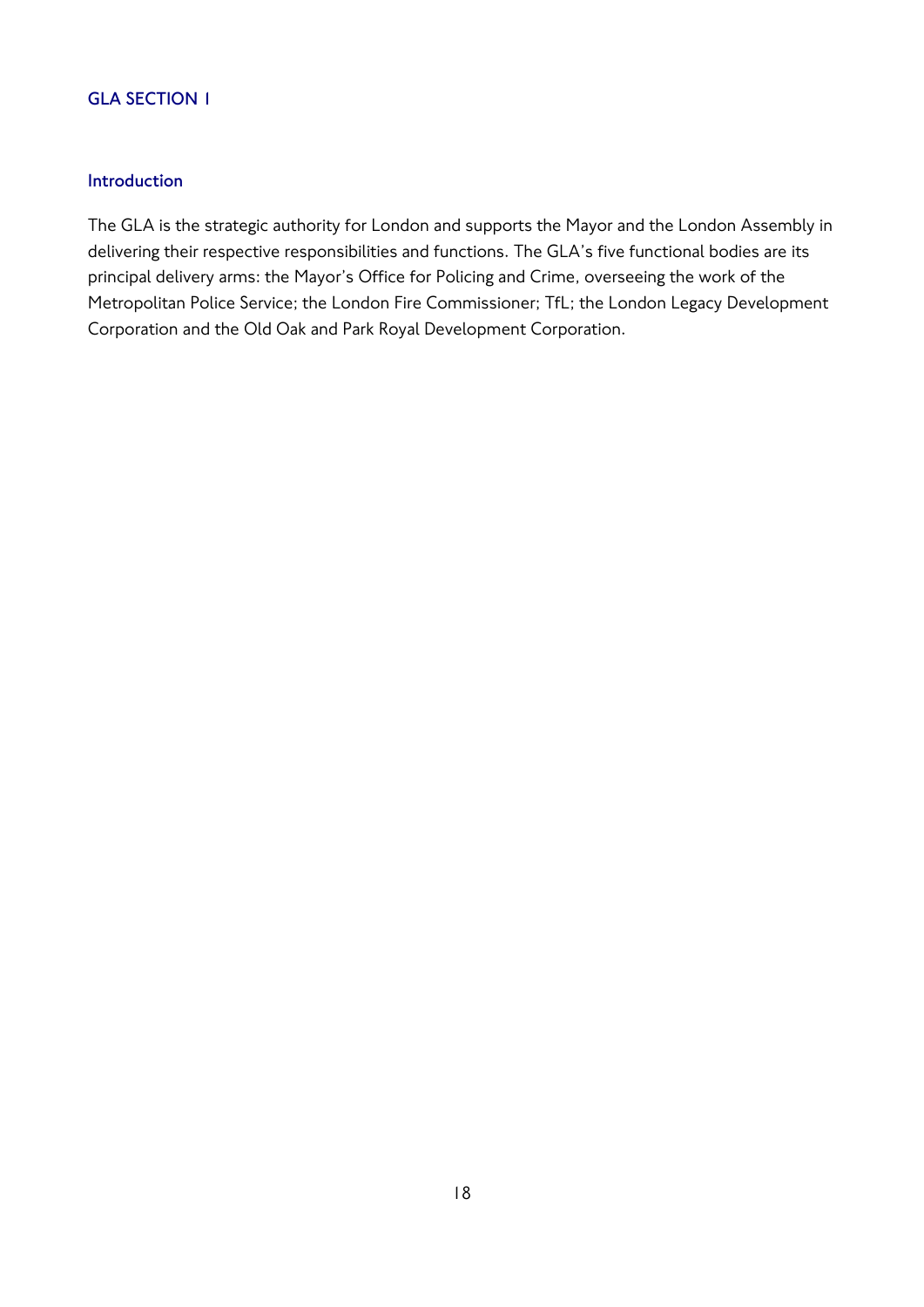## **GLA SECTION 1**

## **Introduction**

The GLA is the strategic authority for London and supports the Mayor and the London Assembly in delivering their respective responsibilities and functions. The GLA's five functional bodies are its principal delivery arms: the Mayor's Office for Policing and Crime, overseeing the work of the Metropolitan Police Service; the London Fire Commissioner; TfL; the London Legacy Development Corporation and the Old Oak and Park Royal Development Corporation.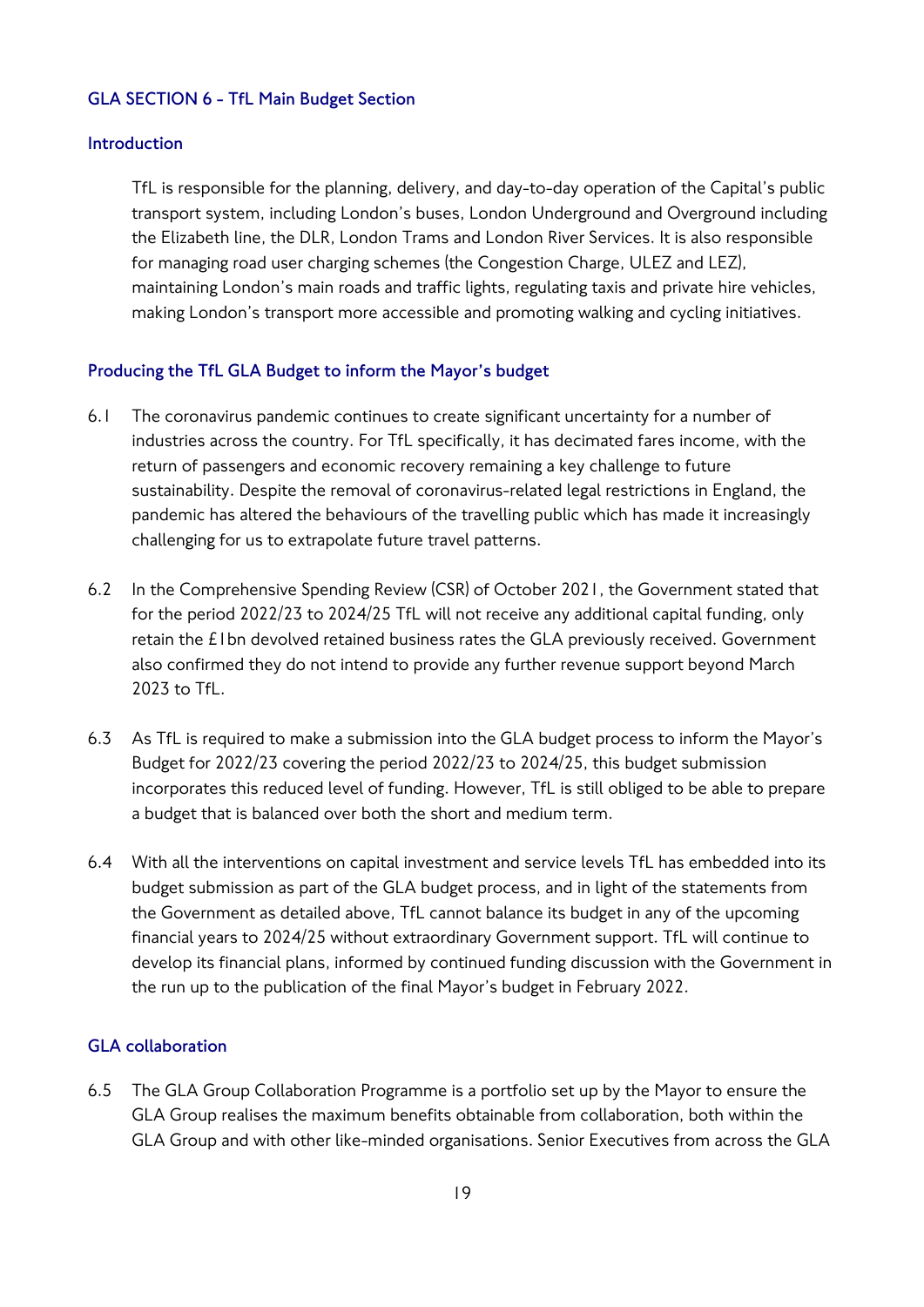#### **GLA SECTION 6 - TfL Main Budget Section**

#### **Introduction**

TfL is responsible for the planning, delivery, and day-to-day operation of the Capital's public transport system, including London's buses, London Underground and Overground including the Elizabeth line, the DLR, London Trams and London River Services. It is also responsible for managing road user charging schemes (the Congestion Charge, ULEZ and LEZ), maintaining London's main roads and traffic lights, regulating taxis and private hire vehicles, making London's transport more accessible and promoting walking and cycling initiatives.

#### **Producing the TfL GLA Budget to inform the Mayor's budget**

- 6.1 The coronavirus pandemic continues to create significant uncertainty for a number of industries across the country. For TfL specifically, it has decimated fares income, with the return of passengers and economic recovery remaining a key challenge to future sustainability. Despite the removal of coronavirus-related legal restrictions in England, the pandemic has altered the behaviours of the travelling public which has made it increasingly challenging for us to extrapolate future travel patterns.
- 6.2 In the Comprehensive Spending Review (CSR) of October 2021, the Government stated that for the period 2022/23 to 2024/25 TfL will not receive any additional capital funding, only retain the £1bn devolved retained business rates the GLA previously received. Government also confirmed they do not intend to provide any further revenue support beyond March 2023 to TfL.
- 6.3 As TfL is required to make a submission into the GLA budget process to inform the Mayor's Budget for 2022/23 covering the period 2022/23 to 2024/25, this budget submission incorporates this reduced level of funding. However, TfL is still obliged to be able to prepare a budget that is balanced over both the short and medium term.
- 6.4 With all the interventions on capital investment and service levels TfL has embedded into its budget submission as part of the GLA budget process, and in light of the statements from the Government as detailed above, TfL cannot balance its budget in any of the upcoming financial years to 2024/25 without extraordinary Government support. TfL will continue to develop its financial plans, informed by continued funding discussion with the Government in the run up to the publication of the final Mayor's budget in February 2022.

#### **GLA collaboration**

6.5 The GLA Group Collaboration Programme is a portfolio set up by the Mayor to ensure the GLA Group realises the maximum benefits obtainable from collaboration, both within the GLA Group and with other like-minded organisations. Senior Executives from across the GLA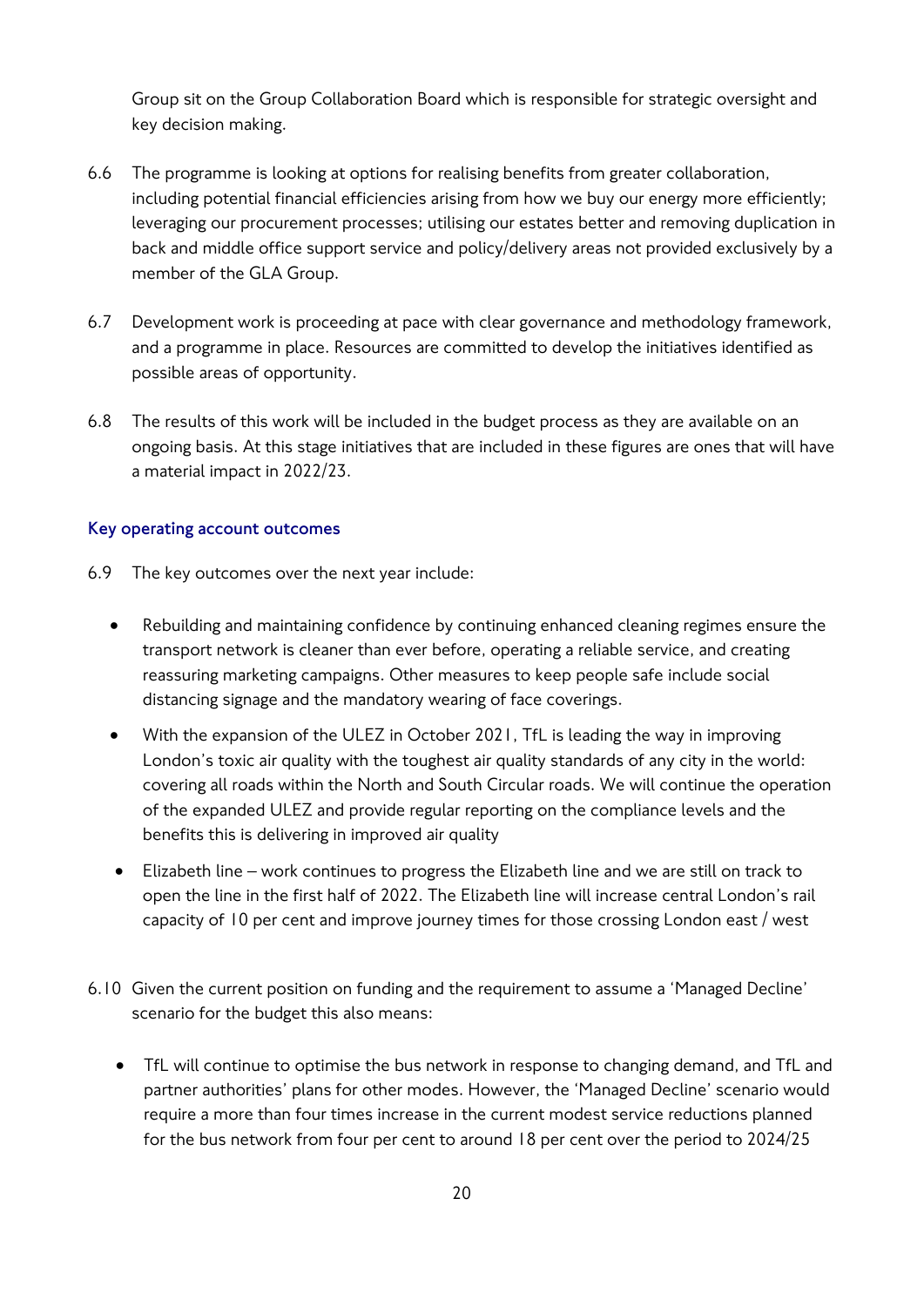Group sit on the Group Collaboration Board which is responsible for strategic oversight and key decision making.

- 6.6 The programme is looking at options for realising benefits from greater collaboration, including potential financial efficiencies arising from how we buy our energy more efficiently; leveraging our procurement processes; utilising our estates better and removing duplication in back and middle office support service and policy/delivery areas not provided exclusively by a member of the GLA Group.
- 6.7 Development work is proceeding at pace with clear governance and methodology framework, and a programme in place. Resources are committed to develop the initiatives identified as possible areas of opportunity.
- 6.8 The results of this work will be included in the budget process as they are available on an ongoing basis. At this stage initiatives that are included in these figures are ones that will have a material impact in 2022/23.

## **Key operating account outcomes**

- 6.9 The key outcomes over the next year include:
	- Rebuilding and maintaining confidence by continuing enhanced cleaning regimes ensure the transport network is cleaner than ever before, operating a reliable service, and creating reassuring marketing campaigns. Other measures to keep people safe include social distancing signage and the mandatory wearing of face coverings.
	- With the expansion of the ULEZ in October 2021, TfL is leading the way in improving London's toxic air quality with the toughest air quality standards of any city in the world: covering all roads within the North and South Circular roads. We will continue the operation of the expanded ULEZ and provide regular reporting on the compliance levels and the benefits this is delivering in improved air quality
	- Elizabeth line work continues to progress the Elizabeth line and we are still on track to open the line in the first half of 2022. The Elizabeth line will increase central London's rail capacity of 10 per cent and improve journey times for those crossing London east / west
- 6.10 Given the current position on funding and the requirement to assume a 'Managed Decline' scenario for the budget this also means:
	- TfL will continue to optimise the bus network in response to changing demand, and TfL and partner authorities' plans for other modes. However, the 'Managed Decline' scenario would require a more than four times increase in the current modest service reductions planned for the bus network from four per cent to around 18 per cent over the period to 2024/25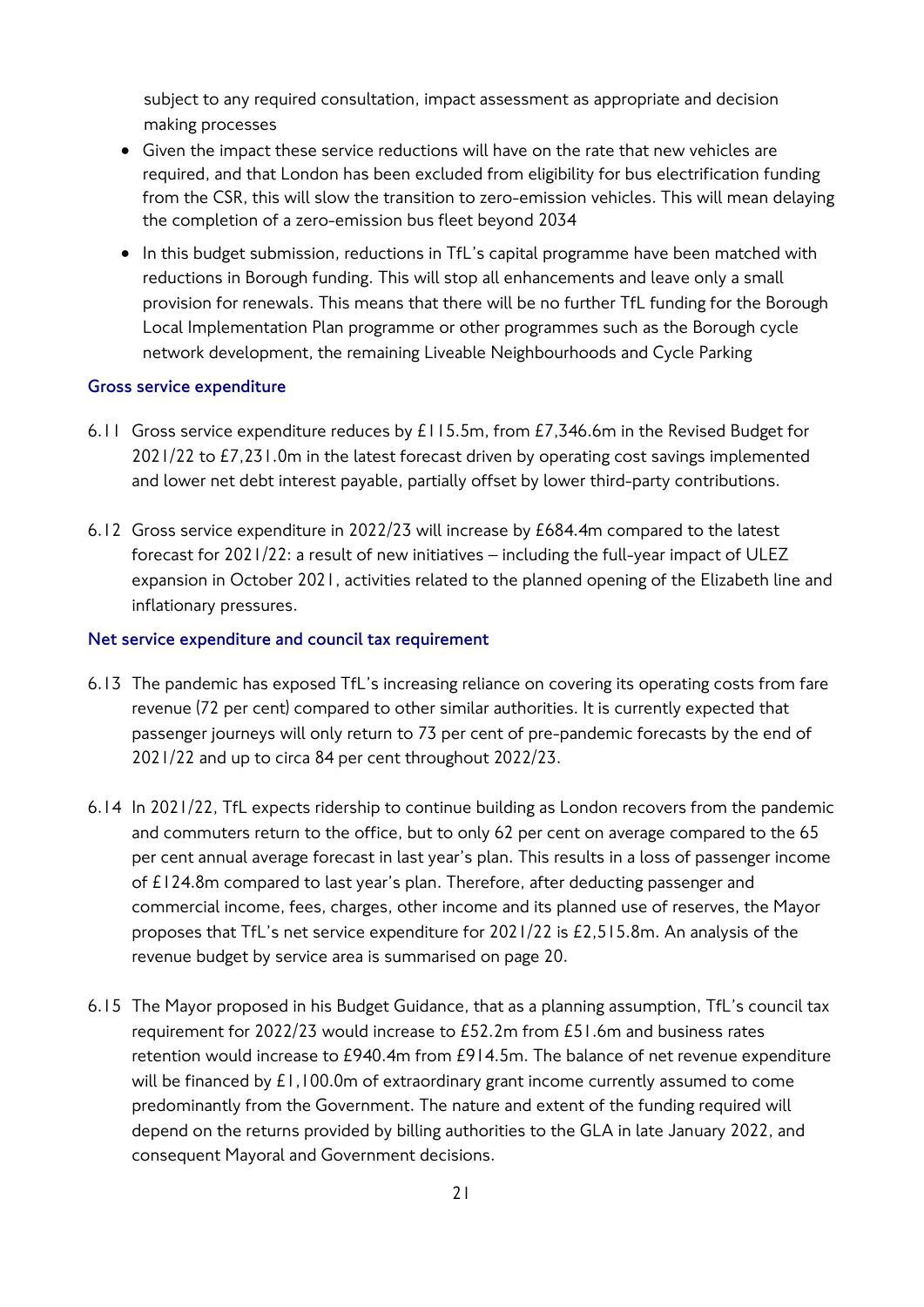subject to any required consultation, impact assessment as appropriate and decision making processes

- Given the impact these service reductions will have on the rate that new vehicles are required, and that London has been excluded from eligibility for bus electrification funding from the CSR, this will slow the transition to zero-emission vehicles. This will mean delaying the completion of a zero-emission bus fleet beyond 2034
- In this budget submission, reductions in TfL's capital programme have been matched with reductions in Borough funding. This will stop all enhancements and leave only a small provision for renewals. This means that there will be no further TfL funding for the Borough Local Implementation Plan programme or other programmes such as the Borough cycle network development, the remaining Liveable Neighbourhoods and Cycle Parking

#### **Gross service expenditure**

- 6.11 Gross service expenditure reduces by £115.5m, from £7,346.6m in the Revised Budget for 2021/22 to £7,231.0m in the latest forecast driven by operating cost savings implemented and lower net debt interest payable, partially offset by lower third-party contributions.
- 6.12 Gross service expenditure in 2022/23 will increase by £684.4m compared to the latest forecast for 2021/22: a result of new initiatives – including the full-year impact of ULEZ expansion in October 2021, activities related to the planned opening of the Elizabeth line and inflationary pressures.

#### **Net service expenditure and council tax requirement**

- 6.13 The pandemic has exposed TfL's increasing reliance on covering its operating costs from fare revenue (72 per cent) compared to other similar authorities. It is currently expected that passenger journeys will only return to 73 per cent of pre-pandemic forecasts by the end of 2021/22 and up to circa 84 per cent throughout 2022/23.
- 6.14 In 2021/22, TfL expects ridership to continue building as London recovers from the pandemic and commuters return to the office, but to only 62 per cent on average compared to the 65 per cent annual average forecast in last year's plan. This results in a loss of passenger income of £124.8m compared to last year's plan. Therefore, after deducting passenger and commercial income, fees, charges, other income and its planned use of reserves, the Mayor proposes that TfL's net service expenditure for 2021/22 is £2,515.8m. An analysis of the revenue budget by service area is summarised on page 20.
- 6.15 The Mayor proposed in his Budget Guidance, that as a planning assumption, TfL's council tax requirement for 2022/23 would increase to £52.2m from £51.6m and business rates retention would increase to £940.4m from £914.5m. The balance of net revenue expenditure will be financed by £1,100.0m of extraordinary grant income currently assumed to come predominantly from the Government. The nature and extent of the funding required will depend on the returns provided by billing authorities to the GLA in late January 2022, and consequent Mayoral and Government decisions.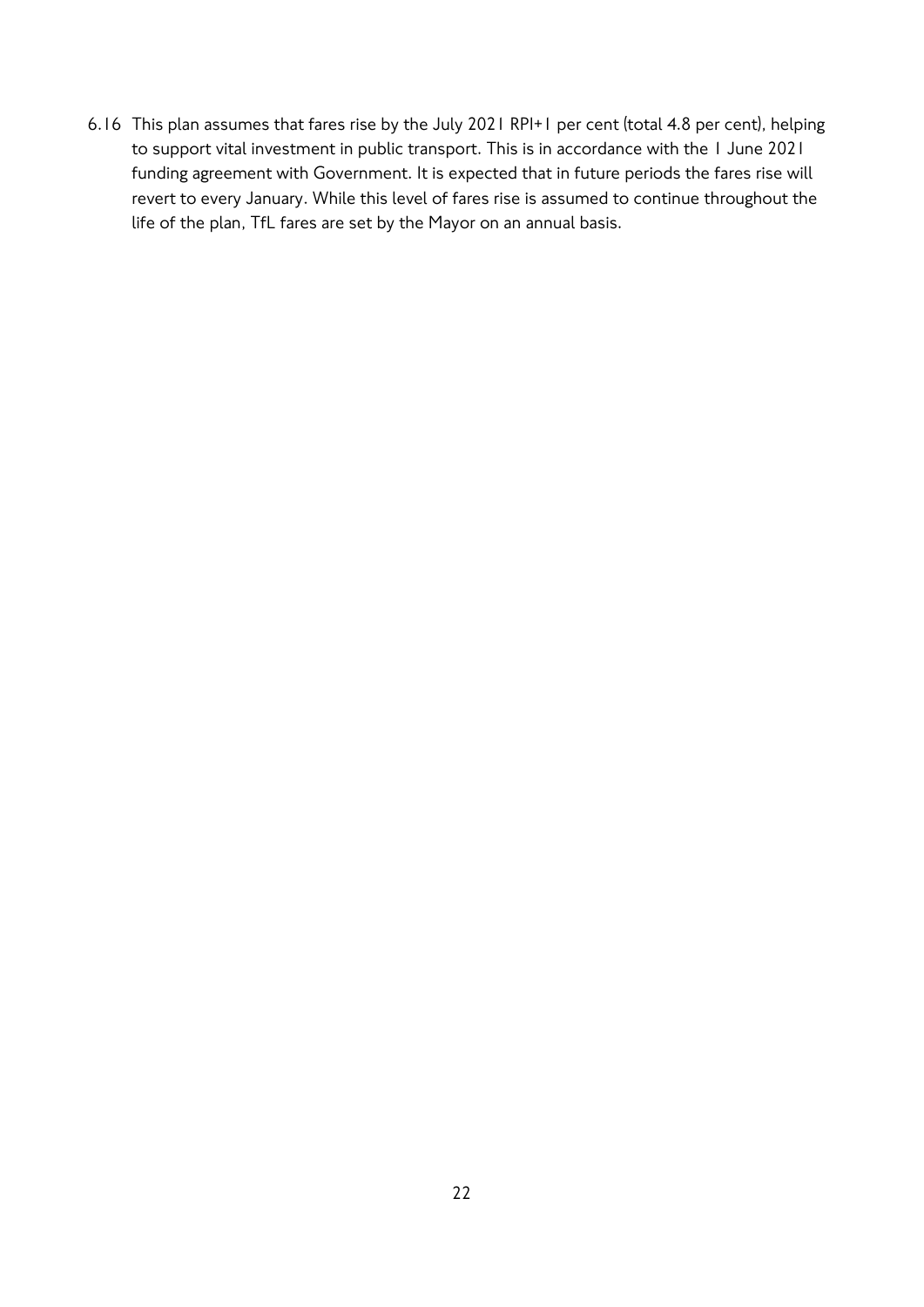6.16 This plan assumes that fares rise by the July 2021 RPI+1 per cent (total 4.8 per cent), helping to support vital investment in public transport. This is in accordance with the 1 June 2021 funding agreement with Government. It is expected that in future periods the fares rise will revert to every January. While this level of fares rise is assumed to continue throughout the life of the plan, TfL fares are set by the Mayor on an annual basis.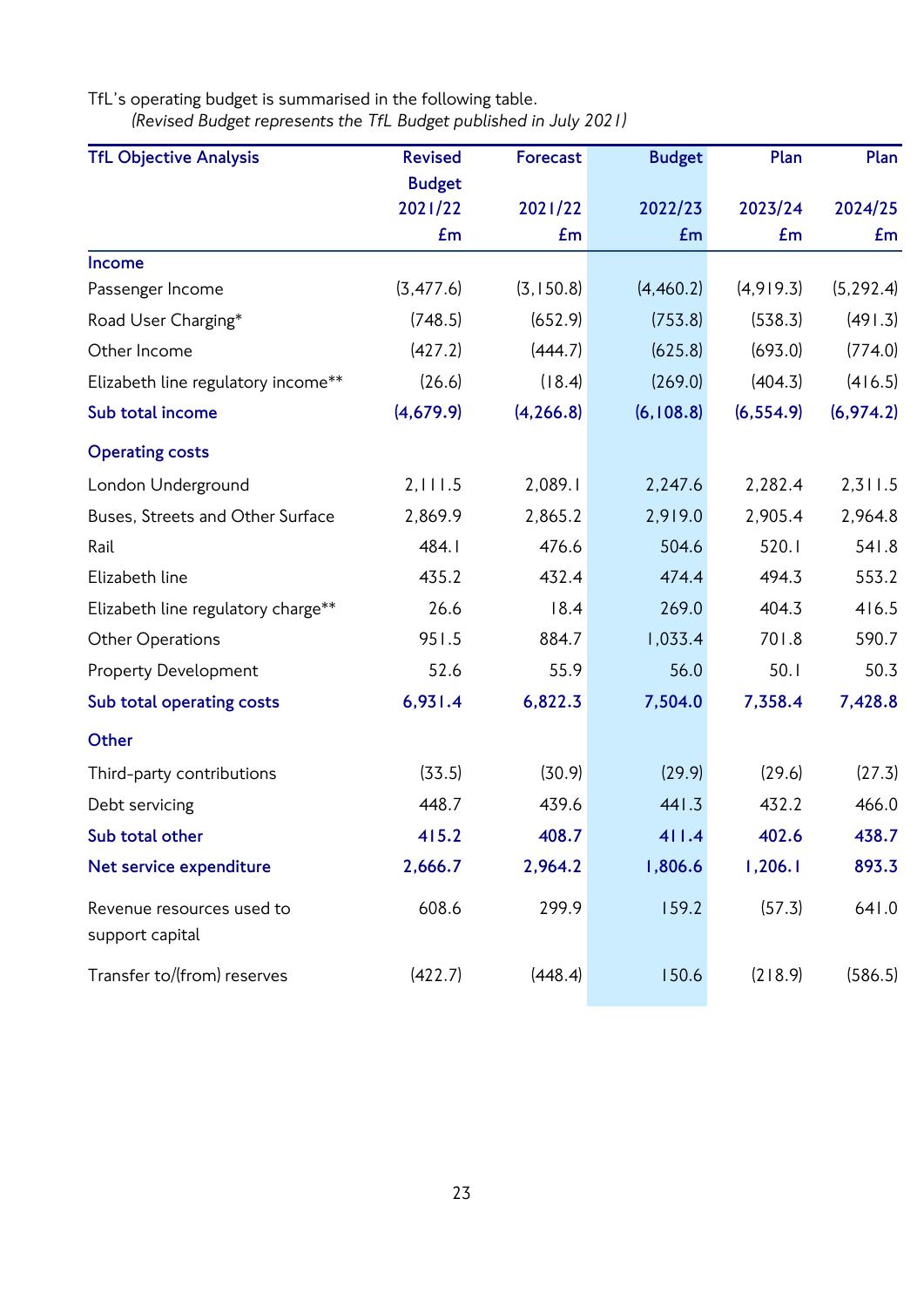TfL's operating budget is summarised in the following table. *(Revised Budget represents the TfL Budget published in July 2021)*

| <b>TfL Objective Analysis</b>      | <b>Revised</b> | Forecast   | <b>Budget</b> | Plan       | Plan       |
|------------------------------------|----------------|------------|---------------|------------|------------|
|                                    | <b>Budget</b>  |            |               |            |            |
|                                    | 2021/22        | 2021/22    | 2022/23       | 2023/24    | 2024/25    |
|                                    | Em             | Em         | Em            | £m         | Em         |
| Income                             |                |            |               |            |            |
| Passenger Income                   | (3, 477.6)     | (3, 150.8) | (4,460.2)     | (4,919.3)  | (5, 292.4) |
| Road User Charging*                | (748.5)        | (652.9)    | (753.8)       | (538.3)    | (491.3)    |
| Other Income                       | (427.2)        | (444.7)    | (625.8)       | (693.0)    | (774.0)    |
| Elizabeth line regulatory income** | (26.6)         | (18.4)     | (269.0)       | (404.3)    | (416.5)    |
| Sub total income                   | (4,679.9)      | (4, 266.8) | (6, 108.8)    | (6, 554.9) | (6,974.2)  |
| <b>Operating costs</b>             |                |            |               |            |            |
| London Underground                 | 2,111.5        | 2,089.1    | 2,247.6       | 2,282.4    | 2,311.5    |
| Buses, Streets and Other Surface   | 2,869.9        | 2,865.2    | 2,919.0       | 2,905.4    | 2,964.8    |
| Rail                               | 484.1          | 476.6      | 504.6         | 520.1      | 541.8      |
| Elizabeth line                     | 435.2          | 432.4      | 474.4         | 494.3      | 553.2      |
| Elizabeth line regulatory charge** | 26.6           | 18.4       | 269.0         | 404.3      | 416.5      |
| Other Operations                   | 951.5          | 884.7      | 1,033.4       | 701.8      | 590.7      |
| <b>Property Development</b>        | 52.6           | 55.9       | 56.0          | 50.1       | 50.3       |
| Sub total operating costs          | 6,931.4        | 6,822.3    | 7,504.0       | 7,358.4    | 7,428.8    |
| Other                              |                |            |               |            |            |
| Third-party contributions          | (33.5)         | (30.9)     | (29.9)        | (29.6)     | (27.3)     |
| Debt servicing                     | 448.7          | 439.6      | 441.3         | 432.2      | 466.0      |
| Sub total other                    | 415.2          | 408.7      | 411.4         | 402.6      | 438.7      |
| Net service expenditure            | 2,666.7        | 2,964.2    | 1,806.6       | 1,206.1    | 893.3      |
| Revenue resources used to          | 608.6          | 299.9      | 159.2         | (57.3)     | 641.0      |
| support capital                    |                |            |               |            |            |
| Transfer to/(from) reserves        | (422.7)        | (448.4)    | 150.6         | (218.9)    | (586.5)    |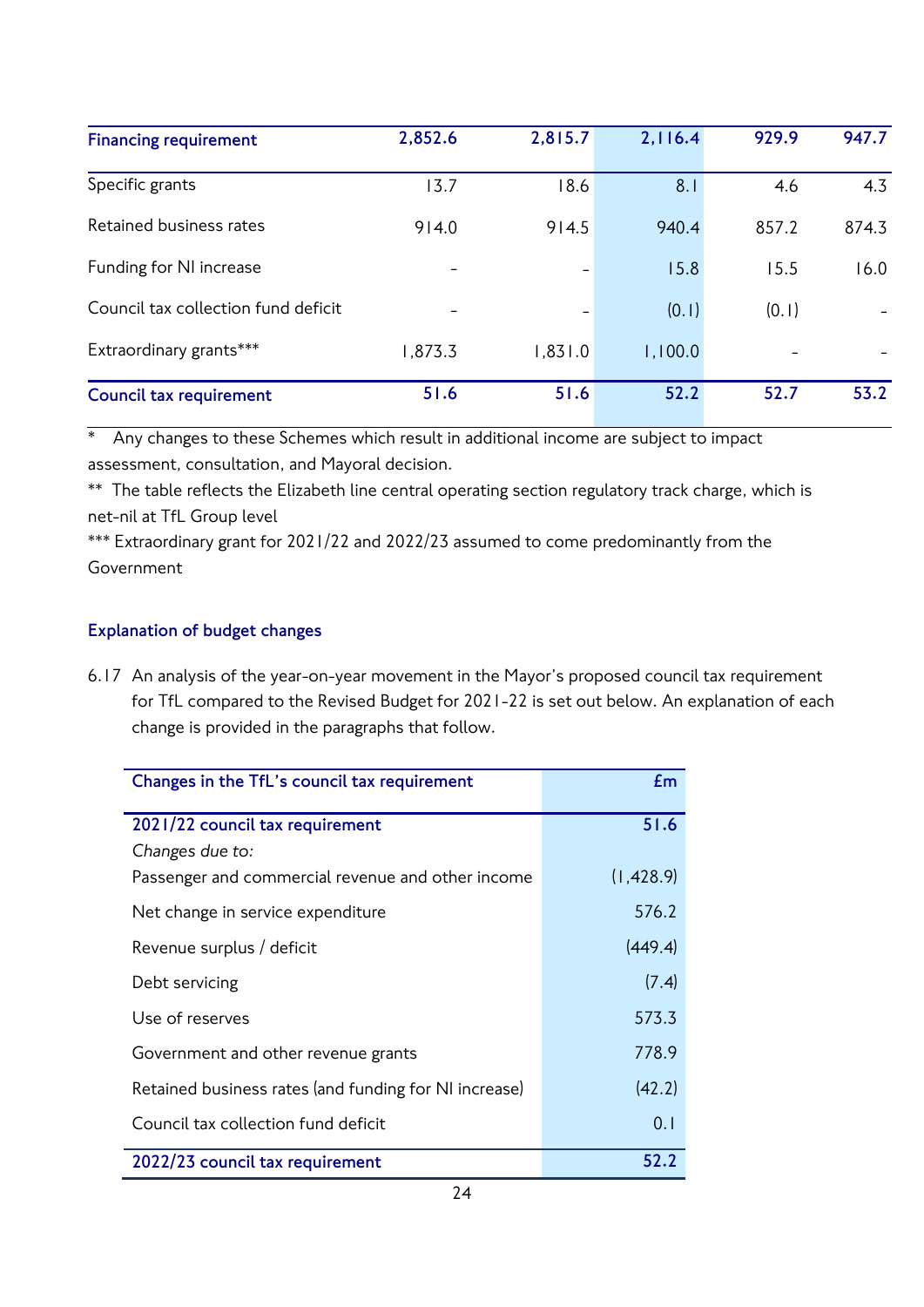| <b>Financing requirement</b>        | 2,852.6 | 2,815.7 | 2,116.4 | 929.9 | 947.7 |
|-------------------------------------|---------|---------|---------|-------|-------|
| Specific grants                     | 13.7    | 18.6    | 8.1     | 4.6   | 4.3   |
| Retained business rates             | 914.0   | 914.5   | 940.4   | 857.2 | 874.3 |
| Funding for NI increase             |         |         | 15.8    | 15.5  | 16.0  |
| Council tax collection fund deficit |         |         | (0.1)   | (0.1) |       |
| Extraordinary grants***             | 1,873.3 | 1,831.0 | 1,100.0 |       |       |
| <b>Council tax requirement</b>      | 51.6    | 51.6    | 52.2    | 52.7  | 53.2  |

\* Any changes to these Schemes which result in additional income are subject to impact assessment, consultation, and Mayoral decision.

\*\* The table reflects the Elizabeth line central operating section regulatory track charge, which is net-nil at TfL Group level

\*\*\* Extraordinary grant for 2021/22 and 2022/23 assumed to come predominantly from the Government

## **Explanation of budget changes**

6.17 An analysis of the year-on-year movement in the Mayor's proposed council tax requirement for TfL compared to the Revised Budget for 2021-22 is set out below. An explanation of each change is provided in the paragraphs that follow.

| Changes in the TfL's council tax requirement          | Em         |
|-------------------------------------------------------|------------|
| 2021/22 council tax requirement                       | 51.6       |
| Changes due to:                                       |            |
| Passenger and commercial revenue and other income     | (1, 428.9) |
| Net change in service expenditure                     | 576.2      |
| Revenue surplus / deficit                             | (449.4)    |
| Debt servicing                                        | (7.4)      |
| Use of reserves                                       | 573.3      |
| Government and other revenue grants                   | 778.9      |
| Retained business rates (and funding for NI increase) | (42.2)     |
| Council tax collection fund deficit                   | 0.1        |
| 2022/23 council tax requirement                       | 52.2       |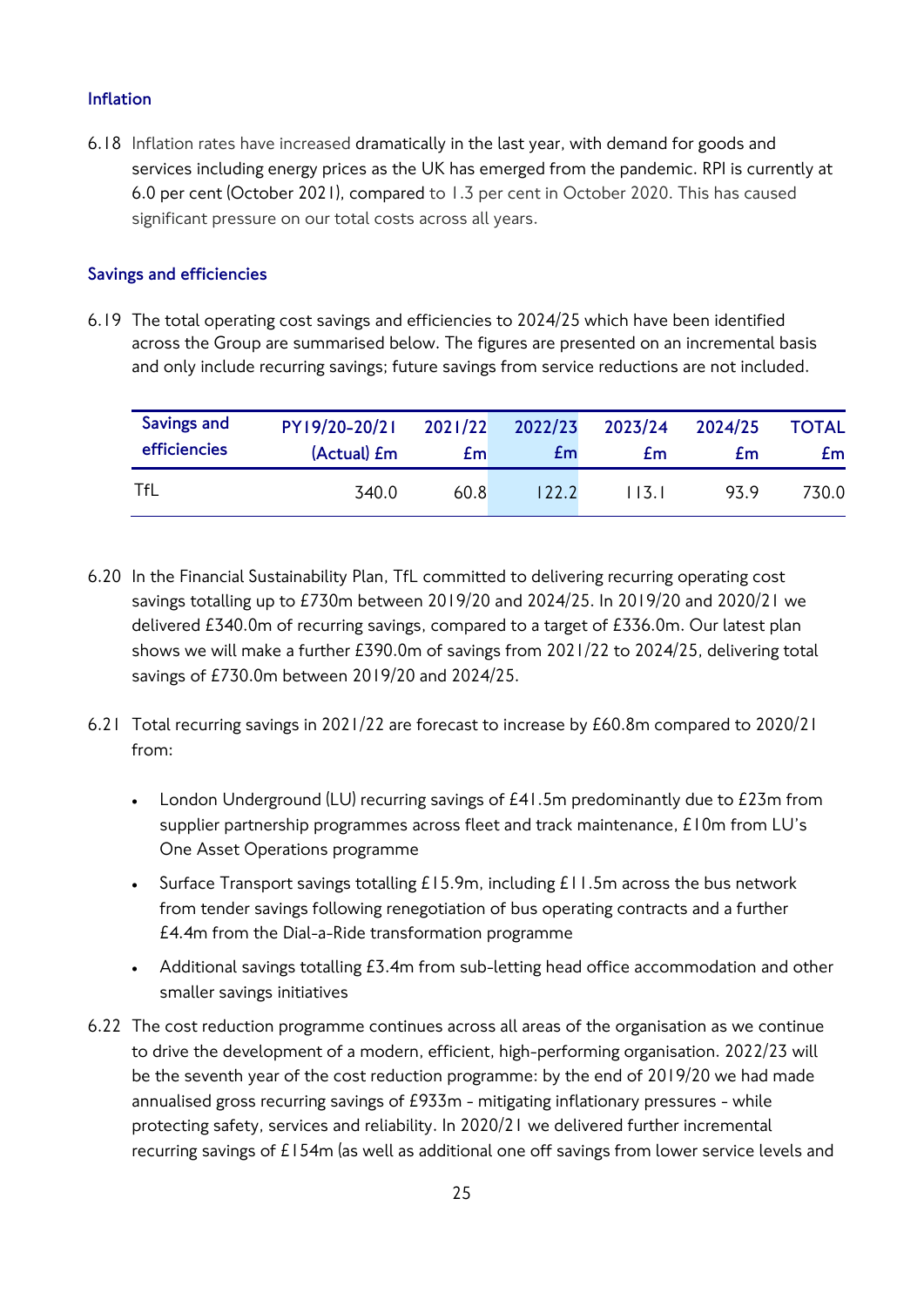## **Inflation**

6.18 Inflation rates have increased dramatically in the last year, with demand for goods and services including energy prices as the UK has emerged from the pandemic. RPI is currently at 6.0 per cent (October 2021), compared to 1.3 per cent in October 2020. This has caused significant pressure on our total costs across all years.

## **Savings and efficiencies**

6.19 The total operating cost savings and efficiencies to 2024/25 which have been identified across the Group are summarised below. The figures are presented on an incremental basis and only include recurring savings; future savings from service reductions are not included.

| Savings and  | PY19/20-20/21       | 2021/22 | 2022/23 | 2023/24 | 2024/25 | <b>TOTAL</b> |
|--------------|---------------------|---------|---------|---------|---------|--------------|
| efficiencies | (Actual) <i>E</i> m | £m      | £m      | £m      | £m      | £m           |
| TfL          | 340.0               | 60.8    | 122.2   | 113.1   | 93.9    | 730.0        |

- 6.20 In the Financial Sustainability Plan, TfL committed to delivering recurring operating cost savings totalling up to £730m between 2019/20 and 2024/25. In 2019/20 and 2020/21 we delivered £340.0m of recurring savings, compared to a target of £336.0m. Our latest plan shows we will make a further £390.0m of savings from 2021/22 to 2024/25, delivering total savings of £730.0m between 2019/20 and 2024/25.
- 6.21 Total recurring savings in 2021/22 are forecast to increase by £60.8m compared to 2020/21 from:
	- London Underground (LU) recurring savings of £41.5m predominantly due to £23m from supplier partnership programmes across fleet and track maintenance, £10m from LU's One Asset Operations programme
	- Surface Transport savings totalling  $£15.9m$ , including  $£11.5m$  across the bus network from tender savings following renegotiation of bus operating contracts and a further £4.4m from the Dial-a-Ride transformation programme
	- Additional savings totalling £3.4m from sub-letting head office accommodation and other smaller savings initiatives
- 6.22 The cost reduction programme continues across all areas of the organisation as we continue to drive the development of a modern, efficient, high-performing organisation. 2022/23 will be the seventh year of the cost reduction programme: by the end of 2019/20 we had made annualised gross recurring savings of £933m - mitigating inflationary pressures - while protecting safety, services and reliability. In 2020/21 we delivered further incremental recurring savings of £154m (as well as additional one off savings from lower service levels and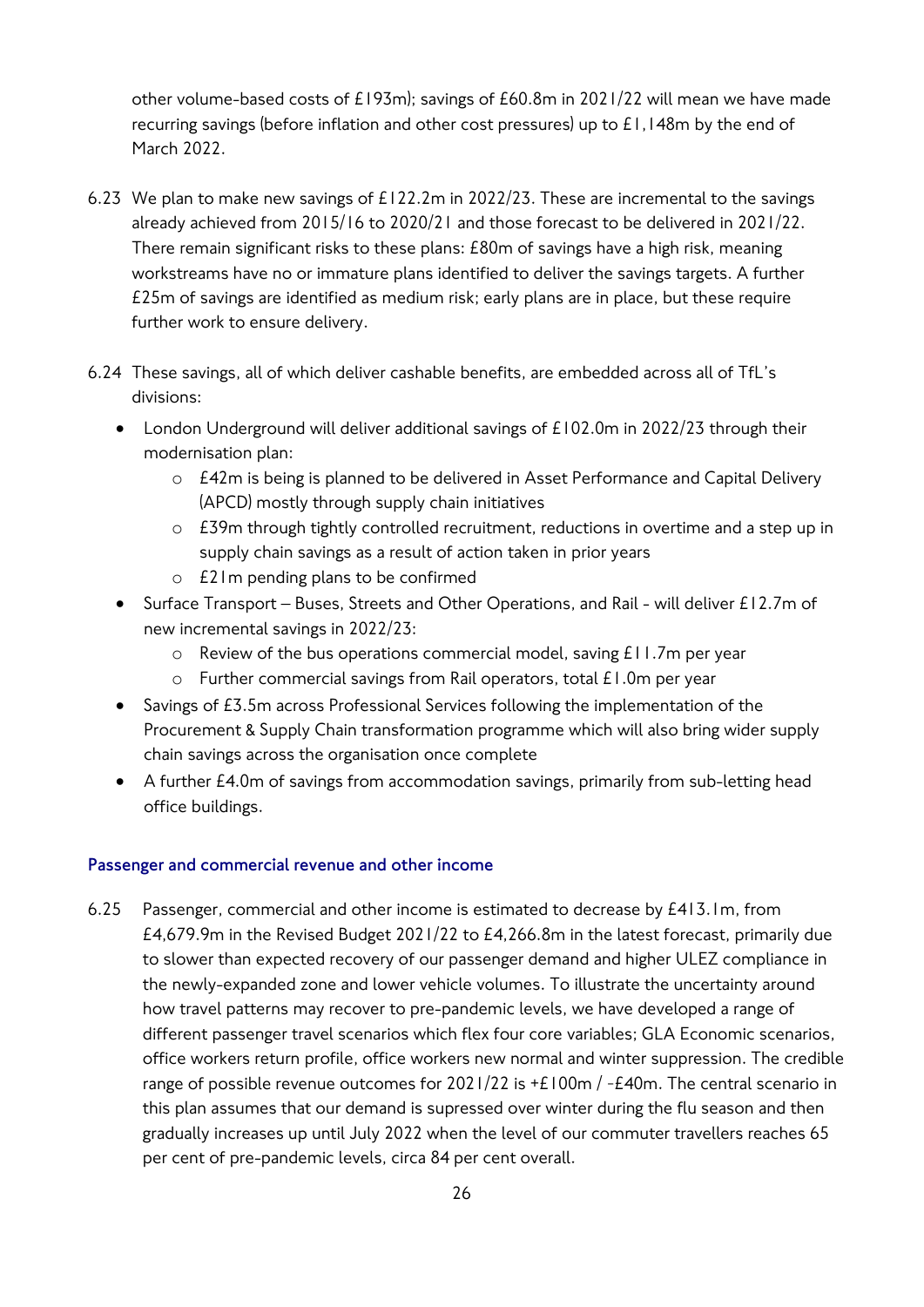other volume-based costs of £193m); savings of £60.8m in 2021/22 will mean we have made recurring savings (before inflation and other cost pressures) up to £1,148m by the end of March 2022.

- 6.23 We plan to make new savings of £122.2m in 2022/23. These are incremental to the savings already achieved from 2015/16 to 2020/21 and those forecast to be delivered in 2021/22. There remain significant risks to these plans: £80m of savings have a high risk, meaning workstreams have no or immature plans identified to deliver the savings targets. A further £25m of savings are identified as medium risk; early plans are in place, but these require further work to ensure delivery.
- 6.24 These savings, all of which deliver cashable benefits, are embedded across all of TfL's divisions:
	- London Underground will deliver additional savings of £102.0m in 2022/23 through their modernisation plan:
		- o £42m is being is planned to be delivered in Asset Performance and Capital Delivery (APCD) mostly through supply chain initiatives
		- o £39m through tightly controlled recruitment, reductions in overtime and a step up in supply chain savings as a result of action taken in prior years
		- o £21m pending plans to be confirmed
	- Surface Transport Buses, Streets and Other Operations, and Rail will deliver £12.7m of new incremental savings in 2022/23:
		- o Review of the bus operations commercial model, saving £11.7m per year
		- o Further commercial savings from Rail operators, total £1.0m per year
	- Savings of £3.5m across Professional Services following the implementation of the Procurement & Supply Chain transformation programme which will also bring wider supply chain savings across the organisation once complete
	- A further £4.0m of savings from accommodation savings, primarily from sub-letting head office buildings.

## **Passenger and commercial revenue and other income**

6.25 Passenger, commercial and other income is estimated to decrease by £413.1m, from £4,679.9m in the Revised Budget 2021/22 to £4,266.8m in the latest forecast, primarily due to slower than expected recovery of our passenger demand and higher ULEZ compliance in the newly-expanded zone and lower vehicle volumes. To illustrate the uncertainty around how travel patterns may recover to pre-pandemic levels, we have developed a range of different passenger travel scenarios which flex four core variables; GLA Economic scenarios, office workers return profile, office workers new normal and winter suppression. The credible range of possible revenue outcomes for  $2021/22$  is  $+E100m$  /  $-E40m$ . The central scenario in this plan assumes that our demand is supressed over winter during the flu season and then gradually increases up until July 2022 when the level of our commuter travellers reaches 65 per cent of pre-pandemic levels, circa 84 per cent overall.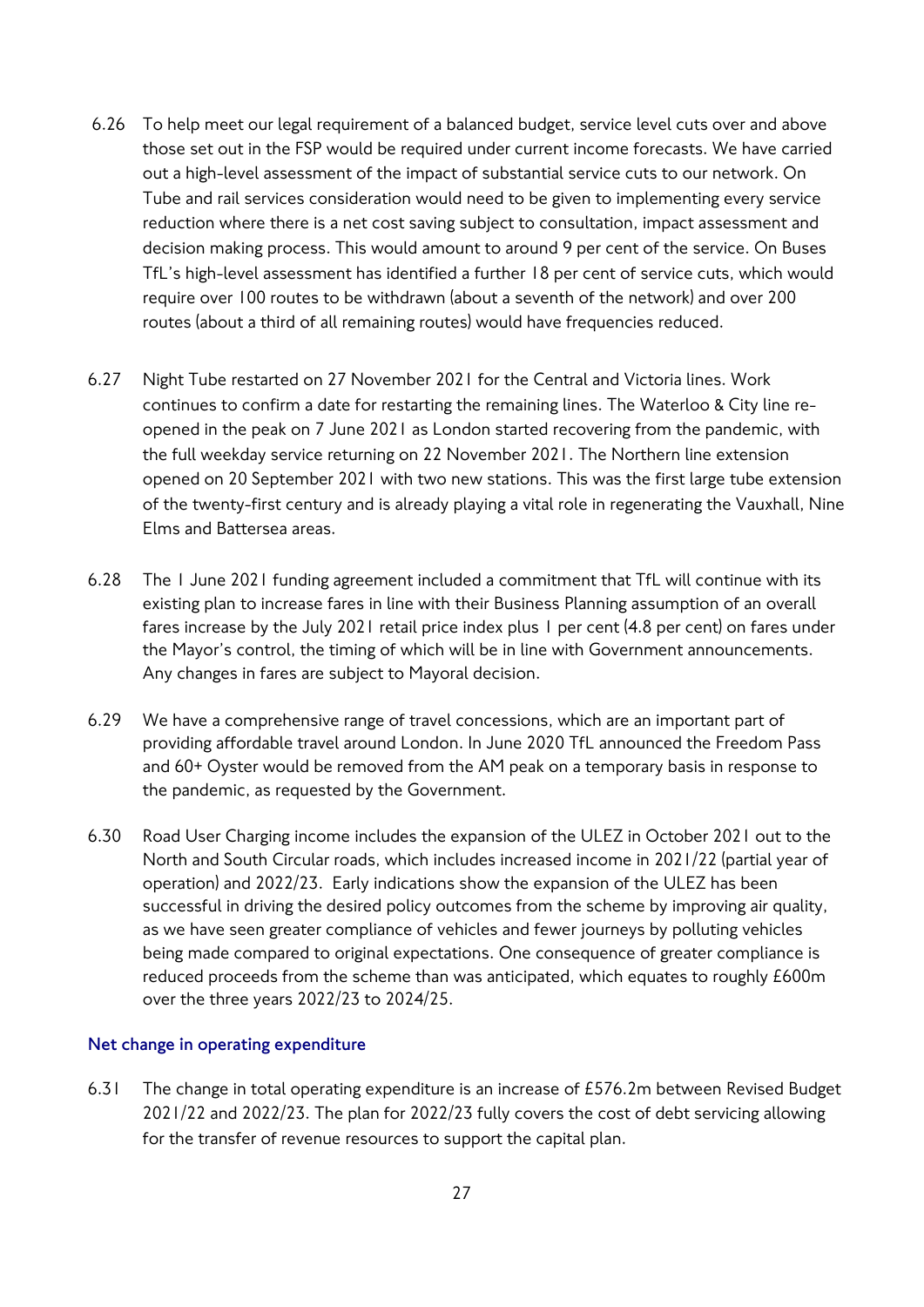- 6.26 To help meet our legal requirement of a balanced budget, service level cuts over and above those set out in the FSP would be required under current income forecasts. We have carried out a high-level assessment of the impact of substantial service cuts to our network. On Tube and rail services consideration would need to be given to implementing every service reduction where there is a net cost saving subject to consultation, impact assessment and decision making process. This would amount to around 9 per cent of the service. On Buses TfL's high-level assessment has identified a further 18 per cent of service cuts, which would require over 100 routes to be withdrawn (about a seventh of the network) and over 200 routes (about a third of all remaining routes) would have frequencies reduced.
- 6.27 Night Tube restarted on 27 November 2021 for the Central and Victoria lines. Work continues to confirm a date for restarting the remaining lines. The Waterloo & City line reopened in the peak on 7 June 2021 as London started recovering from the pandemic, with the full weekday service returning on 22 November 2021. The Northern line extension opened on 20 September 2021 with two new stations. This was the first large tube extension of the twenty-first century and is already playing a vital role in regenerating the Vauxhall, Nine Elms and Battersea areas.
- 6.28 The 1 June 2021 funding agreement included a commitment that TfL will continue with its existing plan to increase fares in line with their Business Planning assumption of an overall fares increase by the July 2021 retail price index plus 1 per cent (4.8 per cent) on fares under the Mayor's control, the timing of which will be in line with Government announcements. Any changes in fares are subject to Mayoral decision.
- 6.29 We have a comprehensive range of travel concessions, which are an important part of providing affordable travel around London. In June 2020 TfL announced the Freedom Pass and 60+ Oyster would be removed from the AM peak on a temporary basis in response to the pandemic, as requested by the Government.
- 6.30 Road User Charging income includes the expansion of the ULEZ in October 2021 out to the North and South Circular roads, which includes increased income in 2021/22 (partial year of operation) and 2022/23. Early indications show the expansion of the ULEZ has been successful in driving the desired policy outcomes from the scheme by improving air quality, as we have seen greater compliance of vehicles and fewer journeys by polluting vehicles being made compared to original expectations. One consequence of greater compliance is reduced proceeds from the scheme than was anticipated, which equates to roughly £600m over the three years 2022/23 to 2024/25.

#### **Net change in operating expenditure**

6.31 The change in total operating expenditure is an increase of £576.2m between Revised Budget 2021/22 and 2022/23. The plan for 2022/23 fully covers the cost of debt servicing allowing for the transfer of revenue resources to support the capital plan.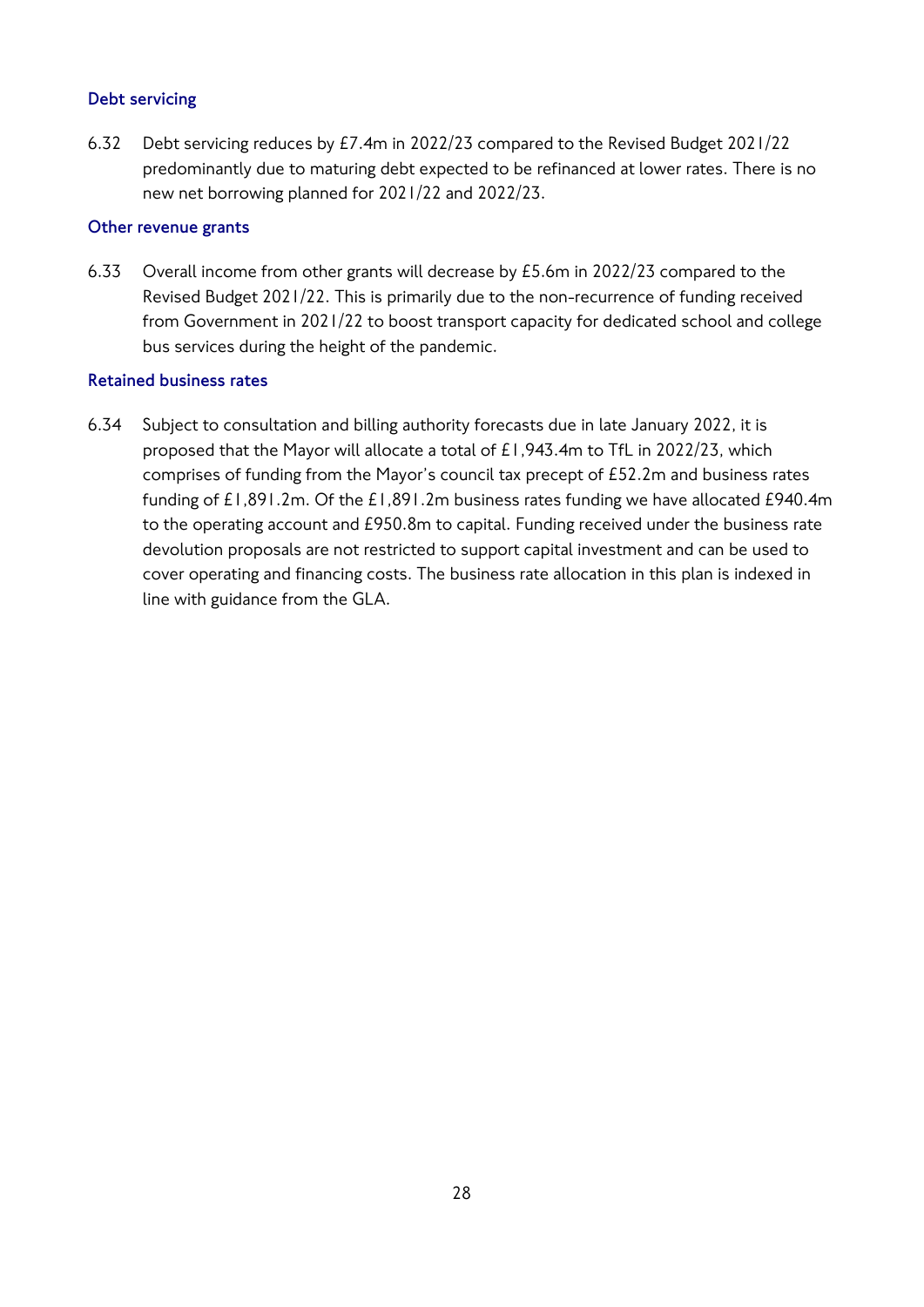## **Debt servicing**

6.32 Debt servicing reduces by £7.4m in 2022/23 compared to the Revised Budget 2021/22 predominantly due to maturing debt expected to be refinanced at lower rates. There is no new net borrowing planned for 2021/22 and 2022/23.

## **Other revenue grants**

6.33 Overall income from other grants will decrease by £5.6m in 2022/23 compared to the Revised Budget 2021/22. This is primarily due to the non-recurrence of funding received from Government in 2021/22 to boost transport capacity for dedicated school and college bus services during the height of the pandemic.

## **Retained business rates**

6.34 Subject to consultation and billing authority forecasts due in late January 2022, it is proposed that the Mayor will allocate a total of £1,943.4m to TfL in 2022/23, which comprises of funding from the Mayor's council tax precept of £52.2m and business rates funding of £1,891.2m. Of the £1,891.2m business rates funding we have allocated £940.4m to the operating account and £950.8m to capital. Funding received under the business rate devolution proposals are not restricted to support capital investment and can be used to cover operating and financing costs. The business rate allocation in this plan is indexed in line with guidance from the GLA.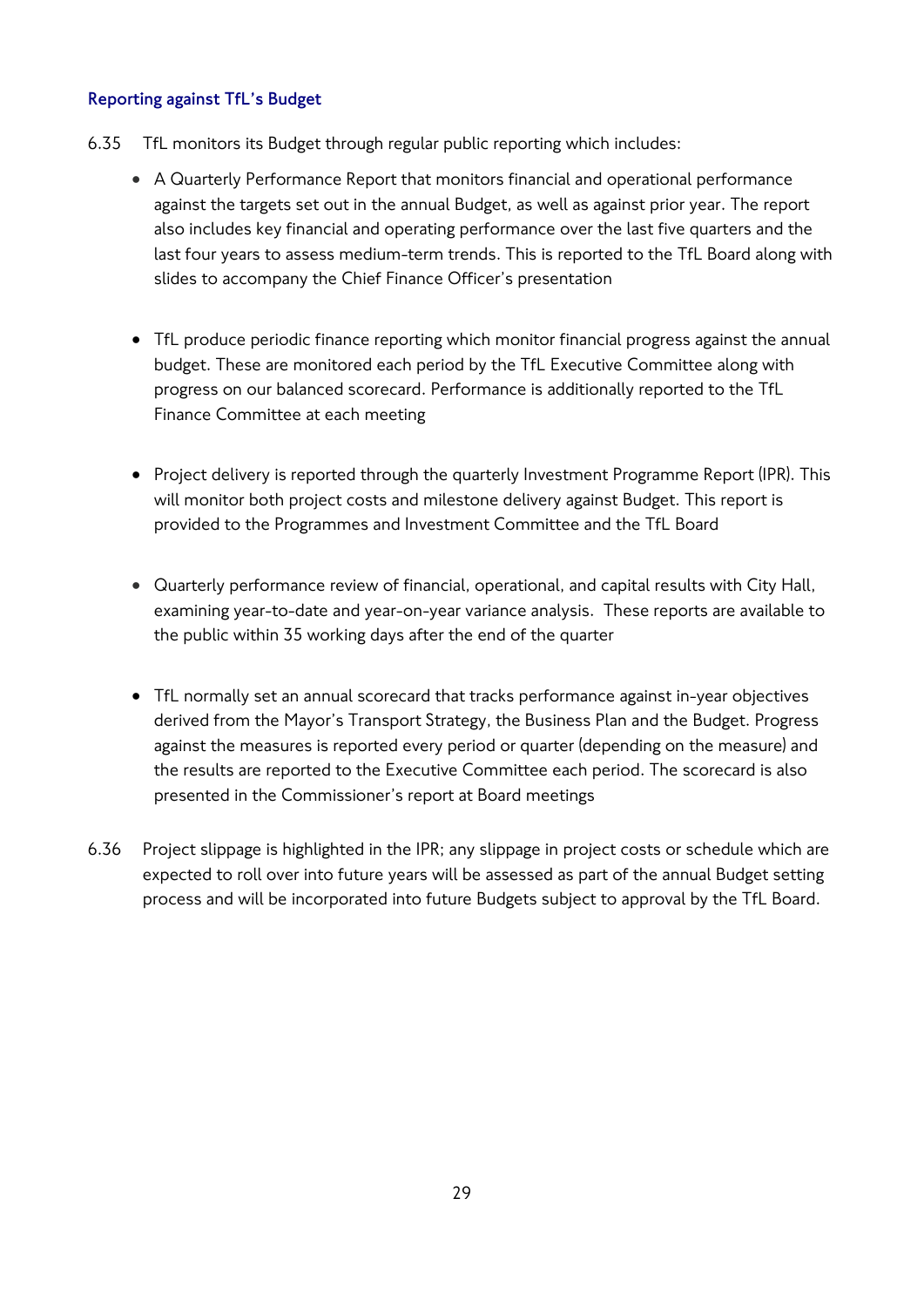## **Reporting against TfL's Budget**

- 6.35 TfL monitors its Budget through regular public reporting which includes:
	- A Quarterly Performance Report that monitors financial and operational performance against the targets set out in the annual Budget, as well as against prior year. The report also includes key financial and operating performance over the last five quarters and the last four years to assess medium-term trends. This is reported to the TfL Board along with slides to accompany the Chief Finance Officer's presentation
	- TfL produce periodic finance reporting which monitor financial progress against the annual budget. These are monitored each period by the TfL Executive Committee along with progress on our balanced scorecard. Performance is additionally reported to the TfL Finance Committee at each meeting
	- Project delivery is reported through the quarterly Investment Programme Report (IPR). This will monitor both project costs and milestone delivery against Budget. This report is provided to the Programmes and Investment Committee and the TfL Board
	- Quarterly performance review of financial, operational, and capital results with City Hall, examining year-to-date and year-on-year variance analysis. These reports are available to the public within 35 working days after the end of the quarter
	- TfL normally set an annual scorecard that tracks performance against in-year objectives derived from the Mayor's Transport Strategy, the Business Plan and the Budget. Progress against the measures is reported every period or quarter (depending on the measure) and the results are reported to the Executive Committee each period. The scorecard is also presented in the Commissioner's report at Board meetings
- 6.36 Project slippage is highlighted in the IPR; any slippage in project costs or schedule which are expected to roll over into future years will be assessed as part of the annual Budget setting process and will be incorporated into future Budgets subject to approval by the TfL Board.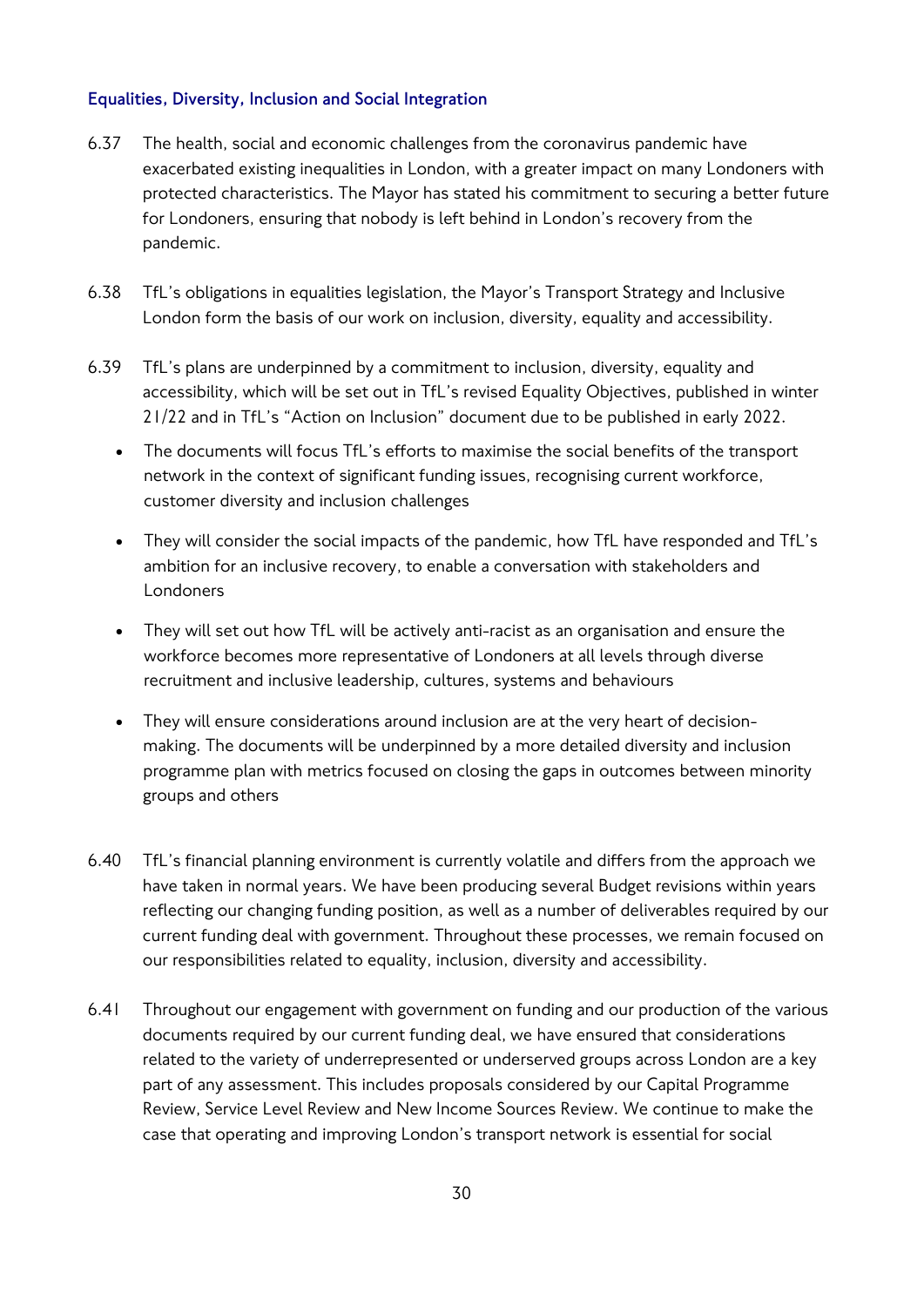## **Equalities, Diversity, Inclusion and Social Integration**

- 6.37 The health, social and economic challenges from the coronavirus pandemic have exacerbated existing inequalities in London, with a greater impact on many Londoners with protected characteristics. The Mayor has stated his commitment to securing a better future for Londoners, ensuring that nobody is left behind in London's recovery from the pandemic.
- 6.38 TfL's obligations in equalities legislation, the Mayor's Transport Strategy and Inclusive London form the basis of our work on inclusion, diversity, equality and accessibility.
- 6.39 TfL's plans are underpinned by a commitment to inclusion, diversity, equality and accessibility, which will be set out in TfL's revised Equality Objectives, published in winter 21/22 and in TfL's "Action on Inclusion" document due to be published in early 2022.
	- The documents will focus TfL's efforts to maximise the social benefits of the transport network in the context of significant funding issues, recognising current workforce, customer diversity and inclusion challenges
	- They will consider the social impacts of the pandemic, how TfL have responded and TfL's ambition for an inclusive recovery, to enable a conversation with stakeholders and Londoners
	- They will set out how TfL will be actively anti-racist as an organisation and ensure the workforce becomes more representative of Londoners at all levels through diverse recruitment and inclusive leadership, cultures, systems and behaviours
	- They will ensure considerations around inclusion are at the very heart of decisionmaking. The documents will be underpinned by a more detailed diversity and inclusion programme plan with metrics focused on closing the gaps in outcomes between minority groups and others
- 6.40 TfL's financial planning environment is currently volatile and differs from the approach we have taken in normal years. We have been producing several Budget revisions within years reflecting our changing funding position, as well as a number of deliverables required by our current funding deal with government. Throughout these processes, we remain focused on our responsibilities related to equality, inclusion, diversity and accessibility.
- 6.41 Throughout our engagement with government on funding and our production of the various documents required by our current funding deal, we have ensured that considerations related to the variety of underrepresented or underserved groups across London are a key part of any assessment. This includes proposals considered by our Capital Programme Review, Service Level Review and New Income Sources Review. We continue to make the case that operating and improving London's transport network is essential for social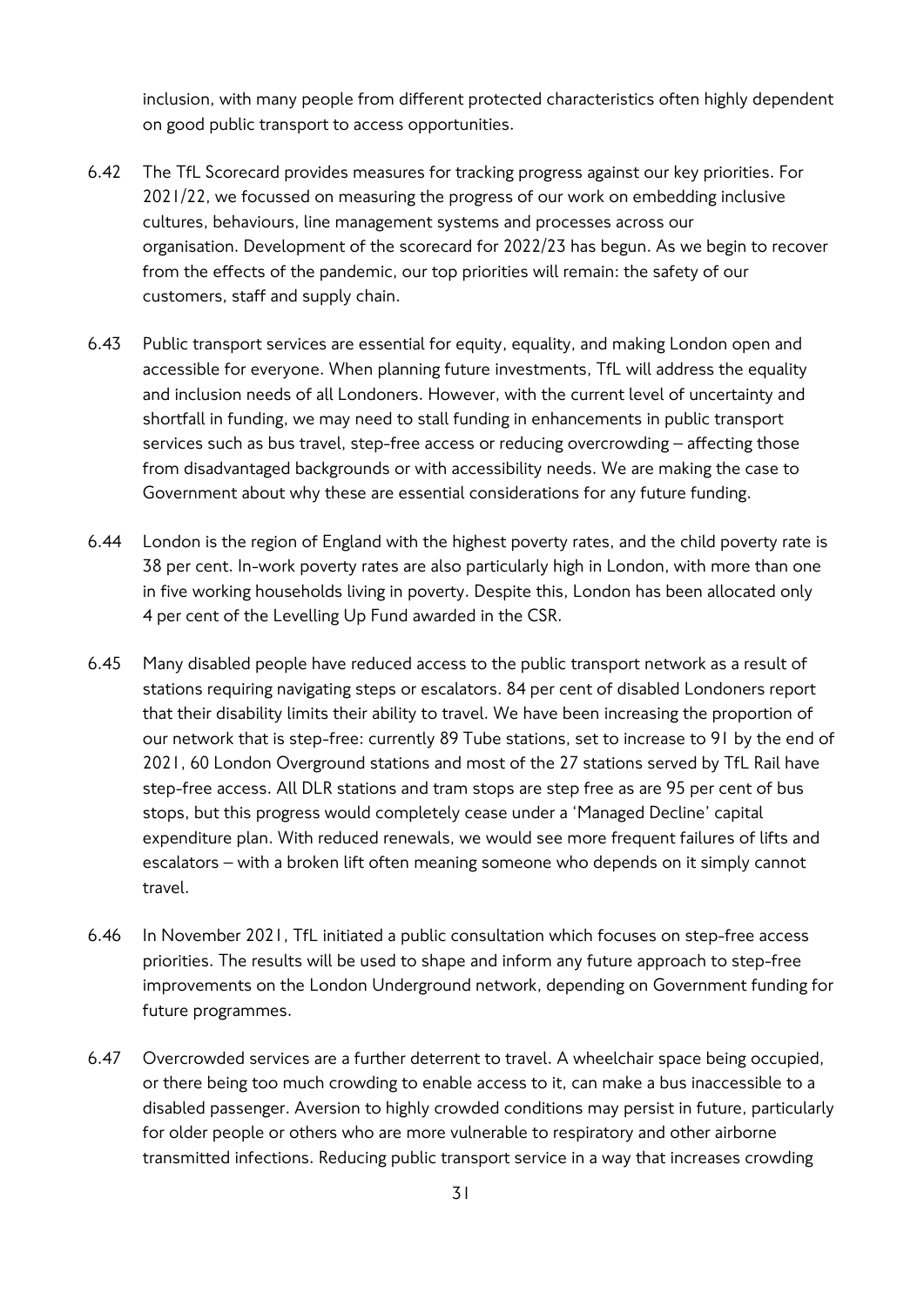inclusion, with many people from different protected characteristics often highly dependent on good public transport to access opportunities.

- 6.42 The TfL Scorecard provides measures for tracking progress against our key priorities. For 2021/22, we focussed on measuring the progress of our work on embedding inclusive cultures, behaviours, line management systems and processes across our organisation. Development of the scorecard for 2022/23 has begun. As we begin to recover from the effects of the pandemic, our top priorities will remain: the safety of our customers, staff and supply chain.
- 6.43 Public transport services are essential for equity, equality, and making London open and accessible for everyone. When planning future investments, TfL will address the equality and inclusion needs of all Londoners. However, with the current level of uncertainty and shortfall in funding, we may need to stall funding in enhancements in public transport services such as bus travel, step-free access or reducing overcrowding – affecting those from disadvantaged backgrounds or with accessibility needs. We are making the case to Government about why these are essential considerations for any future funding.
- 6.44 London is the region of England with the highest poverty rates, and the child poverty rate is 38 per cent. In-work poverty rates are also particularly high in London, with more than one in five working households living in poverty. Despite this, London has been allocated only 4 per cent of the Levelling Up Fund awarded in the CSR.
- 6.45 Many disabled people have reduced access to the public transport network as a result of stations requiring navigating steps or escalators. 84 per cent of disabled Londoners report that their disability limits their ability to travel. We have been increasing the proportion of our network that is step-free: currently 89 Tube stations, set to increase to 91 by the end of 2021, 60 London Overground stations and most of the 27 stations served by TfL Rail have step-free access. All DLR stations and tram stops are step free as are 95 per cent of bus stops, but this progress would completely cease under a 'Managed Decline' capital expenditure plan. With reduced renewals, we would see more frequent failures of lifts and escalators – with a broken lift often meaning someone who depends on it simply cannot travel.
- 6.46 In November 2021, TfL initiated a public consultation which focuses on step-free access priorities. The results will be used to shape and inform any future approach to step-free improvements on the London Underground network, depending on Government funding for future programmes.
- 6.47 Overcrowded services are a further deterrent to travel. A wheelchair space being occupied, or there being too much crowding to enable access to it, can make a bus inaccessible to a disabled passenger. Aversion to highly crowded conditions may persist in future, particularly for older people or others who are more vulnerable to respiratory and other airborne transmitted infections. Reducing public transport service in a way that increases crowding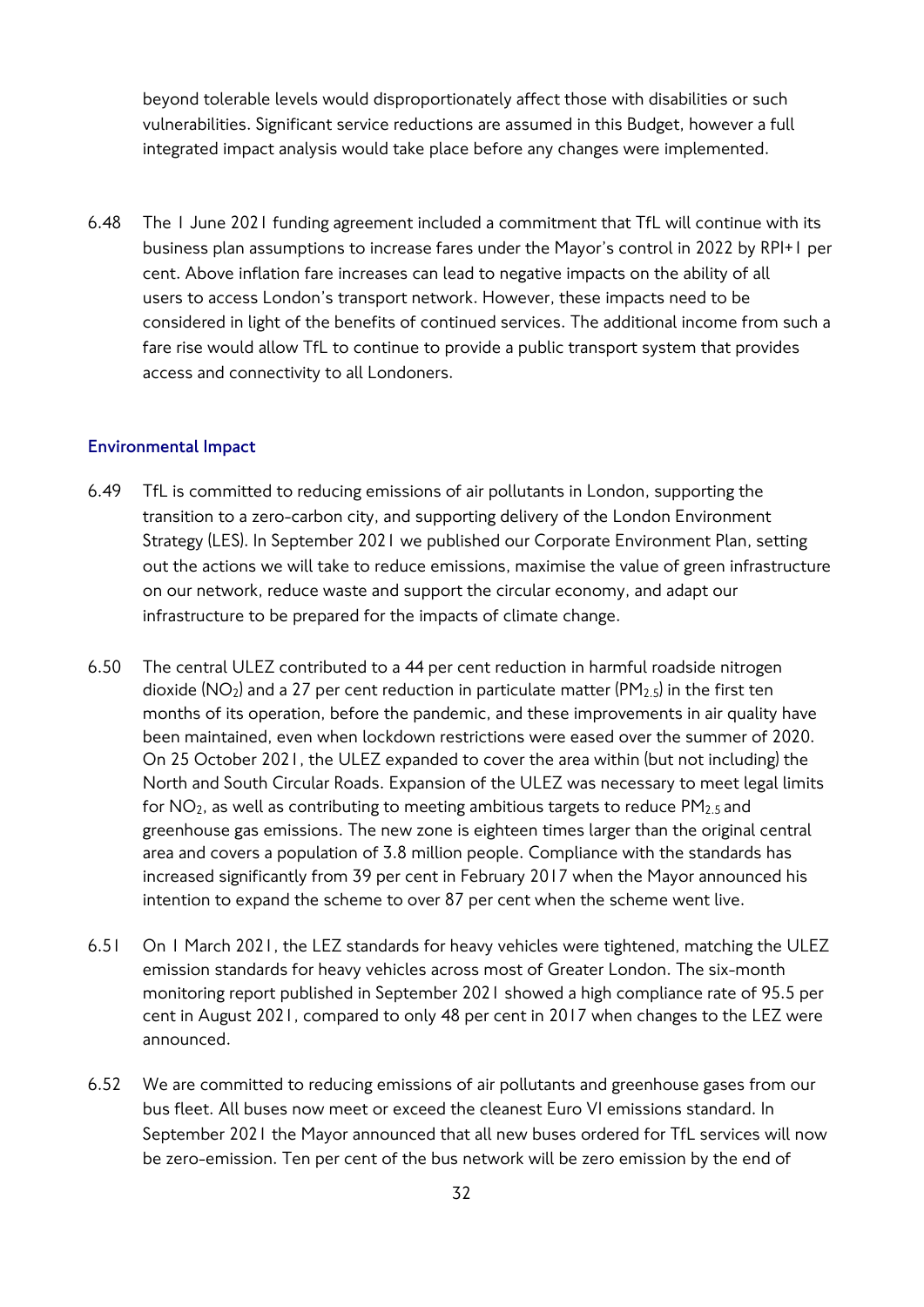beyond tolerable levels would disproportionately affect those with disabilities or such vulnerabilities. Significant service reductions are assumed in this Budget, however a full integrated impact analysis would take place before any changes were implemented.

6.48 The 1 June 2021 funding agreement included a commitment that TfL will continue with its business plan assumptions to increase fares under the Mayor's control in 2022 by RPI+1 per cent. Above inflation fare increases can lead to negative impacts on the ability of all users to access London's transport network. However, these impacts need to be considered in light of the benefits of continued services. The additional income from such a fare rise would allow TfL to continue to provide a public transport system that provides access and connectivity to all Londoners.

#### **Environmental Impact**

- 6.49 TfL is committed to reducing emissions of air pollutants in London, supporting the transition to a zero-carbon city, and supporting delivery of the London Environment Strategy (LES). In September 2021 we published our Corporate Environment Plan, setting out the actions we will take to reduce emissions, maximise the value of green infrastructure on our network, reduce waste and support the circular economy, and adapt our infrastructure to be prepared for the impacts of climate change.
- 6.50 The central ULEZ contributed to a 44 per cent reduction in harmful roadside nitrogen dioxide ( $NO<sub>2</sub>$ ) and a 27 per cent reduction in particulate matter ( $PM<sub>2.5</sub>$ ) in the first ten months of its operation, before the pandemic, and these improvements in air quality have been maintained, even when lockdown restrictions were eased over the summer of 2020. On 25 October 2021, the ULEZ expanded to cover the area within (but not including) the North and South Circular Roads. Expansion of the ULEZ was necessary to meet legal limits for  $NO<sub>2</sub>$ , as well as contributing to meeting ambitious targets to reduce  $PM<sub>2.5</sub>$  and greenhouse gas emissions. The new zone is eighteen times larger than the original central area and covers a population of 3.8 million people. Compliance with the standards has increased significantly from 39 per cent in February 2017 when the Mayor announced his intention to expand the scheme to over 87 per cent when the scheme went live.
- 6.51 On 1 March 2021, the LEZ standards for heavy vehicles were tightened, matching the ULEZ emission standards for heavy vehicles across most of Greater London. The six-month monitoring report published in September 2021 showed a high compliance rate of 95.5 per cent in August 2021, compared to only 48 per cent in 2017 when changes to the LEZ were announced.
- 6.52 We are committed to reducing emissions of air pollutants and greenhouse gases from our bus fleet. All buses now meet or exceed the cleanest Euro VI emissions standard. In September 2021 the Mayor announced that all new buses ordered for TfL services will now be zero-emission. Ten per cent of the bus network will be zero emission by the end of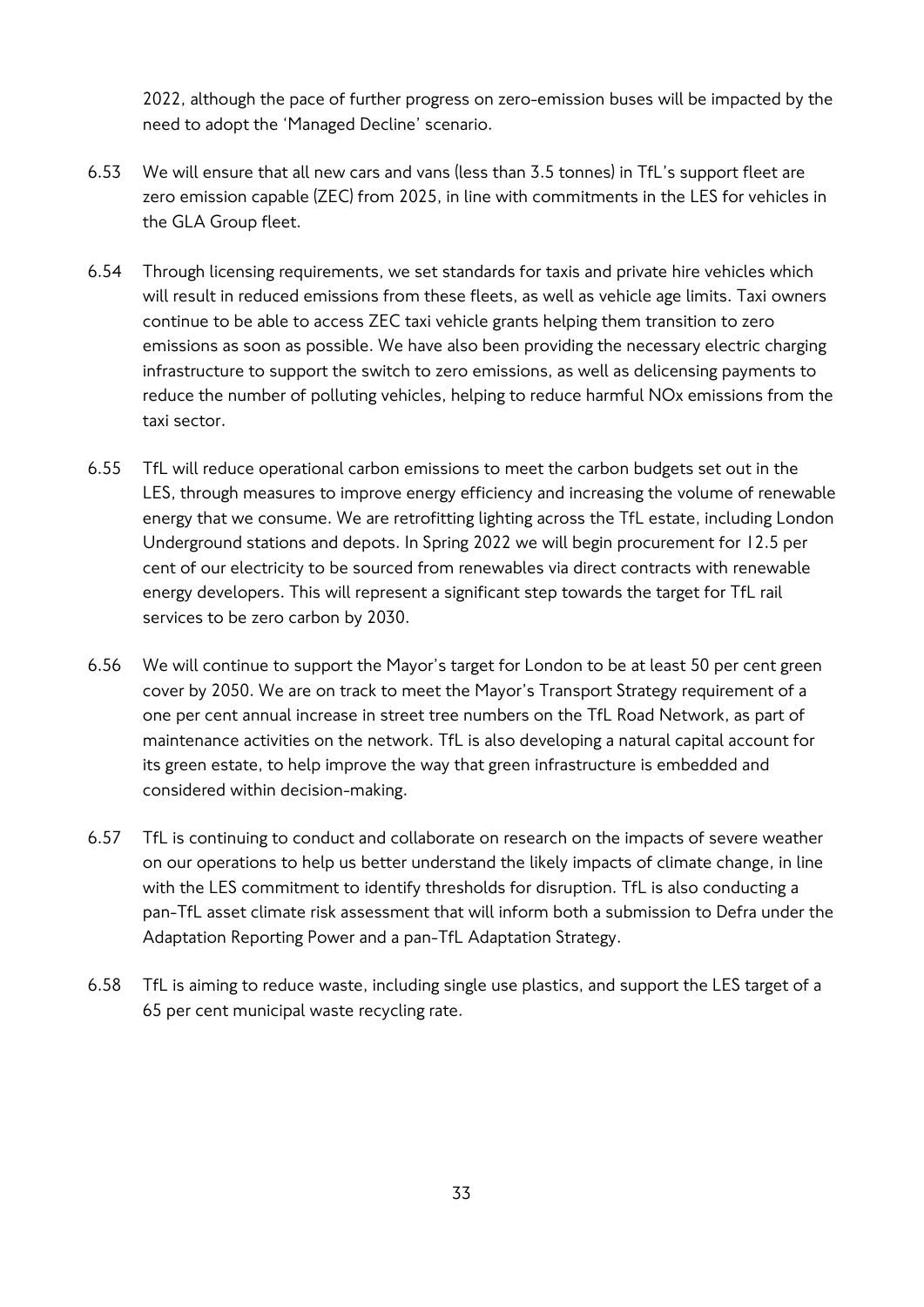2022, although the pace of further progress on zero-emission buses will be impacted by the need to adopt the 'Managed Decline' scenario.

- 6.53 We will ensure that all new cars and vans (less than 3.5 tonnes) in TfL's support fleet are zero emission capable (ZEC) from 2025, in line with commitments in the LES for vehicles in the GLA Group fleet.
- 6.54 Through licensing requirements, we set standards for taxis and private hire vehicles which will result in reduced emissions from these fleets, as well as vehicle age limits. Taxi owners continue to be able to access ZEC taxi vehicle grants helping them transition to zero emissions as soon as possible. We have also been providing the necessary electric charging infrastructure to support the switch to zero emissions, as well as delicensing payments to reduce the number of polluting vehicles, helping to reduce harmful NOx emissions from the taxi sector.
- 6.55 TfL will reduce operational carbon emissions to meet the carbon budgets set out in the LES, through measures to improve energy efficiency and increasing the volume of renewable energy that we consume. We are retrofitting lighting across the TfL estate, including London Underground stations and depots. In Spring 2022 we will begin procurement for 12.5 per cent of our electricity to be sourced from renewables via direct contracts with renewable energy developers. This will represent a significant step towards the target for TfL rail services to be zero carbon by 2030.
- 6.56 We will continue to support the Mayor's target for London to be at least 50 per cent green cover by 2050. We are on track to meet the Mayor's Transport Strategy requirement of a one per cent annual increase in street tree numbers on the TfL Road Network, as part of maintenance activities on the network. TfL is also developing a natural capital account for its green estate, to help improve the way that green infrastructure is embedded and considered within decision-making.
- 6.57 TfL is continuing to conduct and collaborate on research on the impacts of severe weather on our operations to help us better understand the likely impacts of climate change, in line with the LES commitment to identify thresholds for disruption. TfL is also conducting a pan-TfL asset climate risk assessment that will inform both a submission to Defra under the Adaptation Reporting Power and a pan-TfL Adaptation Strategy.
- 6.58 TfL is aiming to reduce waste, including single use plastics, and support the LES target of a 65 per cent municipal waste recycling rate.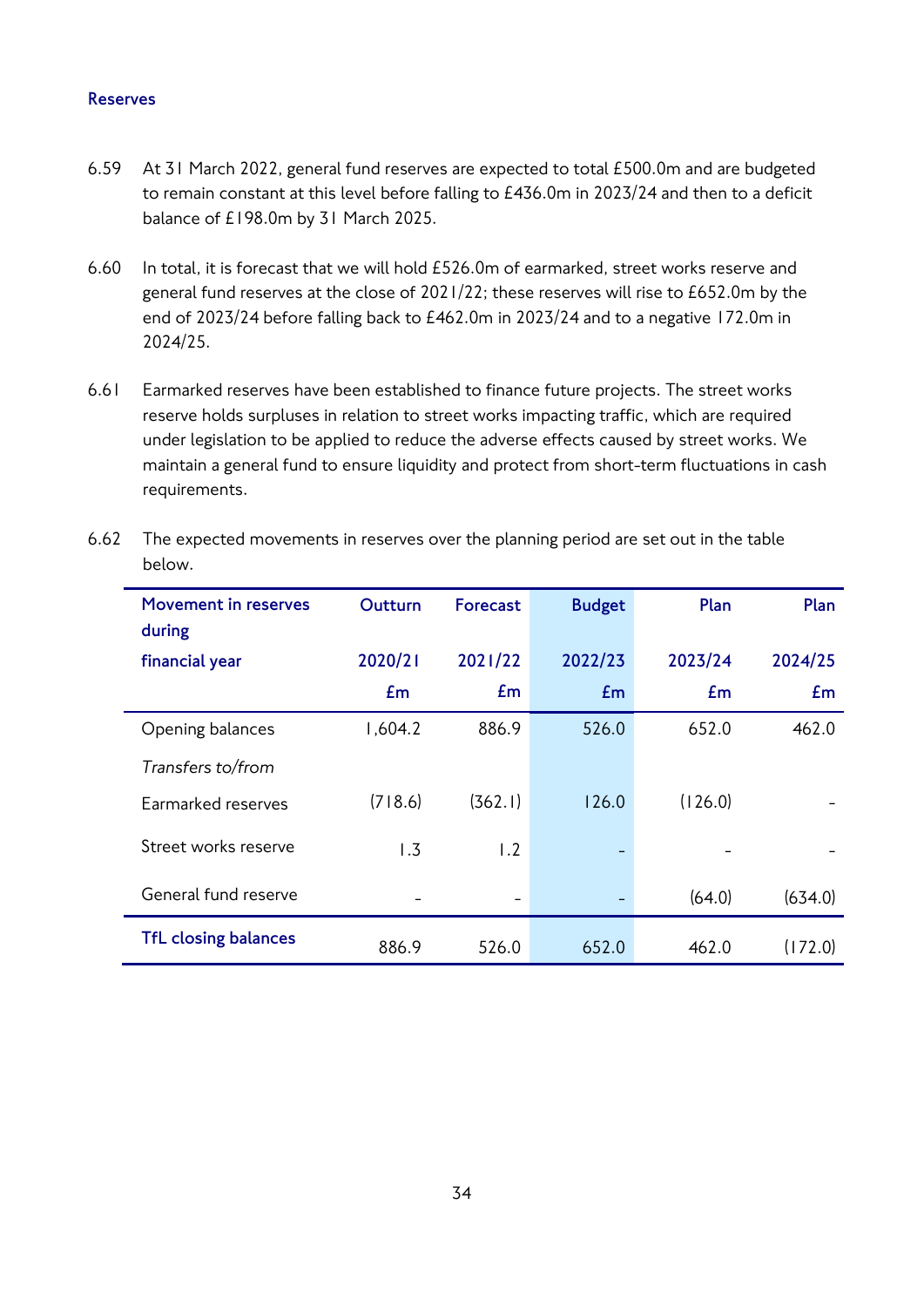#### **Reserves**

- 6.59 At 31 March 2022, general fund reserves are expected to total £500.0m and are budgeted to remain constant at this level before falling to £436.0m in 2023/24 and then to a deficit balance of £198.0m by 31 March 2025.
- 6.60 In total, it is forecast that we will hold £526.0m of earmarked, street works reserve and general fund reserves at the close of 2021/22; these reserves will rise to £652.0m by the end of 2023/24 before falling back to £462.0m in 2023/24 and to a negative 172.0m in 2024/25.
- 6.61 Earmarked reserves have been established to finance future projects. The street works reserve holds surpluses in relation to street works impacting traffic, which are required under legislation to be applied to reduce the adverse effects caused by street works. We maintain a general fund to ensure liquidity and protect from short-term fluctuations in cash requirements.

| -----                          |         |                          |               |         |         |
|--------------------------------|---------|--------------------------|---------------|---------|---------|
| Movement in reserves<br>during | Outturn | Forecast                 | <b>Budget</b> | Plan    | Plan    |
| financial year                 | 2020/21 | 2021/22                  | 2022/23       | 2023/24 | 2024/25 |
|                                | Em      | Em                       | Em            | Em      | Em      |
| Opening balances               | 1,604.2 | 886.9                    | 526.0         | 652.0   | 462.0   |
| Transfers to/from              |         |                          |               |         |         |
| Earmarked reserves             | (718.6) | (362.1)                  | 126.0         | (126.0) |         |
| Street works reserve           | 1.3     | 1.2                      |               |         |         |
| General fund reserve           |         | $\overline{\phantom{0}}$ |               | (64.0)  | (634.0) |
| <b>TfL closing balances</b>    | 886.9   | 526.0                    | 652.0         | 462.0   | (172.0) |

6.62 The expected movements in reserves over the planning period are set out in the table below.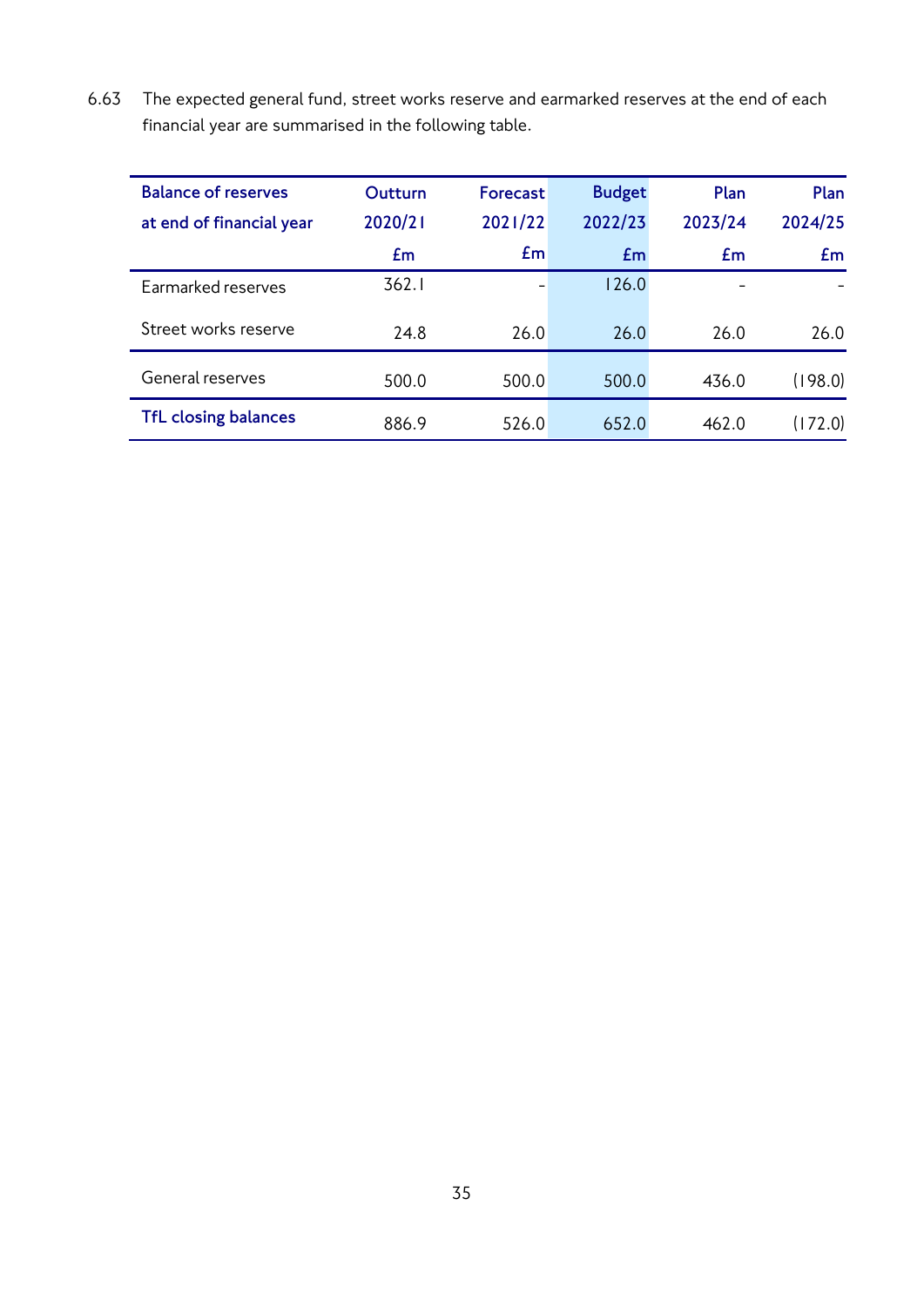6.63 The expected general fund, street works reserve and earmarked reserves at the end of each financial year are summarised in the following table.

| <b>Balance of reserves</b>  | <b>Outturn</b> | Forecast | <b>Budget</b> | Plan    | Plan    |
|-----------------------------|----------------|----------|---------------|---------|---------|
| at end of financial year    | 2020/21        | 2021/22  | 2022/23       | 2023/24 | 2024/25 |
|                             | Em             | Em       | Em            | £m      | Em      |
| Earmarked reserves          | 362.1          |          | 126.0         |         |         |
| Street works reserve        | 24.8           | 26.0     | 26.0          | 26.0    | 26.0    |
| General reserves            | 500.0          | 500.0    | 500.0         | 436.0   | (198.0) |
| <b>TfL closing balances</b> | 886.9          | 526.0    | 652.0         | 462.0   | (172.0) |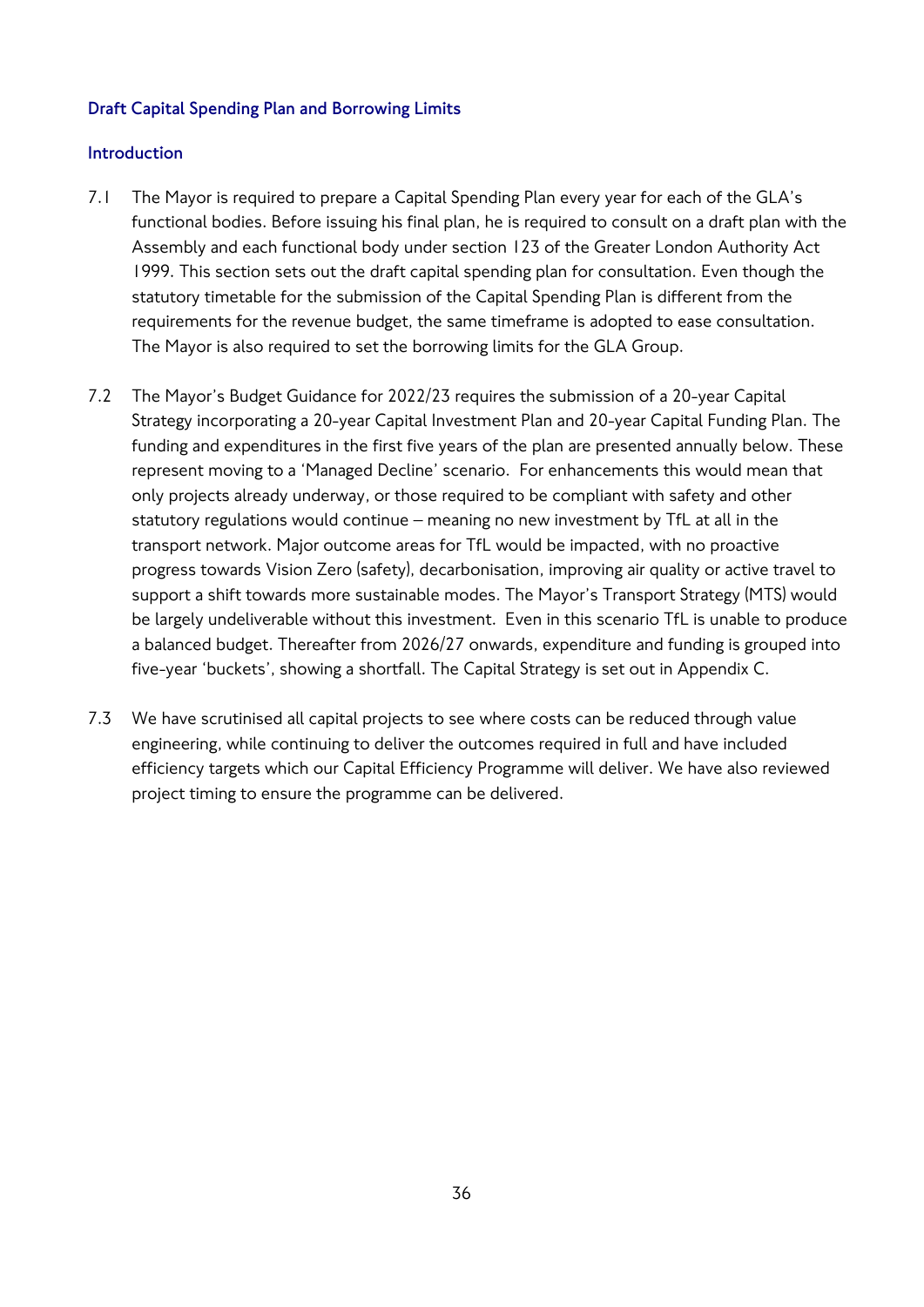## **Draft Capital Spending Plan and Borrowing Limits**

## **Introduction**

- 7.1 The Mayor is required to prepare a Capital Spending Plan every year for each of the GLA's functional bodies. Before issuing his final plan, he is required to consult on a draft plan with the Assembly and each functional body under section 123 of the Greater London Authority Act 1999. This section sets out the draft capital spending plan for consultation. Even though the statutory timetable for the submission of the Capital Spending Plan is different from the requirements for the revenue budget, the same timeframe is adopted to ease consultation. The Mayor is also required to set the borrowing limits for the GLA Group.
- 7.2 The Mayor's Budget Guidance for 2022/23 requires the submission of a 20-year Capital Strategy incorporating a 20-year Capital Investment Plan and 20-year Capital Funding Plan. The funding and expenditures in the first five years of the plan are presented annually below. These represent moving to a 'Managed Decline' scenario. For enhancements this would mean that only projects already underway, or those required to be compliant with safety and other statutory regulations would continue – meaning no new investment by TfL at all in the transport network. Major outcome areas for TfL would be impacted, with no proactive progress towards Vision Zero (safety), decarbonisation, improving air quality or active travel to support a shift towards more sustainable modes. The Mayor's Transport Strategy (MTS) would be largely undeliverable without this investment. Even in this scenario TfL is unable to produce a balanced budget. Thereafter from 2026/27 onwards, expenditure and funding is grouped into five-year 'buckets', showing a shortfall. The Capital Strategy is set out in Appendix C.
- 7.3 We have scrutinised all capital projects to see where costs can be reduced through value engineering, while continuing to deliver the outcomes required in full and have included efficiency targets which our Capital Efficiency Programme will deliver. We have also reviewed project timing to ensure the programme can be delivered.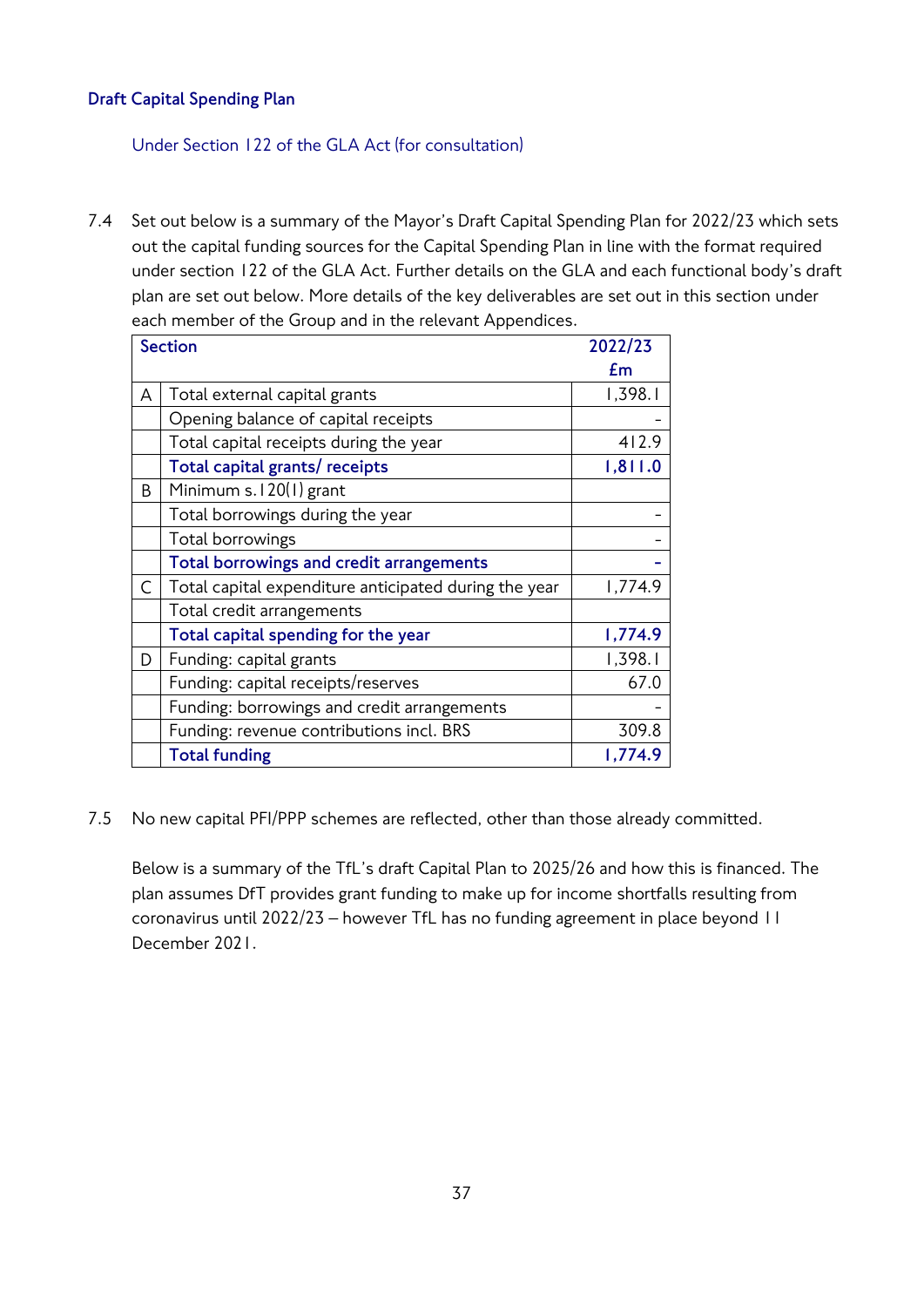## **Draft Capital Spending Plan**

Under Section 122 of the GLA Act (for consultation)

7.4 Set out below is a summary of the Mayor's Draft Capital Spending Plan for 2022/23 which sets out the capital funding sources for the Capital Spending Plan in line with the format required under section 122 of the GLA Act. Further details on the GLA and each functional body's draft plan are set out below. More details of the key deliverables are set out in this section under each member of the Group and in the relevant Appendices.

|   | <b>Section</b>                                        | 2022/23 |
|---|-------------------------------------------------------|---------|
|   |                                                       | £m      |
| A | Total external capital grants                         | 1,398.1 |
|   | Opening balance of capital receipts                   |         |
|   | Total capital receipts during the year                | 412.9   |
|   | Total capital grants/ receipts                        | 1,811.0 |
| B | Minimum s. I 20(I) grant                              |         |
|   | Total borrowings during the year                      |         |
|   | Total borrowings                                      |         |
|   | Total borrowings and credit arrangements              |         |
| C | Total capital expenditure anticipated during the year | 1,774.9 |
|   | Total credit arrangements                             |         |
|   | Total capital spending for the year                   | 1,774.9 |
| D | Funding: capital grants                               | 1,398.1 |
|   | Funding: capital receipts/reserves                    | 67.0    |
|   | Funding: borrowings and credit arrangements           |         |
|   | Funding: revenue contributions incl. BRS              | 309.8   |
|   | <b>Total funding</b>                                  | 1,774.9 |

7.5 No new capital PFI/PPP schemes are reflected, other than those already committed.

Below is a summary of the TfL's draft Capital Plan to 2025/26 and how this is financed. The plan assumes DfT provides grant funding to make up for income shortfalls resulting from coronavirus until 2022/23 – however TfL has no funding agreement in place beyond 11 December 2021.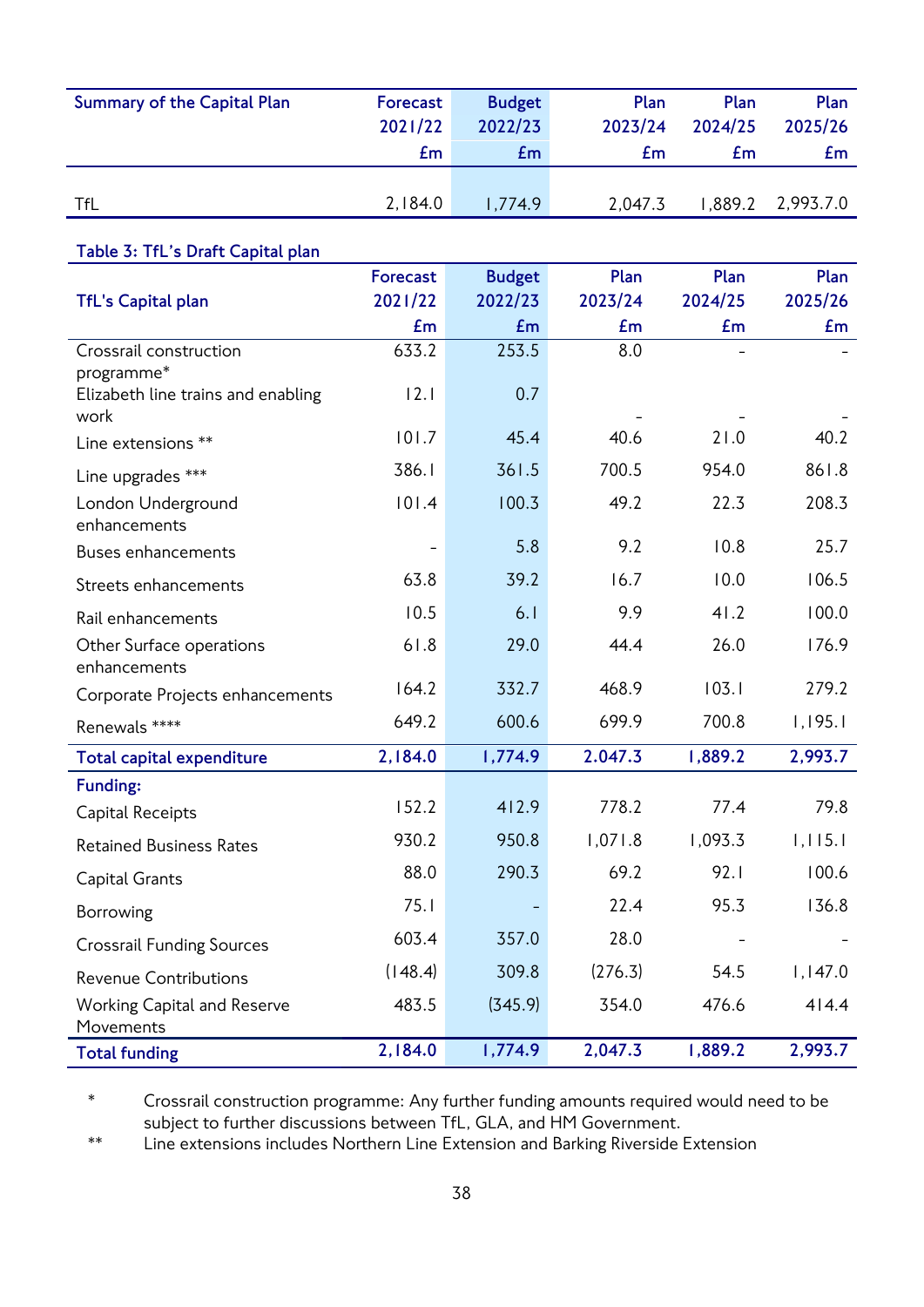| <b>Summary of the Capital Plan</b>              | <b>Forecast</b><br>2021/22 | <b>Budget</b><br>2022/23 | Plan<br>2023/24 | Plan<br>2024/25 | Plan<br>2025/26 |
|-------------------------------------------------|----------------------------|--------------------------|-----------------|-----------------|-----------------|
|                                                 | Em                         | Em                       | Em              | Em              | Em              |
|                                                 |                            |                          |                 |                 |                 |
| TfL                                             | 2,184.0                    | 1,774.9                  | 2,047.3         | 1,889.2         | 2,993.7.0       |
| Table 3: TfL's Draft Capital plan               |                            |                          |                 |                 |                 |
|                                                 | <b>Forecast</b>            | <b>Budget</b>            | Plan            | Plan            | Plan            |
| <b>TfL's Capital plan</b>                       | 2021/22                    | 2022/23                  | 2023/24         | 2024/25         | 2025/26         |
|                                                 | Em                         | Em                       | Em              | Em              | Em              |
| Crossrail construction<br>programme*            | 633.2                      | 253.5                    | 8.0             |                 |                 |
| Elizabeth line trains and enabling<br>work      | 12.1                       | 0.7                      |                 |                 |                 |
| Line extensions **                              | 101.7                      | 45.4                     | 40.6            | 21.0            | 40.2            |
| Line upgrades ***                               | 386.1                      | 361.5                    | 700.5           | 954.0           | 861.8           |
| London Underground<br>enhancements              | 101.4                      | 100.3                    | 49.2            | 22.3            | 208.3           |
| <b>Buses enhancements</b>                       | -                          | 5.8                      | 9.2             | 10.8            | 25.7            |
| Streets enhancements                            | 63.8                       | 39.2                     | 16.7            | 10.0            | 106.5           |
| Rail enhancements                               | 10.5                       | 6.1                      | 9.9             | 41.2            | 100.0           |
| Other Surface operations<br>enhancements        | 61.8                       | 29.0                     | 44.4            | 26.0            | 176.9           |
| Corporate Projects enhancements                 | 164.2                      | 332.7                    | 468.9           | 103.1           | 279.2           |
| Renewals ****                                   | 649.2                      | 600.6                    | 699.9           | 700.8           | 1,195.1         |
| <b>Total capital expenditure</b>                | 2,184.0                    | 1,774.9                  | 2.047.3         | 1,889.2         | 2,993.7         |
| Funding:                                        |                            |                          |                 |                 |                 |
| Capital Receipts                                | 152.2                      | 412.9                    | 778.2           | 77.4            | 79.8            |
| <b>Retained Business Rates</b>                  | 930.2                      | 950.8                    | 1,071.8         | 1,093.3         | 1,115.1         |
| Capital Grants                                  | 88.0                       | 290.3                    | 69.2            | 92.1            | 100.6           |
| Borrowing                                       | 75.1                       |                          | 22.4            | 95.3            | 136.8           |
| <b>Crossrail Funding Sources</b>                | 603.4                      | 357.0                    | 28.0            |                 |                 |
| <b>Revenue Contributions</b>                    | (148.4)                    | 309.8                    | (276.3)         | 54.5            | 1,147.0         |
| <b>Working Capital and Reserve</b><br>Movements | 483.5                      | (345.9)                  | 354.0           | 476.6           | 414.4           |
| <b>Total funding</b>                            | 2,184.0                    | 1,774.9                  | 2,047.3         | 1,889.2         | 2,993.7         |

\* Crossrail construction programme: Any further funding amounts required would need to be subject to further discussions between TfL, GLA, and HM Government.

\*\* Line extensions includes Northern Line Extension and Barking Riverside Extension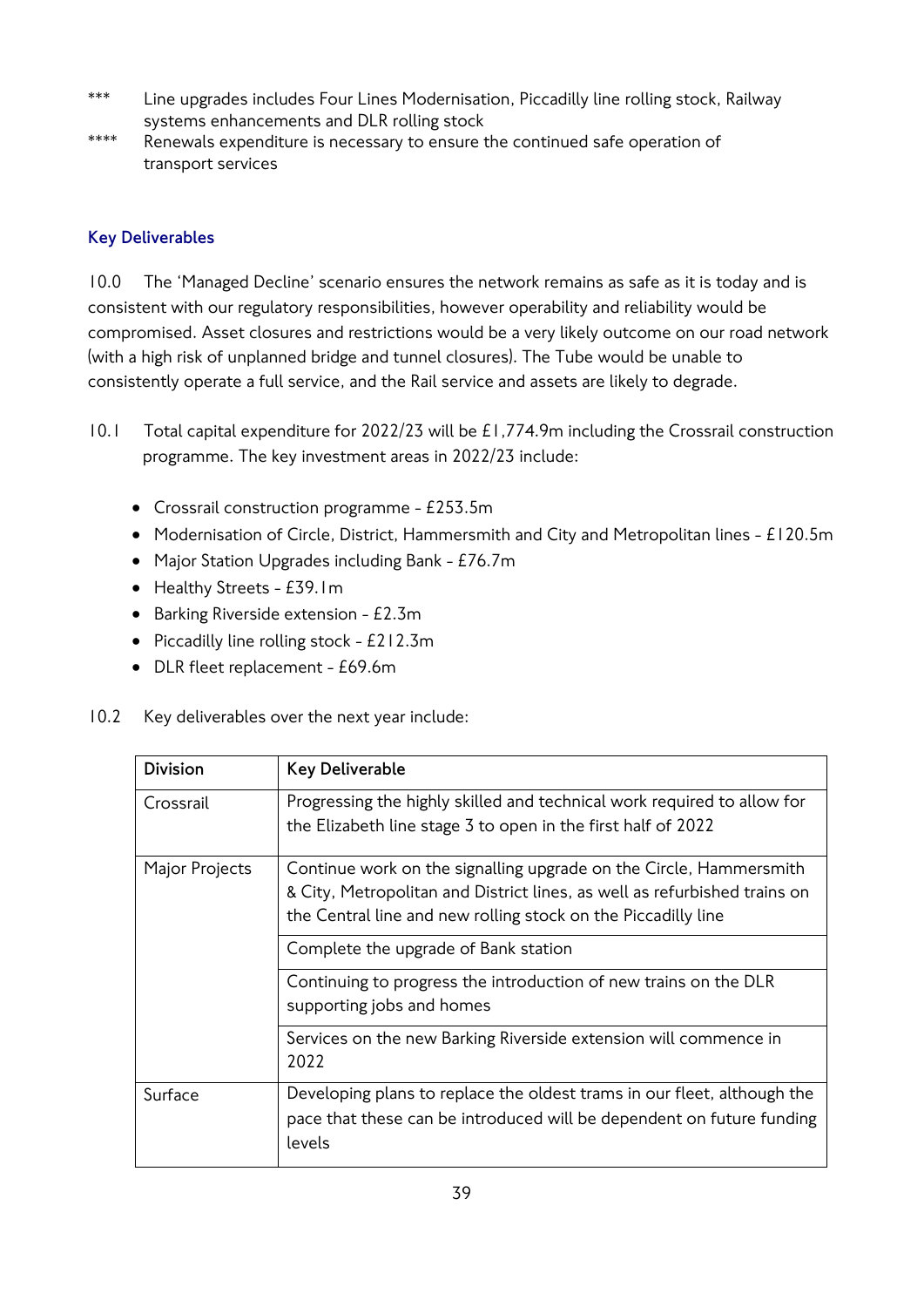- \*\*\* Line upgrades includes Four Lines Modernisation, Piccadilly line rolling stock, Railway systems enhancements and DLR rolling stock
- \*\*\*\* Renewals expenditure is necessary to ensure the continued safe operation of transport services

## **Key Deliverables**

10.0 The 'Managed Decline' scenario ensures the network remains as safe as it is today and is consistent with our regulatory responsibilities, however operability and reliability would be compromised. Asset closures and restrictions would be a very likely outcome on our road network (with a high risk of unplanned bridge and tunnel closures). The Tube would be unable to consistently operate a full service, and the Rail service and assets are likely to degrade.

- 10.1 Total capital expenditure for 2022/23 will be £1,774.9m including the Crossrail construction programme. The key investment areas in 2022/23 include:
	- Crossrail construction programme £253.5m
	- Modernisation of Circle, District, Hammersmith and City and Metropolitan lines £120.5m
	- Major Station Upgrades including Bank £76.7m
	- Healthy Streets £39.1m
	- Barking Riverside extension £2.3m
	- Piccadilly line rolling stock £212.3m
	- DLR fleet replacement £69.6m
- 10.2 Key deliverables over the next year include:

| <b>Division</b> | <b>Key Deliverable</b>                                                                                                                                                                                           |
|-----------------|------------------------------------------------------------------------------------------------------------------------------------------------------------------------------------------------------------------|
| Crossrail       | Progressing the highly skilled and technical work required to allow for<br>the Elizabeth line stage 3 to open in the first half of 2022                                                                          |
| Major Projects  | Continue work on the signalling upgrade on the Circle, Hammersmith<br>& City, Metropolitan and District lines, as well as refurbished trains on<br>the Central line and new rolling stock on the Piccadilly line |
|                 | Complete the upgrade of Bank station                                                                                                                                                                             |
|                 | Continuing to progress the introduction of new trains on the DLR<br>supporting jobs and homes                                                                                                                    |
|                 | Services on the new Barking Riverside extension will commence in<br>2022                                                                                                                                         |
| Surface         | Developing plans to replace the oldest trams in our fleet, although the<br>pace that these can be introduced will be dependent on future funding<br>levels                                                       |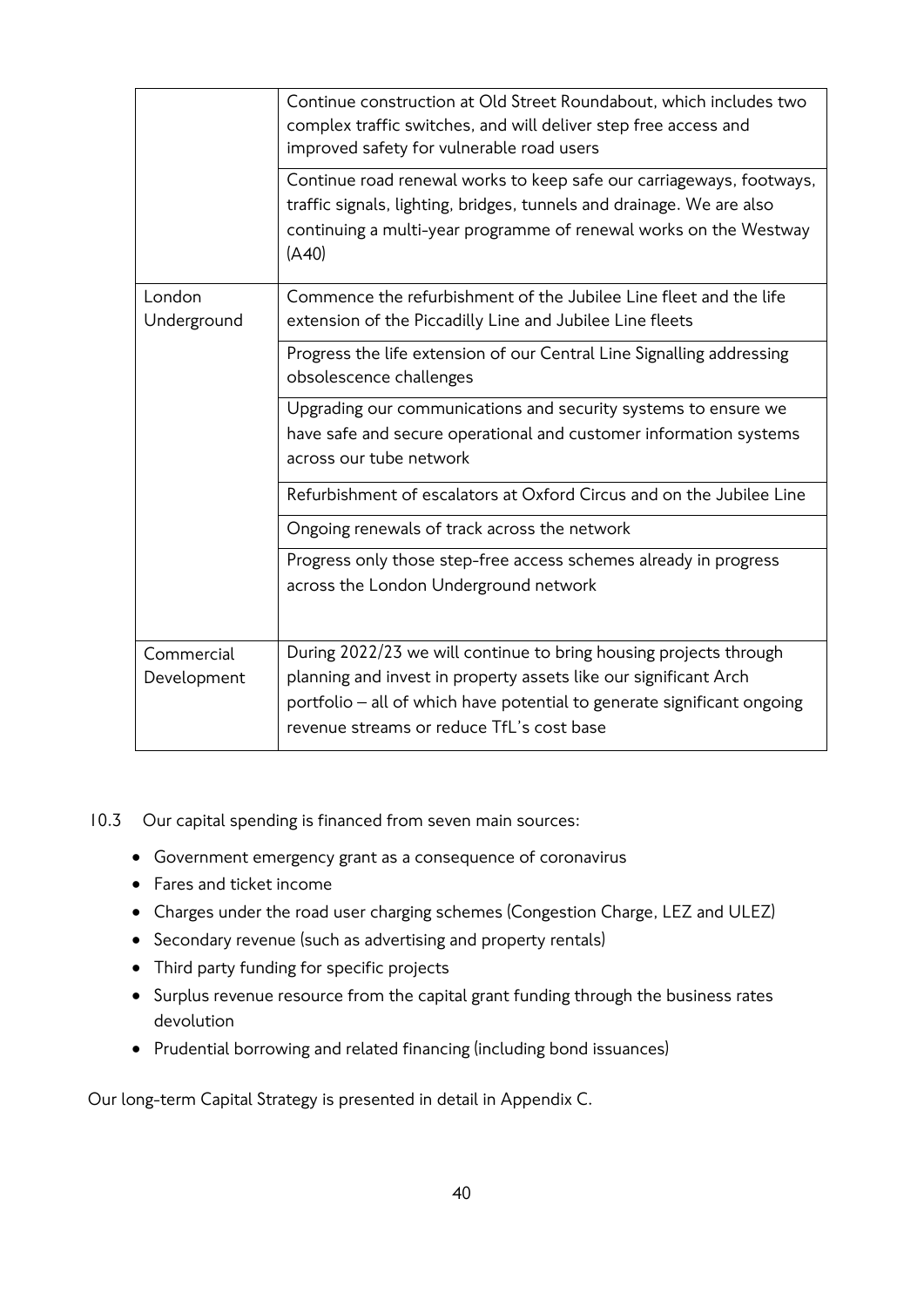|                           | Continue construction at Old Street Roundabout, which includes two<br>complex traffic switches, and will deliver step free access and<br>improved safety for vulnerable road users<br>Continue road renewal works to keep safe our carriageways, footways,<br>traffic signals, lighting, bridges, tunnels and drainage. We are also<br>continuing a multi-year programme of renewal works on the Westway<br>(A40) |
|---------------------------|-------------------------------------------------------------------------------------------------------------------------------------------------------------------------------------------------------------------------------------------------------------------------------------------------------------------------------------------------------------------------------------------------------------------|
| London<br>Underground     | Commence the refurbishment of the Jubilee Line fleet and the life<br>extension of the Piccadilly Line and Jubilee Line fleets                                                                                                                                                                                                                                                                                     |
|                           | Progress the life extension of our Central Line Signalling addressing<br>obsolescence challenges                                                                                                                                                                                                                                                                                                                  |
|                           | Upgrading our communications and security systems to ensure we<br>have safe and secure operational and customer information systems<br>across our tube network                                                                                                                                                                                                                                                    |
|                           | Refurbishment of escalators at Oxford Circus and on the Jubilee Line                                                                                                                                                                                                                                                                                                                                              |
|                           | Ongoing renewals of track across the network                                                                                                                                                                                                                                                                                                                                                                      |
|                           | Progress only those step-free access schemes already in progress<br>across the London Underground network                                                                                                                                                                                                                                                                                                         |
| Commercial<br>Development | During 2022/23 we will continue to bring housing projects through<br>planning and invest in property assets like our significant Arch<br>portfolio - all of which have potential to generate significant ongoing<br>revenue streams or reduce TfL's cost base                                                                                                                                                     |

10.3 Our capital spending is financed from seven main sources:

- Government emergency grant as a consequence of coronavirus
- Fares and ticket income
- Charges under the road user charging schemes (Congestion Charge, LEZ and ULEZ)
- Secondary revenue (such as advertising and property rentals)
- Third party funding for specific projects
- Surplus revenue resource from the capital grant funding through the business rates devolution
- Prudential borrowing and related financing (including bond issuances)

Our long-term Capital Strategy is presented in detail in Appendix C.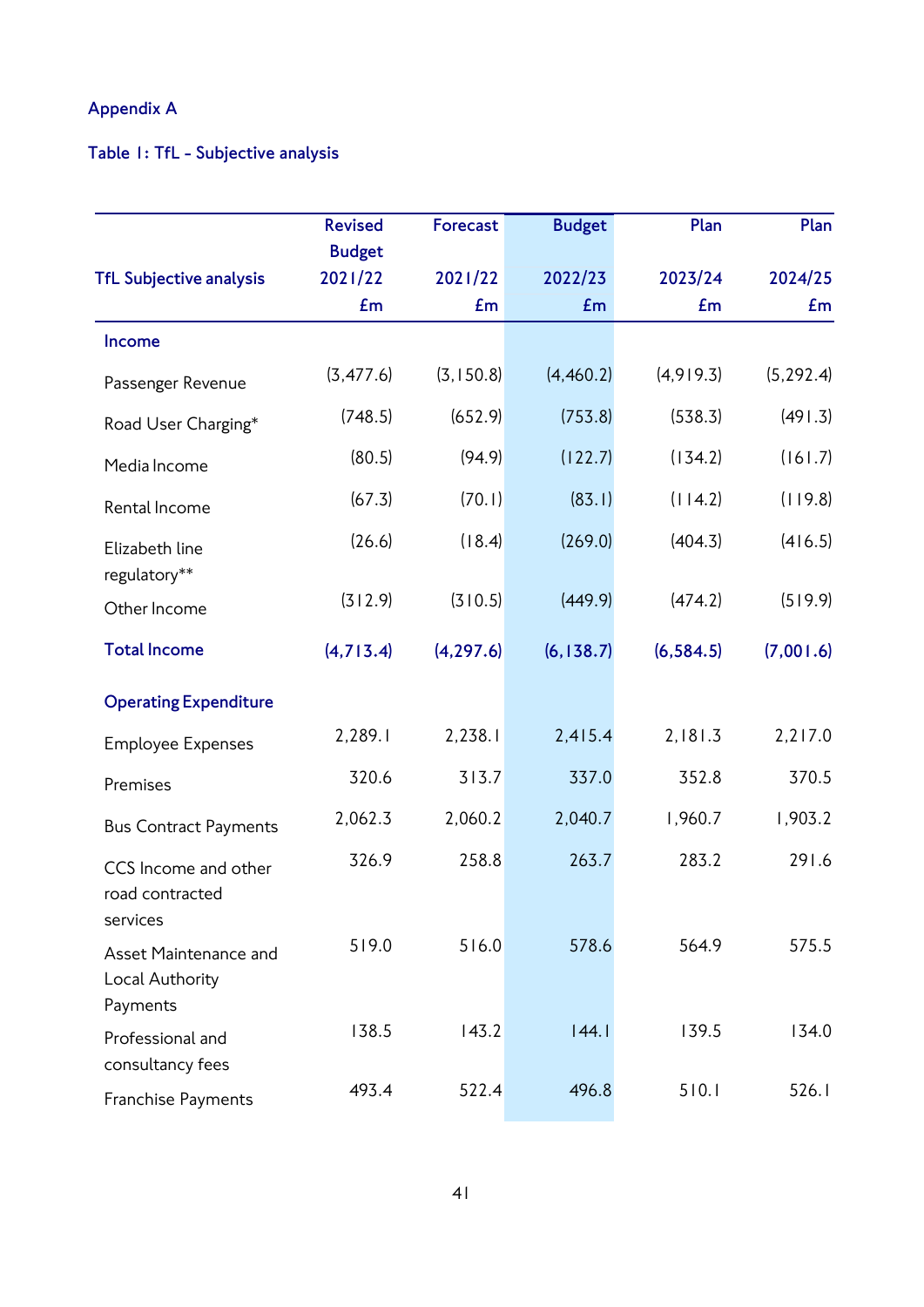## **Appendix A**

# **Table 1: TfL - Subjective analysis**

|                                                      | <b>Revised</b> | <b>Forecast</b> | <b>Budget</b> | Plan       | Plan       |
|------------------------------------------------------|----------------|-----------------|---------------|------------|------------|
|                                                      | <b>Budget</b>  |                 |               |            |            |
| <b>TfL Subjective analysis</b>                       | 2021/22        | 2021/22         | 2022/23       | 2023/24    | 2024/25    |
|                                                      | Em             | Em              | Em            | £m         | Em         |
| Income                                               |                |                 |               |            |            |
| Passenger Revenue                                    | (3, 477.6)     | (3, 150.8)      | (4,460.2)     | (4,919.3)  | (5, 292.4) |
| Road User Charging*                                  | (748.5)        | (652.9)         | (753.8)       | (538.3)    | (491.3)    |
| Media Income                                         | (80.5)         | (94.9)          | (122.7)       | (134.2)    | (161.7)    |
| Rental Income                                        | (67.3)         | (70.1)          | (83.1)        | (114.2)    | (119.8)    |
| Elizabeth line<br>regulatory**                       | (26.6)         | (18.4)          | (269.0)       | (404.3)    | (416.5)    |
| Other Income                                         | (312.9)        | (310.5)         | (449.9)       | (474.2)    | (519.9)    |
| <b>Total Income</b>                                  | (4,713.4)      | (4, 297.6)      | (6, 138.7)    | (6, 584.5) | (7,001.6)  |
| <b>Operating Expenditure</b>                         |                |                 |               |            |            |
| <b>Employee Expenses</b>                             | 2,289.1        | 2,238.1         | 2,415.4       | 2,181.3    | 2,217.0    |
| Premises                                             | 320.6          | 313.7           | 337.0         | 352.8      | 370.5      |
| <b>Bus Contract Payments</b>                         | 2,062.3        | 2,060.2         | 2,040.7       | 1,960.7    | 1,903.2    |
| CCS Income and other<br>road contracted<br>services  | 326.9          | 258.8           | 263.7         | 283.2      | 291.6      |
| Asset Maintenance and<br>Local Authority<br>Payments | 519.0          | 516.0           | 578.6         | 564.9      | 575.5      |
| Professional and<br>consultancy fees                 | 138.5          | 143.2           | 44.1          | 139.5      | 134.0      |
| Franchise Payments                                   | 493.4          | 522.4           | 496.8         | 510.1      | 526.1      |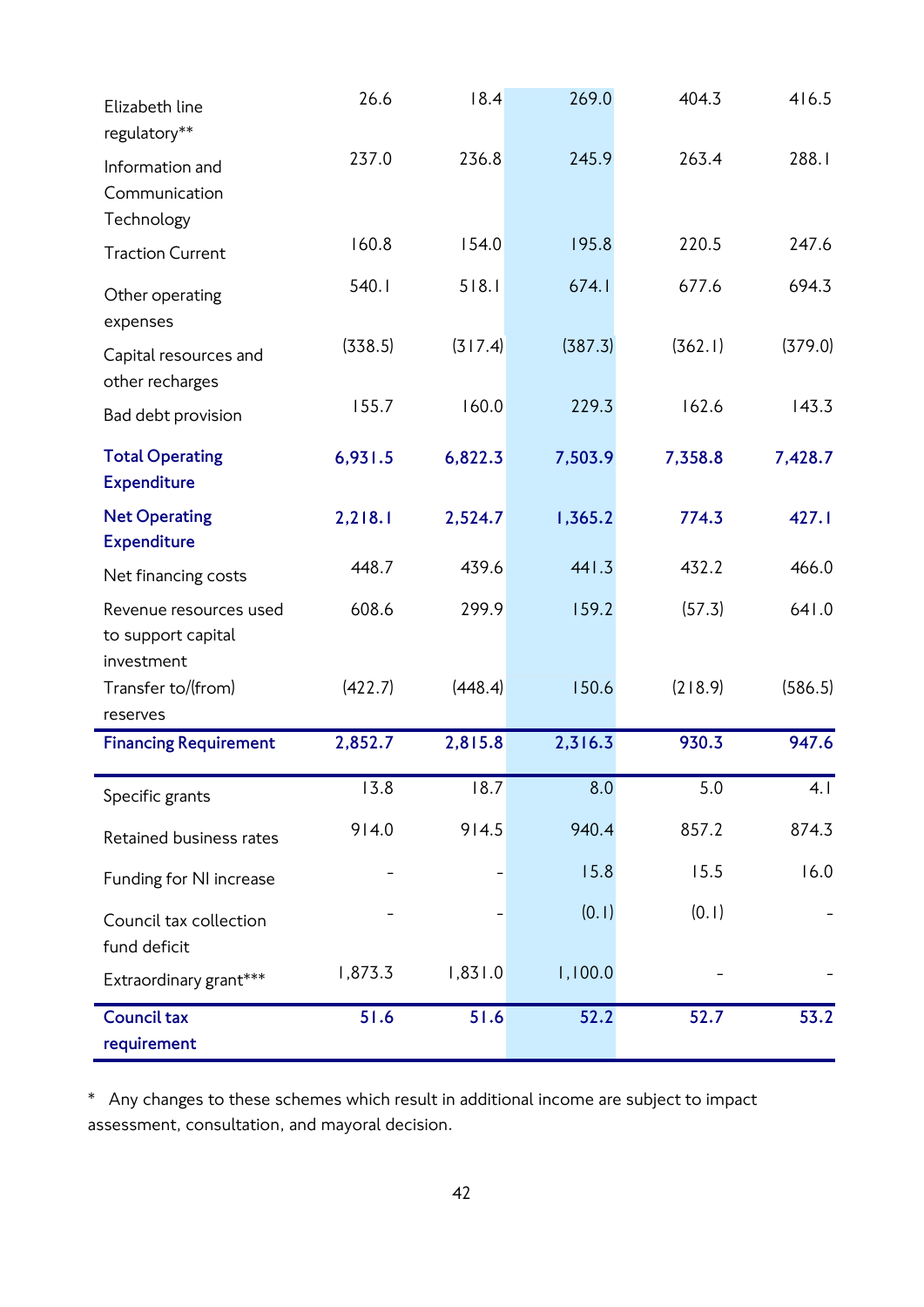| Elizabeth line<br>regulatory**                             | 26.6    | 18.4    | 269.0   | 404.3   | 416.5   |
|------------------------------------------------------------|---------|---------|---------|---------|---------|
| Information and<br>Communication<br>Technology             | 237.0   | 236.8   | 245.9   | 263.4   | 288.1   |
| <b>Traction Current</b>                                    | 160.8   | 154.0   | 195.8   | 220.5   | 247.6   |
| Other operating<br>expenses                                | 540.1   | 518.1   | 674.1   | 677.6   | 694.3   |
| Capital resources and<br>other recharges                   | (338.5) | (317.4) | (387.3) | (362.1) | (379.0) |
| Bad debt provision                                         | 155.7   | 160.0   | 229.3   | 162.6   | 143.3   |
| <b>Total Operating</b><br><b>Expenditure</b>               | 6,931.5 | 6,822.3 | 7,503.9 | 7,358.8 | 7,428.7 |
| <b>Net Operating</b><br><b>Expenditure</b>                 | 2,218.1 | 2,524.7 | 1,365.2 | 774.3   | 427.1   |
| Net financing costs                                        | 448.7   | 439.6   | 441.3   | 432.2   | 466.0   |
| Revenue resources used<br>to support capital<br>investment | 608.6   | 299.9   | 159.2   | (57.3)  | 641.0   |
| Transfer to/(from)<br>reserves                             | (422.7) | (448.4) | 150.6   | (218.9) | (586.5) |
| <b>Financing Requirement</b>                               | 2,852.7 | 2,815.8 | 2,316.3 | 930.3   | 947.6   |
| Specific grants                                            | 13.8    | 18.7    | 8.0     | 5.0     | 4. I    |
| Retained business rates                                    | 914.0   | 914.5   | 940.4   | 857.2   | 874.3   |
| Funding for NI increase                                    |         |         | 15.8    | 15.5    | 16.0    |
| Council tax collection<br>fund deficit                     |         |         | (0.1)   | (0.1)   |         |
| Extraordinary grant***                                     | 1,873.3 | 1,831.0 | 1,100.0 |         |         |
| <b>Council tax</b><br>requirement                          | 51.6    | 51.6    | 52.2    | 52.7    | 53.2    |

\* Any changes to these schemes which result in additional income are subject to impact assessment, consultation, and mayoral decision.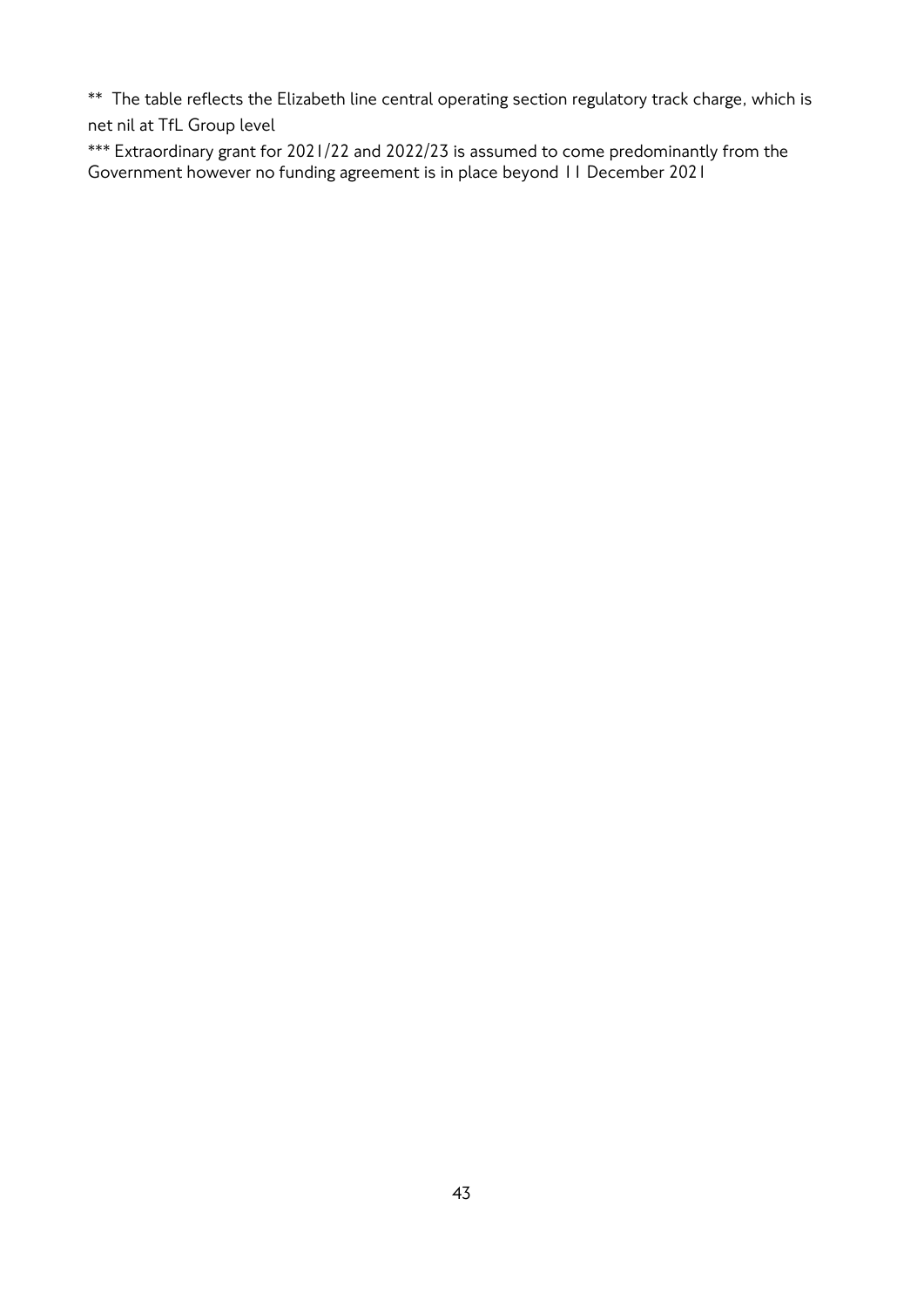\*\* The table reflects the Elizabeth line central operating section regulatory track charge, which is net nil at TfL Group level

\*\*\* Extraordinary grant for 2021/22 and 2022/23 is assumed to come predominantly from the Government however no funding agreement is in place beyond 11 December 2021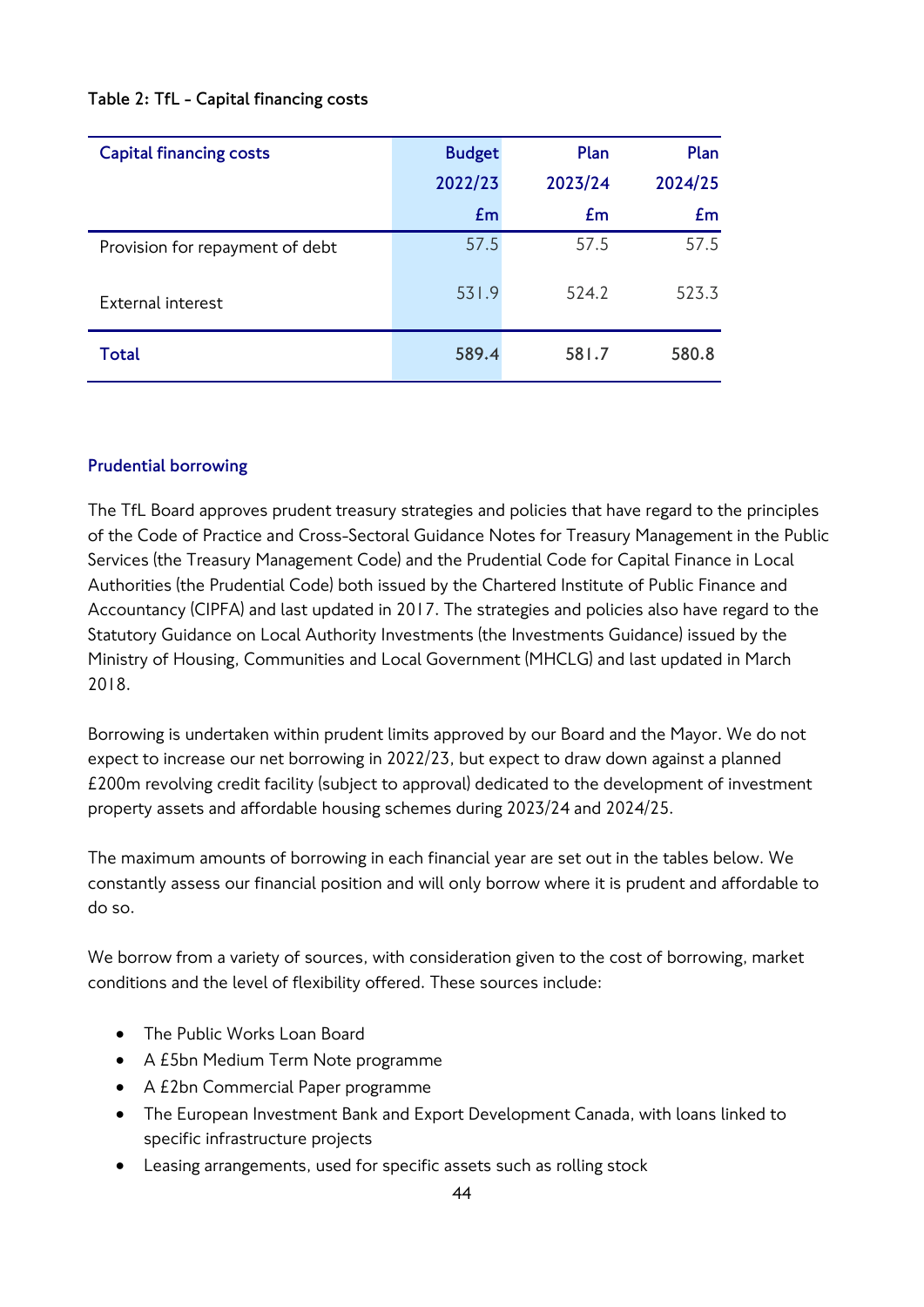## **Table 2: TfL - Capital financing costs**

| <b>Capital financing costs</b>  | <b>Budget</b> | Plan    | Plan    |
|---------------------------------|---------------|---------|---------|
|                                 | 2022/23       | 2023/24 | 2024/25 |
|                                 | Em            | £m      | Em      |
| Provision for repayment of debt | 57.5          | 57.5    | 57.5    |
| External interest               | 531.9         | 524.2   | 523.3   |
| Total                           | 589.4         | 581.7   | 580.8   |

## **Prudential borrowing**

The TfL Board approves prudent treasury strategies and policies that have regard to the principles of the Code of Practice and Cross-Sectoral Guidance Notes for Treasury Management in the Public Services (the Treasury Management Code) and the Prudential Code for Capital Finance in Local Authorities (the Prudential Code) both issued by the Chartered Institute of Public Finance and Accountancy (CIPFA) and last updated in 2017. The strategies and policies also have regard to the Statutory Guidance on Local Authority Investments (the Investments Guidance) issued by the Ministry of Housing, Communities and Local Government (MHCLG) and last updated in March 2018.

Borrowing is undertaken within prudent limits approved by our Board and the Mayor. We do not expect to increase our net borrowing in 2022/23, but expect to draw down against a planned £200m revolving credit facility (subject to approval) dedicated to the development of investment property assets and affordable housing schemes during 2023/24 and 2024/25.

The maximum amounts of borrowing in each financial year are set out in the tables below. We constantly assess our financial position and will only borrow where it is prudent and affordable to do so.

We borrow from a variety of sources, with consideration given to the cost of borrowing, market conditions and the level of flexibility offered. These sources include:

- The Public Works Loan Board
- A £5bn Medium Term Note programme
- A £2bn Commercial Paper programme
- The European Investment Bank and Export Development Canada, with loans linked to specific infrastructure projects
- Leasing arrangements, used for specific assets such as rolling stock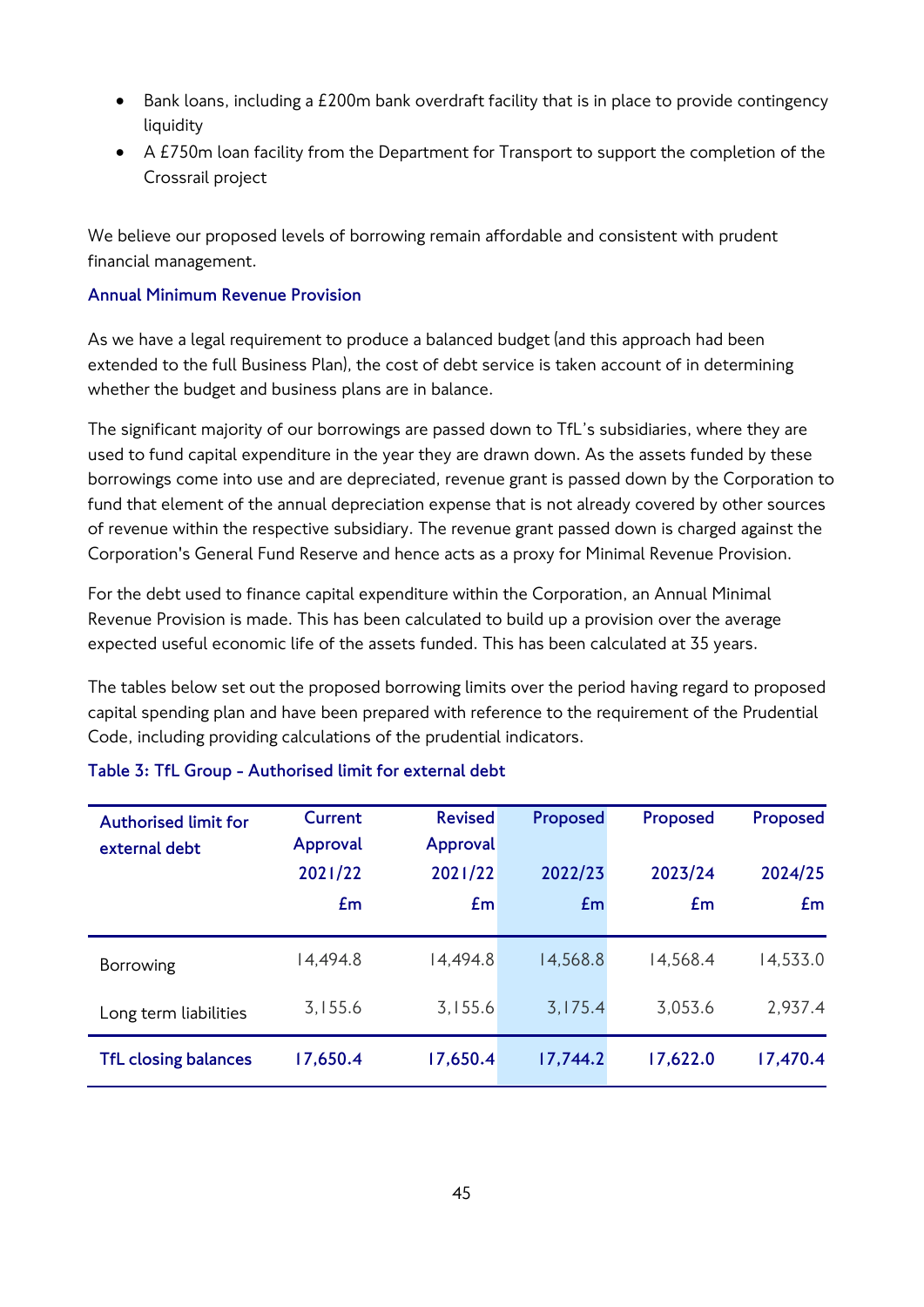- Bank loans, including a £200m bank overdraft facility that is in place to provide contingency liquidity
- A £750m loan facility from the Department for Transport to support the completion of the Crossrail project

We believe our proposed levels of borrowing remain affordable and consistent with prudent financial management.

## **Annual Minimum Revenue Provision**

As we have a legal requirement to produce a balanced budget (and this approach had been extended to the full Business Plan), the cost of debt service is taken account of in determining whether the budget and business plans are in balance.

The significant majority of our borrowings are passed down to TfL's subsidiaries, where they are used to fund capital expenditure in the year they are drawn down. As the assets funded by these borrowings come into use and are depreciated, revenue grant is passed down by the Corporation to fund that element of the annual depreciation expense that is not already covered by other sources of revenue within the respective subsidiary. The revenue grant passed down is charged against the Corporation's General Fund Reserve and hence acts as a proxy for Minimal Revenue Provision.

For the debt used to finance capital expenditure within the Corporation, an Annual Minimal Revenue Provision is made. This has been calculated to build up a provision over the average expected useful economic life of the assets funded. This has been calculated at 35 years.

The tables below set out the proposed borrowing limits over the period having regard to proposed capital spending plan and have been prepared with reference to the requirement of the Prudential Code, including providing calculations of the prudential indicators.

| <b>Authorised limit for</b> | Current  | <b>Revised</b> | Proposed | Proposed | Proposed |
|-----------------------------|----------|----------------|----------|----------|----------|
| external debt               | Approval | Approval       |          |          |          |
|                             | 2021/22  | 2021/22        | 2022/23  | 2023/24  | 2024/25  |
|                             | Em       | £m             | Em       | £m       | Em       |
|                             |          |                |          |          |          |
| Borrowing                   | 14,494.8 | 14,494.8       | 14,568.8 | 14,568.4 | 14,533.0 |
| Long term liabilities       | 3,155.6  | 3,155.6        | 3,175.4  | 3,053.6  | 2,937.4  |
| <b>TfL closing balances</b> | 17,650.4 | 17,650.4       | 17,744.2 | 17,622.0 | 17,470.4 |

## **Table 3: TfL Group - Authorised limit for external debt**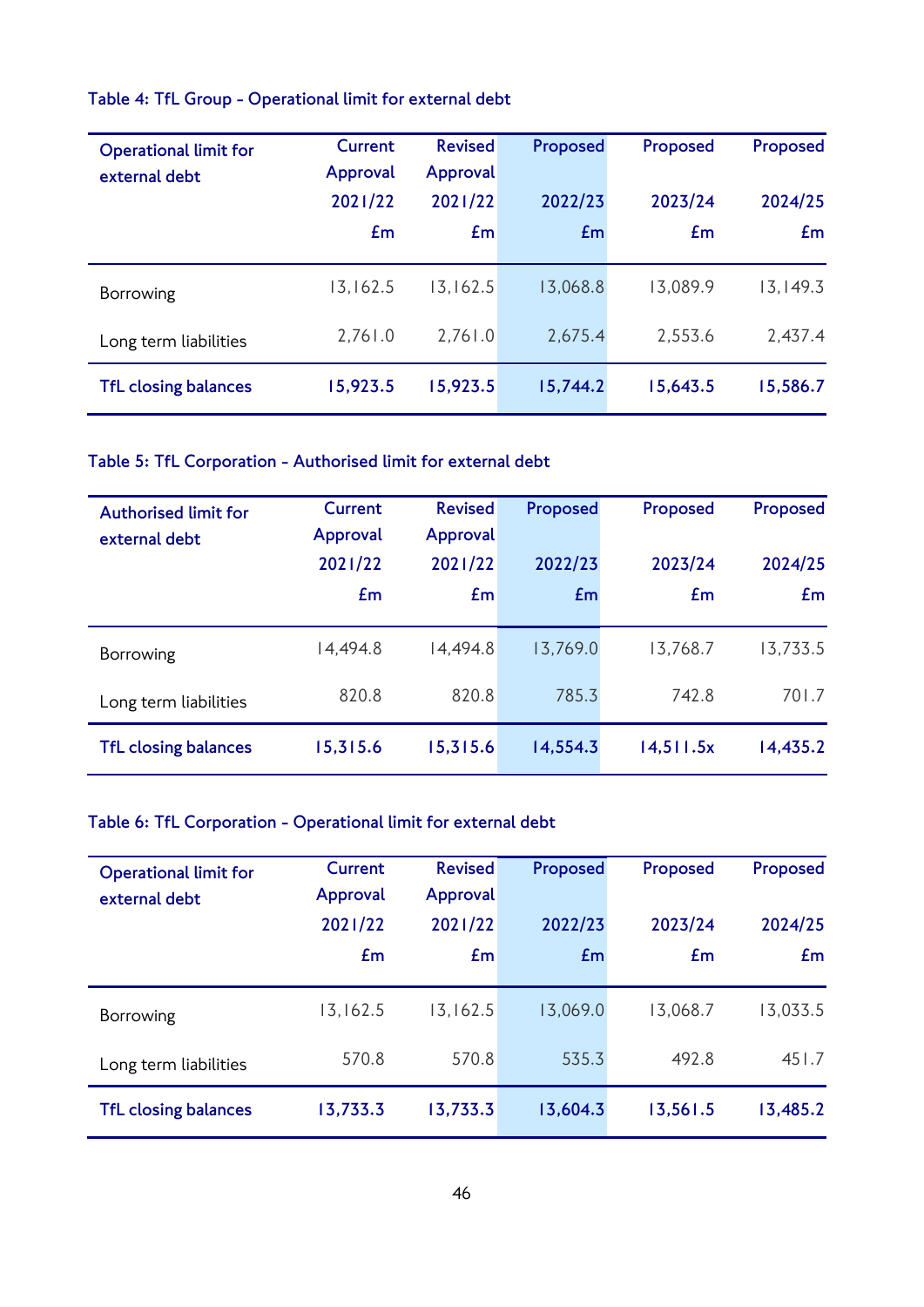## **Table 4: TfL Group - Operational limit for external debt**

| <b>Operational limit for</b><br>external debt | Current<br>Approval | <b>Revised</b><br>Approval | Proposed | Proposed | Proposed  |
|-----------------------------------------------|---------------------|----------------------------|----------|----------|-----------|
|                                               | 2021/22             | 2021/22                    | 2022/23  | 2023/24  | 2024/25   |
|                                               | Em                  | Em                         | Em       | Em       | Em        |
| Borrowing                                     | 13,162.5            | 13, 162.5                  | 13,068.8 | 13,089.9 | 13, 149.3 |
| Long term liabilities                         | 2,761.0             | 2,761.0                    | 2,675.4  | 2,553.6  | 2,437.4   |
| <b>TfL closing balances</b>                   | 15,923.5            | 15,923.5                   | 15,744.2 | 15,643.5 | 15,586.7  |

## **Table 5: TfL Corporation - Authorised limit for external debt**

| <b>Authorised limit for</b><br>external debt | Current<br>Approval | <b>Revised</b><br>Approval | Proposed | Proposed  | Proposed |
|----------------------------------------------|---------------------|----------------------------|----------|-----------|----------|
|                                              | 2021/22             | 2021/22                    | 2022/23  | 2023/24   | 2024/25  |
|                                              | £m                  | Em                         | Em       | £m        | Em       |
| Borrowing                                    | 14,494.8            | 14,494.8                   | 13,769.0 | 13,768.7  | 13,733.5 |
| Long term liabilities                        | 820.8               | 820.8                      | 785.3    | 742.8     | 701.7    |
| <b>TfL closing balances</b>                  | 15,315.6            | 15,315.6                   | 14,554.3 | 14,511.5x | 14,435.2 |

## **Table 6: TfL Corporation - Operational limit for external debt**

| <b>Operational limit for</b> | <b>Current</b> | <b>Revised</b> | Proposed | Proposed | Proposed |
|------------------------------|----------------|----------------|----------|----------|----------|
| external debt                | Approval       | Approval       |          |          |          |
|                              | 2021/22        | 2021/22        | 2022/23  | 2023/24  | 2024/25  |
|                              | Em             | Em             | £m       | Em       | Em       |
|                              |                |                |          |          |          |
| Borrowing                    | 13,162.5       | 13, 162.5      | 13,069.0 | 13,068.7 | 13,033.5 |
| Long term liabilities        | 570.8          | 570.8          | 535.3    | 492.8    | 451.7    |
| <b>TfL closing balances</b>  | 13,733.3       | 13,733.3       | 13,604.3 | 13,561.5 | 13,485.2 |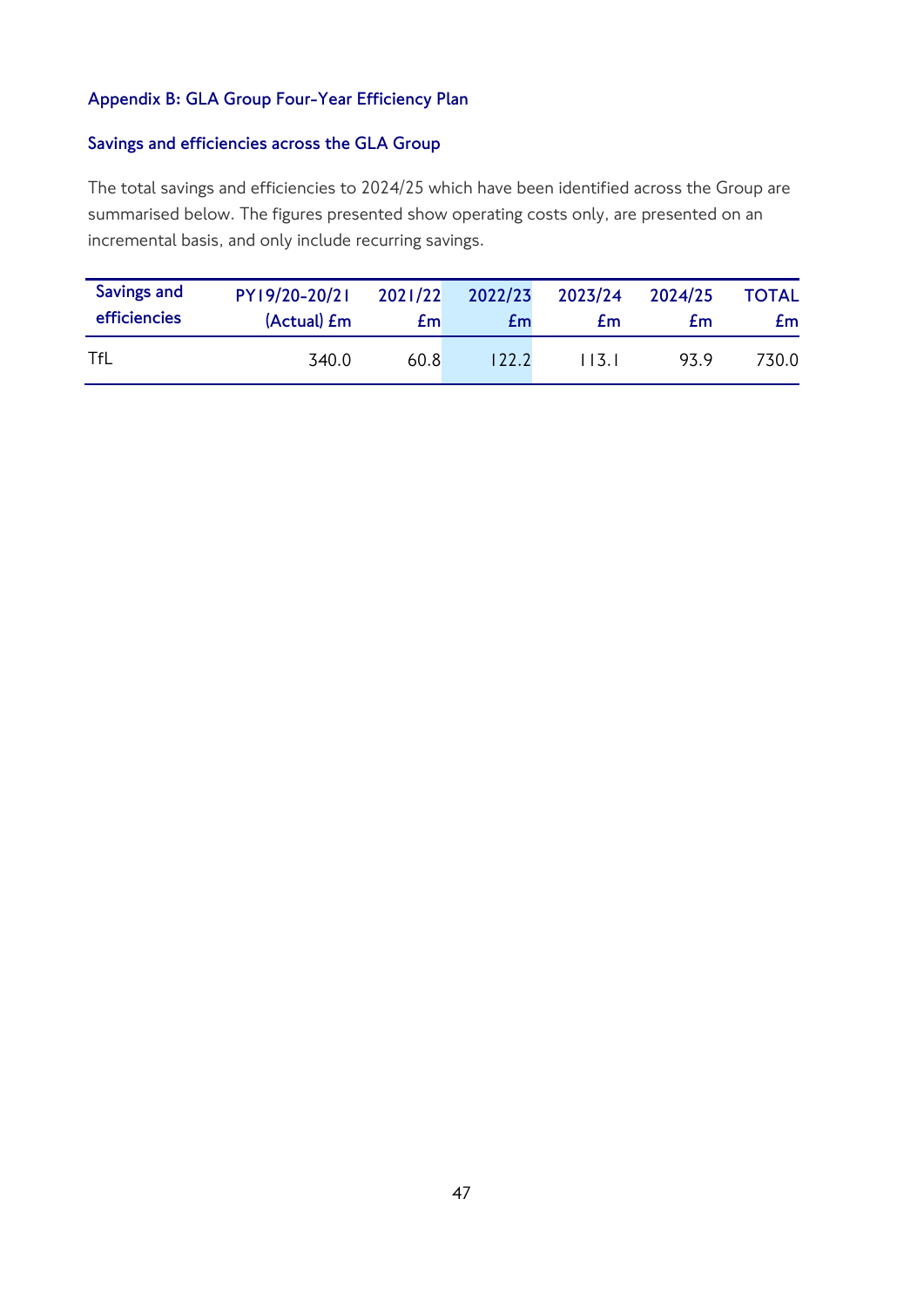## **Appendix B: GLA Group Four-Year Efficiency Plan**

## **Savings and efficiencies across the GLA Group**

The total savings and efficiencies to 2024/25 which have been identified across the Group are summarised below. The figures presented show operating costs only, are presented on an incremental basis, and only include recurring savings.

| Savings and  | PY19/20-20/21       | 2021/22 | 2022/23   | 2023/24 | 2024/25 | <b>TOTAL</b> |
|--------------|---------------------|---------|-----------|---------|---------|--------------|
| efficiencies | (Actual) <i>E</i> m | £m      | <b>Em</b> | £m      | £m      | £m.          |
| TfL          | 340.0               | 60.8    | 122.2     | l 13. l | 93.9    | 730.0        |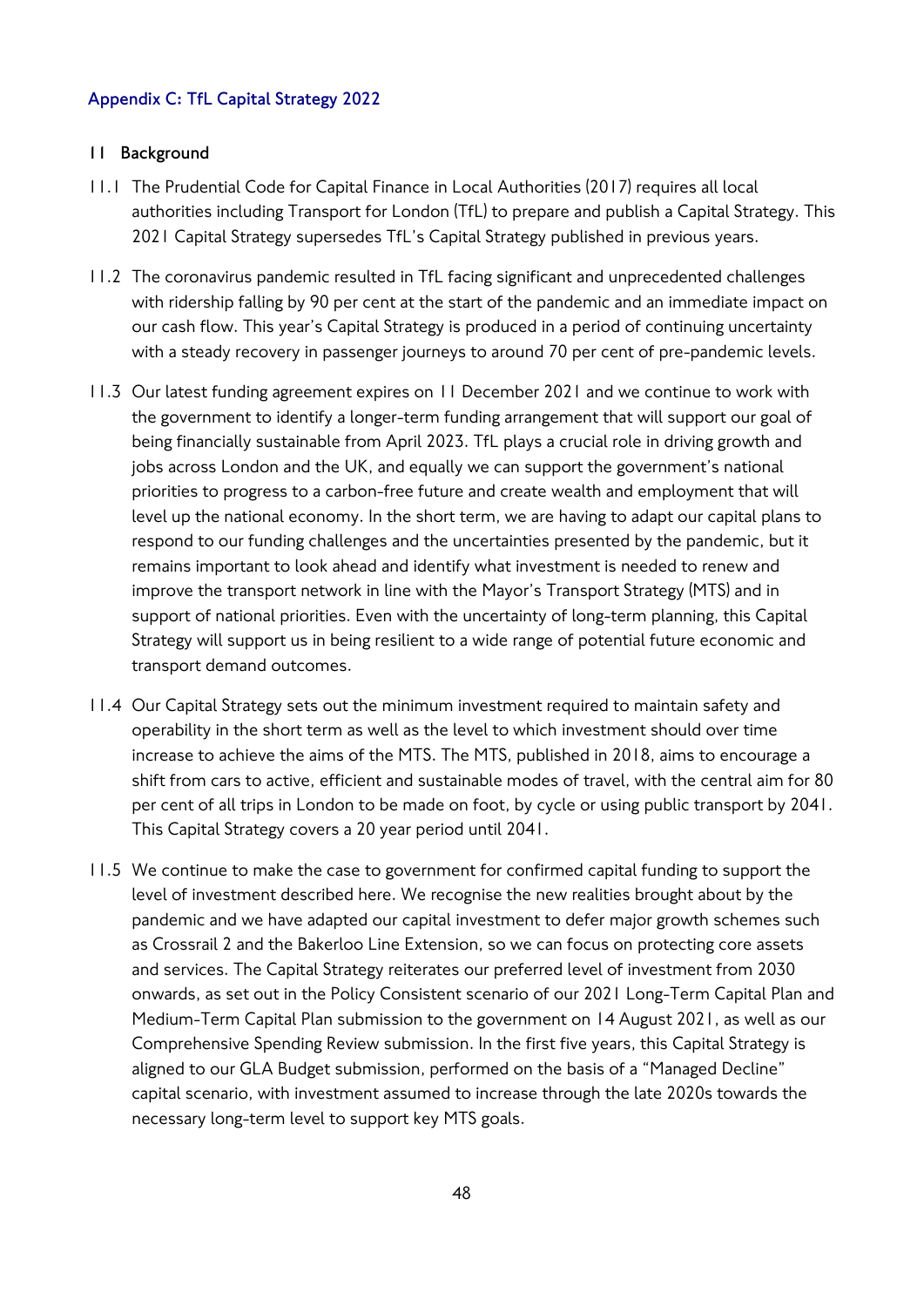## **Appendix C: TfL Capital Strategy 2022**

#### **11 Background**

- 11.1 The Prudential Code for Capital Finance in Local Authorities (2017) requires all local authorities including Transport for London (TfL) to prepare and publish a Capital Strategy. This 2021 Capital Strategy supersedes TfL's Capital Strategy published in previous years.
- 11.2 The coronavirus pandemic resulted in TfL facing significant and unprecedented challenges with ridership falling by 90 per cent at the start of the pandemic and an immediate impact on our cash flow. This year's Capital Strategy is produced in a period of continuing uncertainty with a steady recovery in passenger journeys to around 70 per cent of pre-pandemic levels.
- 11.3 Our latest funding agreement expires on 11 December 2021 and we continue to work with the government to identify a longer-term funding arrangement that will support our goal of being financially sustainable from April 2023. TfL plays a crucial role in driving growth and jobs across London and the UK, and equally we can support the government's national priorities to progress to a carbon-free future and create wealth and employment that will level up the national economy. In the short term, we are having to adapt our capital plans to respond to our funding challenges and the uncertainties presented by the pandemic, but it remains important to look ahead and identify what investment is needed to renew and improve the transport network in line with the Mayor's Transport Strategy (MTS) and in support of national priorities. Even with the uncertainty of long-term planning, this Capital Strategy will support us in being resilient to a wide range of potential future economic and transport demand outcomes.
- 11.4 Our Capital Strategy sets out the minimum investment required to maintain safety and operability in the short term as well as the level to which investment should over time increase to achieve the aims of the MTS. The MTS, published in 2018, aims to encourage a shift from cars to active, efficient and sustainable modes of travel, with the central aim for 80 per cent of all trips in London to be made on foot, by cycle or using public transport by 2041. This Capital Strategy covers a 20 year period until 2041.
- 11.5 We continue to make the case to government for confirmed capital funding to support the level of investment described here. We recognise the new realities brought about by the pandemic and we have adapted our capital investment to defer major growth schemes such as Crossrail 2 and the Bakerloo Line Extension, so we can focus on protecting core assets and services. The Capital Strategy reiterates our preferred level of investment from 2030 onwards, as set out in the Policy Consistent scenario of our 2021 Long-Term Capital Plan and Medium-Term Capital Plan submission to the government on 14 August 2021, as well as our Comprehensive Spending Review submission. In the first five years, this Capital Strategy is aligned to our GLA Budget submission, performed on the basis of a "Managed Decline" capital scenario, with investment assumed to increase through the late 2020s towards the necessary long-term level to support key MTS goals.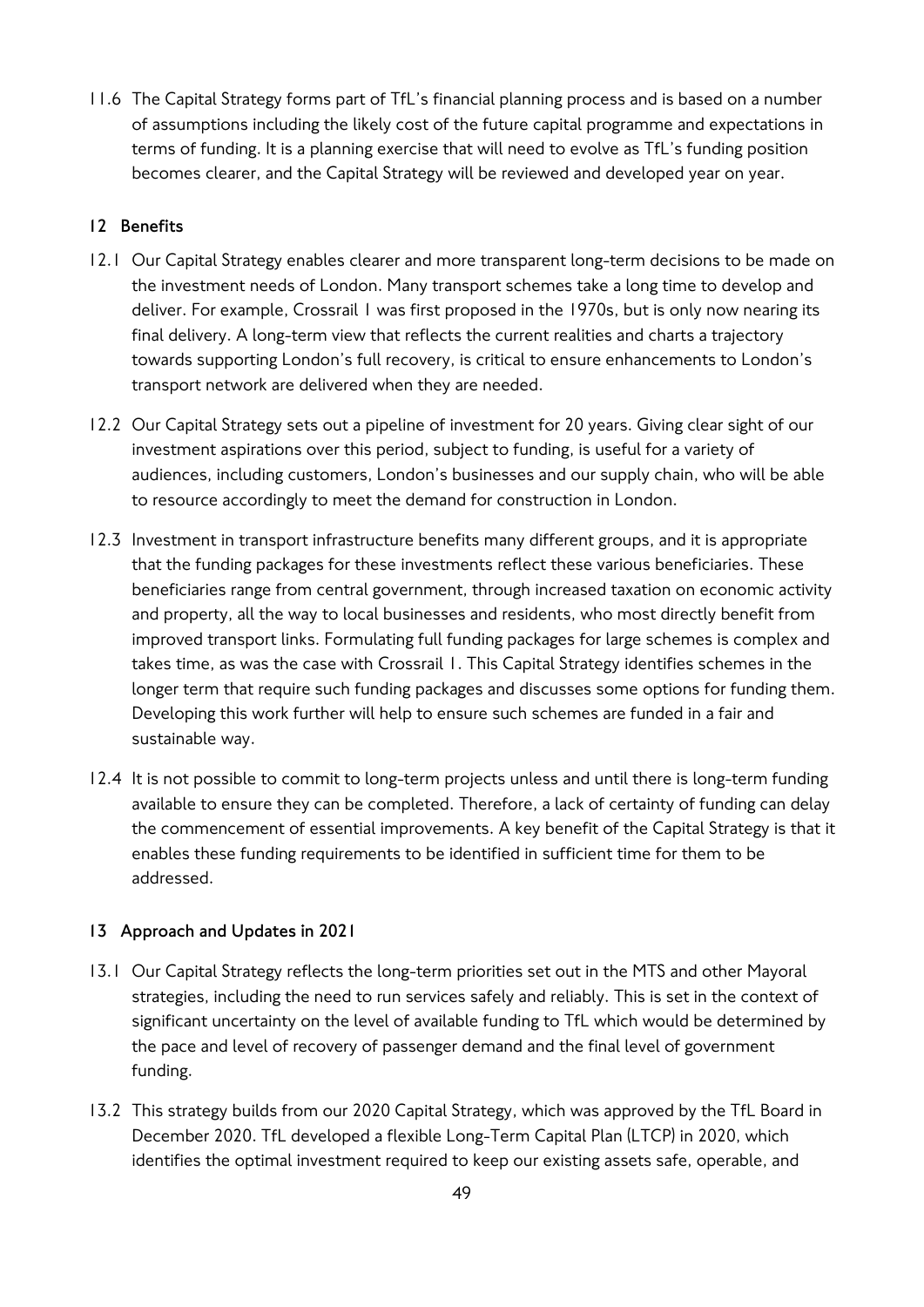11.6 The Capital Strategy forms part of TfL's financial planning process and is based on a number of assumptions including the likely cost of the future capital programme and expectations in terms of funding. It is a planning exercise that will need to evolve as TfL's funding position becomes clearer, and the Capital Strategy will be reviewed and developed year on year.

## **12 Benefits**

- 12.1 Our Capital Strategy enables clearer and more transparent long-term decisions to be made on the investment needs of London. Many transport schemes take a long time to develop and deliver. For example, Crossrail 1 was first proposed in the 1970s, but is only now nearing its final delivery. A long-term view that reflects the current realities and charts a trajectory towards supporting London's full recovery, is critical to ensure enhancements to London's transport network are delivered when they are needed.
- 12.2 Our Capital Strategy sets out a pipeline of investment for 20 years. Giving clear sight of our investment aspirations over this period, subject to funding, is useful for a variety of audiences, including customers, London's businesses and our supply chain, who will be able to resource accordingly to meet the demand for construction in London.
- 12.3 Investment in transport infrastructure benefits many different groups, and it is appropriate that the funding packages for these investments reflect these various beneficiaries. These beneficiaries range from central government, through increased taxation on economic activity and property, all the way to local businesses and residents, who most directly benefit from improved transport links. Formulating full funding packages for large schemes is complex and takes time, as was the case with Crossrail 1. This Capital Strategy identifies schemes in the longer term that require such funding packages and discusses some options for funding them. Developing this work further will help to ensure such schemes are funded in a fair and sustainable way.
- 12.4 It is not possible to commit to long-term projects unless and until there is long-term funding available to ensure they can be completed. Therefore, a lack of certainty of funding can delay the commencement of essential improvements. A key benefit of the Capital Strategy is that it enables these funding requirements to be identified in sufficient time for them to be addressed.

## **13 Approach and Updates in 2021**

- 13.1 Our Capital Strategy reflects the long-term priorities set out in the MTS and other Mayoral strategies, including the need to run services safely and reliably. This is set in the context of significant uncertainty on the level of available funding to TfL which would be determined by the pace and level of recovery of passenger demand and the final level of government funding.
- 13.2 This strategy builds from our 2020 Capital Strategy, which was approved by the TfL Board in December 2020. TfL developed a flexible Long-Term Capital Plan (LTCP) in 2020, which identifies the optimal investment required to keep our existing assets safe, operable, and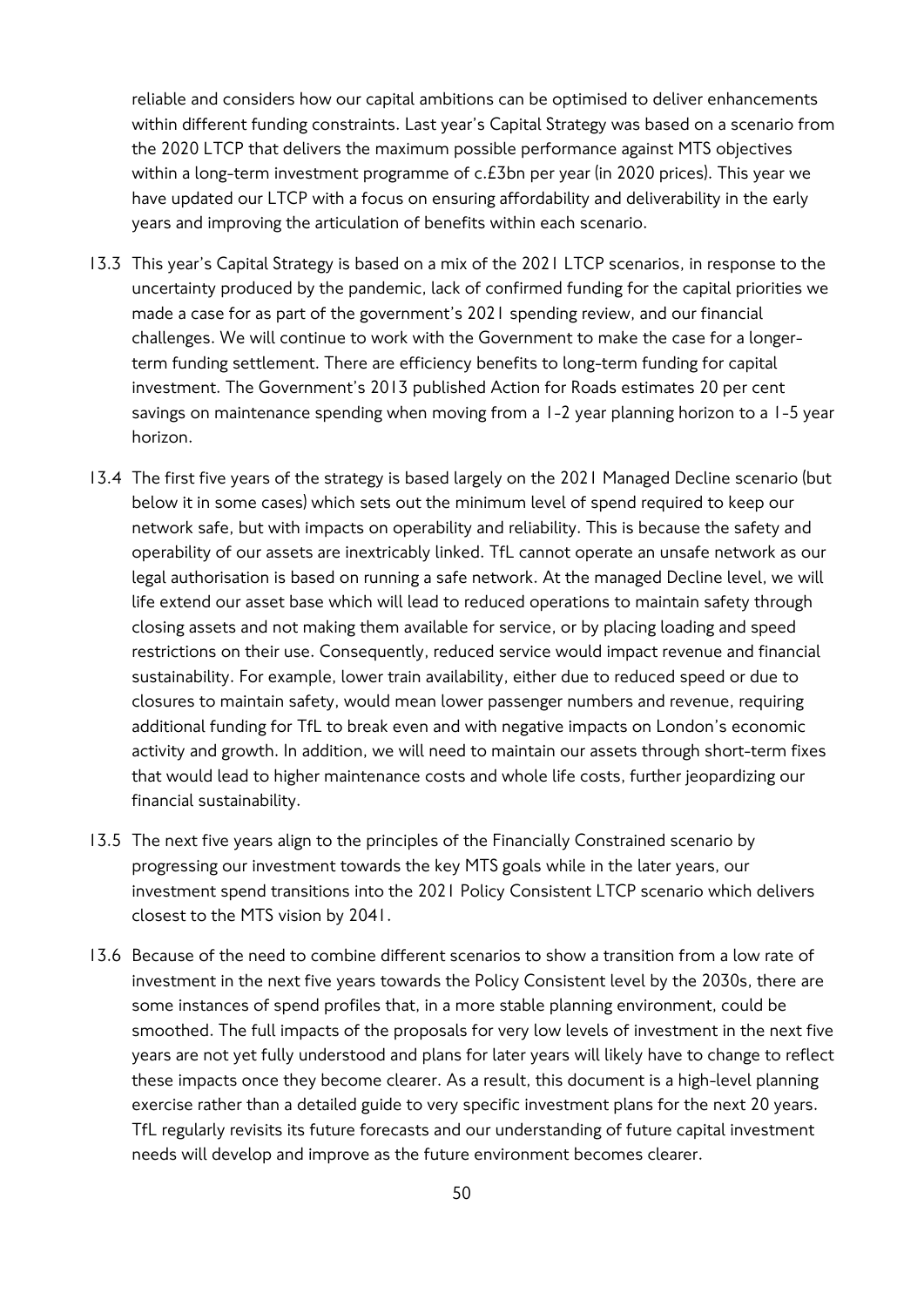reliable and considers how our capital ambitions can be optimised to deliver enhancements within different funding constraints. Last year's Capital Strategy was based on a scenario from the 2020 LTCP that delivers the maximum possible performance against MTS objectives within a long-term investment programme of c.£3bn per year (in 2020 prices). This year we have updated our LTCP with a focus on ensuring affordability and deliverability in the early years and improving the articulation of benefits within each scenario.

- 13.3 This year's Capital Strategy is based on a mix of the 2021 LTCP scenarios, in response to the uncertainty produced by the pandemic, lack of confirmed funding for the capital priorities we made a case for as part of the government's 2021 spending review, and our financial challenges. We will continue to work with the Government to make the case for a longerterm funding settlement. There are efficiency benefits to long-term funding for capital investment. The Government's 2013 published Action for Roads estimates 20 per cent savings on maintenance spending when moving from a 1-2 year planning horizon to a 1-5 year horizon.
- 13.4 The first five years of the strategy is based largely on the 2021 Managed Decline scenario (but below it in some cases) which sets out the minimum level of spend required to keep our network safe, but with impacts on operability and reliability. This is because the safety and operability of our assets are inextricably linked. TfL cannot operate an unsafe network as our legal authorisation is based on running a safe network. At the managed Decline level, we will life extend our asset base which will lead to reduced operations to maintain safety through closing assets and not making them available for service, or by placing loading and speed restrictions on their use. Consequently, reduced service would impact revenue and financial sustainability. For example, lower train availability, either due to reduced speed or due to closures to maintain safety, would mean lower passenger numbers and revenue, requiring additional funding for TfL to break even and with negative impacts on London's economic activity and growth. In addition, we will need to maintain our assets through short-term fixes that would lead to higher maintenance costs and whole life costs, further jeopardizing our financial sustainability.
- 13.5 The next five years align to the principles of the Financially Constrained scenario by progressing our investment towards the key MTS goals while in the later years, our investment spend transitions into the 2021 Policy Consistent LTCP scenario which delivers closest to the MTS vision by 2041.
- 13.6 Because of the need to combine different scenarios to show a transition from a low rate of investment in the next five years towards the Policy Consistent level by the 2030s, there are some instances of spend profiles that, in a more stable planning environment, could be smoothed. The full impacts of the proposals for very low levels of investment in the next five years are not yet fully understood and plans for later years will likely have to change to reflect these impacts once they become clearer. As a result, this document is a high-level planning exercise rather than a detailed guide to very specific investment plans for the next 20 years. TfL regularly revisits its future forecasts and our understanding of future capital investment needs will develop and improve as the future environment becomes clearer.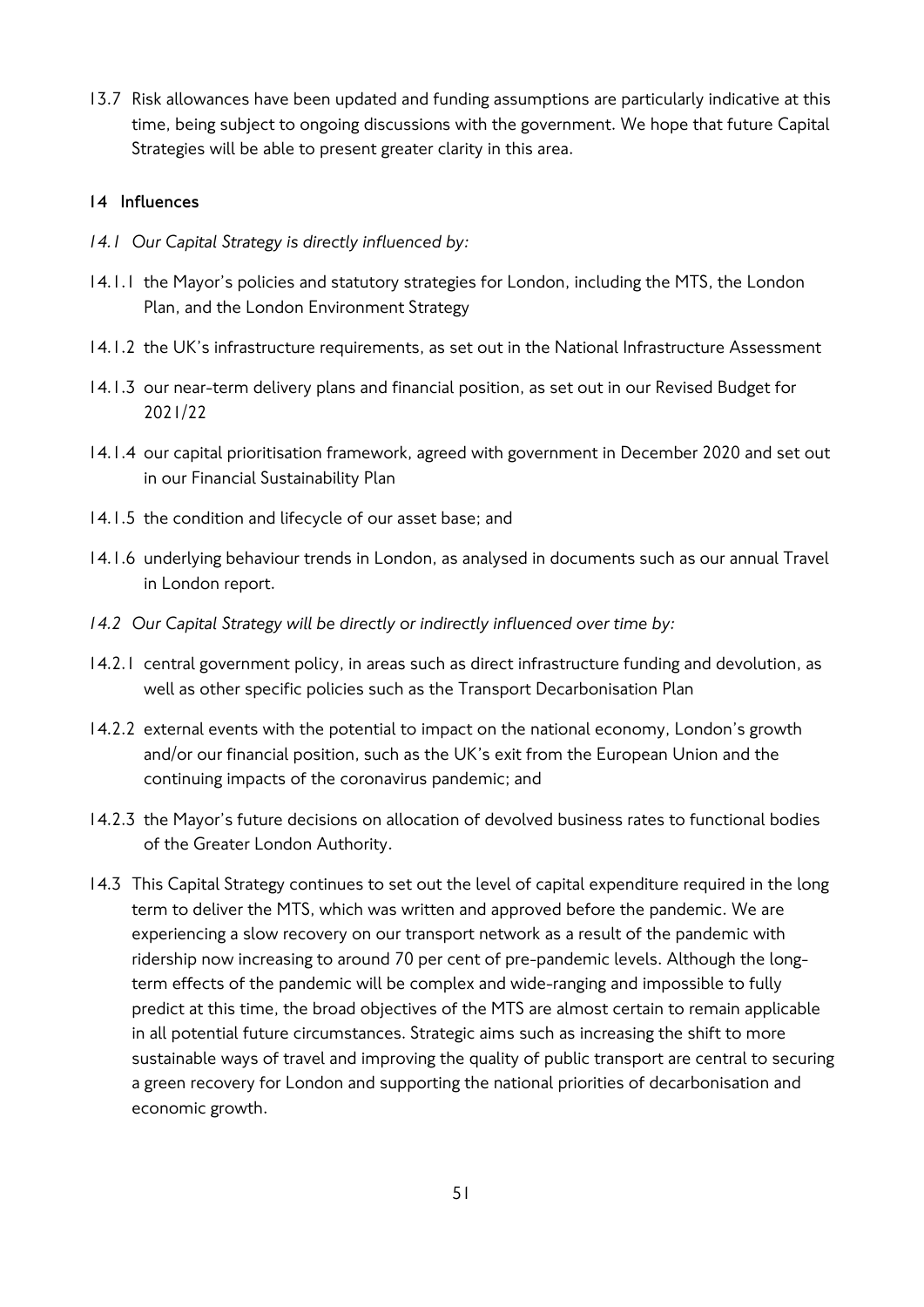13.7 Risk allowances have been updated and funding assumptions are particularly indicative at this time, being subject to ongoing discussions with the government. We hope that future Capital Strategies will be able to present greater clarity in this area.

## **14 Influences**

- *14.1 Our Capital Strategy is directly influenced by:*
- 14.1.1 the Mayor's policies and statutory strategies for London, including the MTS, the London Plan, and the London Environment Strategy
- 14.1.2 the UK's infrastructure requirements, as set out in the National Infrastructure Assessment
- 14.1.3 our near-term delivery plans and financial position, as set out in our Revised Budget for 2021/22
- 14.1.4 our capital prioritisation framework, agreed with government in December 2020 and set out in our Financial Sustainability Plan
- 14.1.5 the condition and lifecycle of our asset base; and
- 14.1.6 underlying behaviour trends in London, as analysed in documents such as our annual Travel in London report.
- *14.2 Our Capital Strategy will be directly or indirectly influenced over time by:*
- 14.2.1 central government policy, in areas such as direct infrastructure funding and devolution, as well as other specific policies such as the Transport Decarbonisation Plan
- 14.2.2 external events with the potential to impact on the national economy, London's growth and/or our financial position, such as the UK's exit from the European Union and the continuing impacts of the coronavirus pandemic; and
- 14.2.3 the Mayor's future decisions on allocation of devolved business rates to functional bodies of the Greater London Authority.
- 14.3 This Capital Strategy continues to set out the level of capital expenditure required in the long term to deliver the MTS, which was written and approved before the pandemic. We are experiencing a slow recovery on our transport network as a result of the pandemic with ridership now increasing to around 70 per cent of pre-pandemic levels. Although the longterm effects of the pandemic will be complex and wide-ranging and impossible to fully predict at this time, the broad objectives of the MTS are almost certain to remain applicable in all potential future circumstances. Strategic aims such as increasing the shift to more sustainable ways of travel and improving the quality of public transport are central to securing a green recovery for London and supporting the national priorities of decarbonisation and economic growth.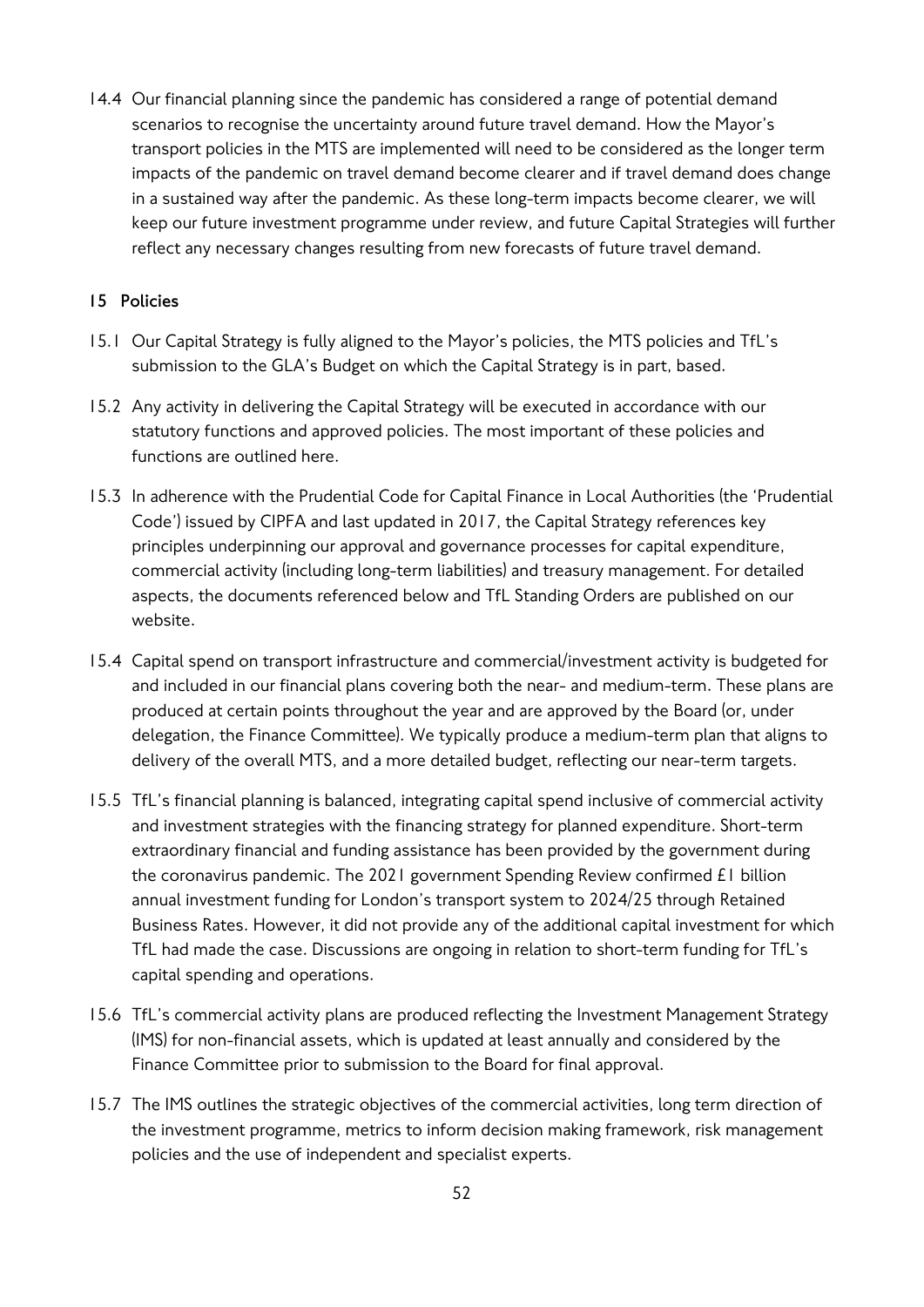14.4 Our financial planning since the pandemic has considered a range of potential demand scenarios to recognise the uncertainty around future travel demand. How the Mayor's transport policies in the MTS are implemented will need to be considered as the longer term impacts of the pandemic on travel demand become clearer and if travel demand does change in a sustained way after the pandemic. As these long-term impacts become clearer, we will keep our future investment programme under review, and future Capital Strategies will further reflect any necessary changes resulting from new forecasts of future travel demand.

## **15 Policies**

- 15.1 Our Capital Strategy is fully aligned to the Mayor's policies, the MTS policies and TfL's submission to the GLA's Budget on which the Capital Strategy is in part, based.
- 15.2 Any activity in delivering the Capital Strategy will be executed in accordance with our statutory functions and approved policies. The most important of these policies and functions are outlined here.
- 15.3 In adherence with the Prudential Code for Capital Finance in Local Authorities (the 'Prudential Code') issued by CIPFA and last updated in 2017, the Capital Strategy references key principles underpinning our approval and governance processes for capital expenditure, commercial activity (including long-term liabilities) and treasury management. For detailed aspects, the documents referenced below and TfL Standing Orders are published on our website.
- 15.4 Capital spend on transport infrastructure and commercial/investment activity is budgeted for and included in our financial plans covering both the near- and medium-term. These plans are produced at certain points throughout the year and are approved by the Board (or, under delegation, the Finance Committee). We typically produce a medium-term plan that aligns to delivery of the overall MTS, and a more detailed budget, reflecting our near-term targets.
- 15.5 TfL's financial planning is balanced, integrating capital spend inclusive of commercial activity and investment strategies with the financing strategy for planned expenditure. Short-term extraordinary financial and funding assistance has been provided by the government during the coronavirus pandemic. The 2021 government Spending Review confirmed £1 billion annual investment funding for London's transport system to 2024/25 through Retained Business Rates. However, it did not provide any of the additional capital investment for which TfL had made the case. Discussions are ongoing in relation to short-term funding for TfL's capital spending and operations.
- 15.6 TfL's commercial activity plans are produced reflecting the Investment Management Strategy (IMS) for non-financial assets, which is updated at least annually and considered by the Finance Committee prior to submission to the Board for final approval.
- 15.7 The IMS outlines the strategic objectives of the commercial activities, long term direction of the investment programme, metrics to inform decision making framework, risk management policies and the use of independent and specialist experts.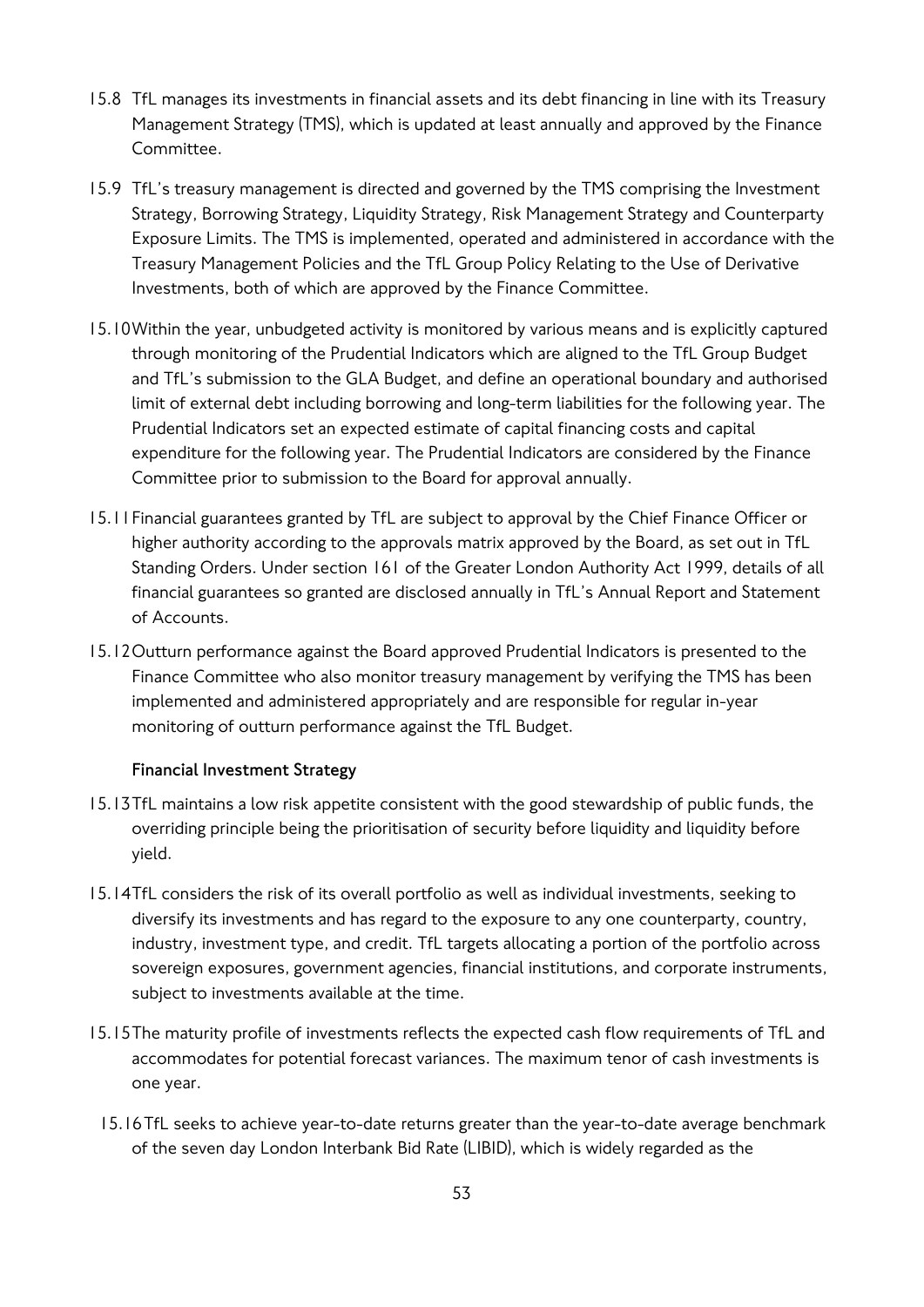- 15.8 TfL manages its investments in financial assets and its debt financing in line with its Treasury Management Strategy (TMS), which is updated at least annually and approved by the Finance Committee.
- 15.9 TfL's treasury management is directed and governed by the TMS comprising the Investment Strategy, Borrowing Strategy, Liquidity Strategy, Risk Management Strategy and Counterparty Exposure Limits. The TMS is implemented, operated and administered in accordance with the Treasury Management Policies and the TfL Group Policy Relating to the Use of Derivative Investments, both of which are approved by the Finance Committee.
- 15.10Within the year, unbudgeted activity is monitored by various means and is explicitly captured through monitoring of the Prudential Indicators which are aligned to the TfL Group Budget and TfL's submission to the GLA Budget, and define an operational boundary and authorised limit of external debt including borrowing and long-term liabilities for the following year. The Prudential Indicators set an expected estimate of capital financing costs and capital expenditure for the following year. The Prudential Indicators are considered by the Finance Committee prior to submission to the Board for approval annually.
- 15.11Financial guarantees granted by TfL are subject to approval by the Chief Finance Officer or higher authority according to the approvals matrix approved by the Board, as set out in TfL Standing Orders. Under section 161 of the Greater London Authority Act 1999, details of all financial guarantees so granted are disclosed annually in TfL's Annual Report and Statement of Accounts.
- 15.12Outturn performance against the Board approved Prudential Indicators is presented to the Finance Committee who also monitor treasury management by verifying the TMS has been implemented and administered appropriately and are responsible for regular in-year monitoring of outturn performance against the TfL Budget.

## **Financial Investment Strategy**

- 15.13TfL maintains a low risk appetite consistent with the good stewardship of public funds, the overriding principle being the prioritisation of security before liquidity and liquidity before yield.
- 15.14TfL considers the risk of its overall portfolio as well as individual investments, seeking to diversify its investments and has regard to the exposure to any one counterparty, country, industry, investment type, and credit. TfL targets allocating a portion of the portfolio across sovereign exposures, government agencies, financial institutions, and corporate instruments, subject to investments available at the time.
- 15.15The maturity profile of investments reflects the expected cash flow requirements of TfL and accommodates for potential forecast variances. The maximum tenor of cash investments is one year.
- 15.16TfL seeks to achieve year-to-date returns greater than the year-to-date average benchmark of the seven day London Interbank Bid Rate (LIBID), which is widely regarded as the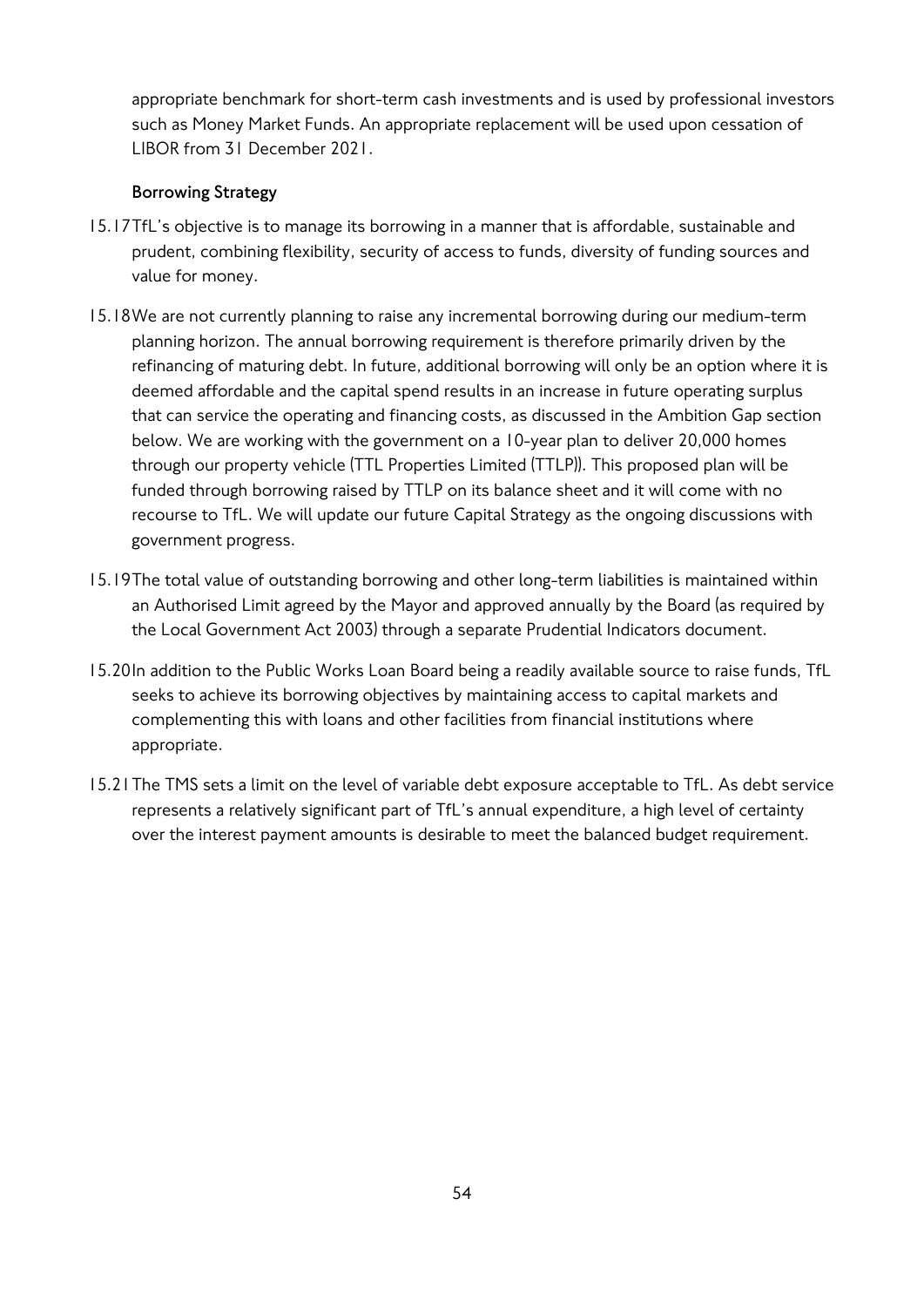appropriate benchmark for short-term cash investments and is used by professional investors such as Money Market Funds. An appropriate replacement will be used upon cessation of LIBOR from 31 December 2021.

## **Borrowing Strategy**

- 15.17TfL's objective is to manage its borrowing in a manner that is affordable, sustainable and prudent, combining flexibility, security of access to funds, diversity of funding sources and value for money.
- 15.18We are not currently planning to raise any incremental borrowing during our medium-term planning horizon. The annual borrowing requirement is therefore primarily driven by the refinancing of maturing debt. In future, additional borrowing will only be an option where it is deemed affordable and the capital spend results in an increase in future operating surplus that can service the operating and financing costs, as discussed in the Ambition Gap section below. We are working with the government on a 10-year plan to deliver 20,000 homes through our property vehicle (TTL Properties Limited (TTLP)). This proposed plan will be funded through borrowing raised by TTLP on its balance sheet and it will come with no recourse to TfL. We will update our future Capital Strategy as the ongoing discussions with government progress.
- 15.19The total value of outstanding borrowing and other long-term liabilities is maintained within an Authorised Limit agreed by the Mayor and approved annually by the Board (as required by the Local Government Act 2003) through a separate Prudential Indicators document.
- 15.20In addition to the Public Works Loan Board being a readily available source to raise funds, TfL seeks to achieve its borrowing objectives by maintaining access to capital markets and complementing this with loans and other facilities from financial institutions where appropriate.
- 15.21The TMS sets a limit on the level of variable debt exposure acceptable to TfL. As debt service represents a relatively significant part of TfL's annual expenditure, a high level of certainty over the interest payment amounts is desirable to meet the balanced budget requirement.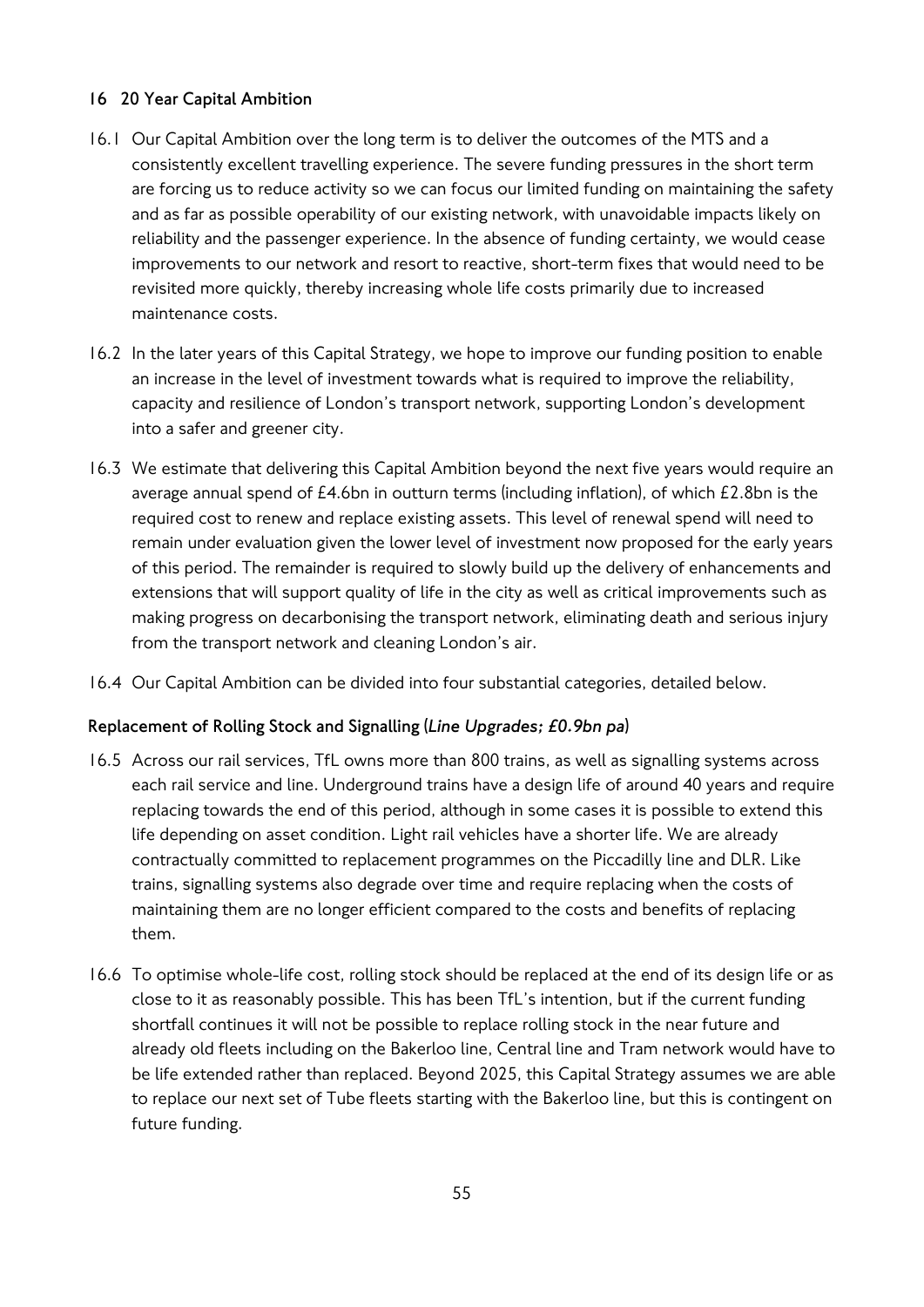## **16 20 Year Capital Ambition**

- 16.1 Our Capital Ambition over the long term is to deliver the outcomes of the MTS and a consistently excellent travelling experience. The severe funding pressures in the short term are forcing us to reduce activity so we can focus our limited funding on maintaining the safety and as far as possible operability of our existing network, with unavoidable impacts likely on reliability and the passenger experience. In the absence of funding certainty, we would cease improvements to our network and resort to reactive, short-term fixes that would need to be revisited more quickly, thereby increasing whole life costs primarily due to increased maintenance costs.
- 16.2 In the later years of this Capital Strategy, we hope to improve our funding position to enable an increase in the level of investment towards what is required to improve the reliability, capacity and resilience of London's transport network, supporting London's development into a safer and greener city.
- 16.3 We estimate that delivering this Capital Ambition beyond the next five years would require an average annual spend of £4.6bn in outturn terms (including inflation), of which £2.8bn is the required cost to renew and replace existing assets. This level of renewal spend will need to remain under evaluation given the lower level of investment now proposed for the early years of this period. The remainder is required to slowly build up the delivery of enhancements and extensions that will support quality of life in the city as well as critical improvements such as making progress on decarbonising the transport network, eliminating death and serious injury from the transport network and cleaning London's air.
- 16.4 Our Capital Ambition can be divided into four substantial categories, detailed below.

## **Replacement of Rolling Stock and Signalling (***Line Upgrades; £0.9bn pa***)**

- 16.5 Across our rail services, TfL owns more than 800 trains, as well as signalling systems across each rail service and line. Underground trains have a design life of around 40 years and require replacing towards the end of this period, although in some cases it is possible to extend this life depending on asset condition. Light rail vehicles have a shorter life. We are already contractually committed to replacement programmes on the Piccadilly line and DLR. Like trains, signalling systems also degrade over time and require replacing when the costs of maintaining them are no longer efficient compared to the costs and benefits of replacing them.
- 16.6 To optimise whole-life cost, rolling stock should be replaced at the end of its design life or as close to it as reasonably possible. This has been TfL's intention, but if the current funding shortfall continues it will not be possible to replace rolling stock in the near future and already old fleets including on the Bakerloo line, Central line and Tram network would have to be life extended rather than replaced. Beyond 2025, this Capital Strategy assumes we are able to replace our next set of Tube fleets starting with the Bakerloo line, but this is contingent on future funding.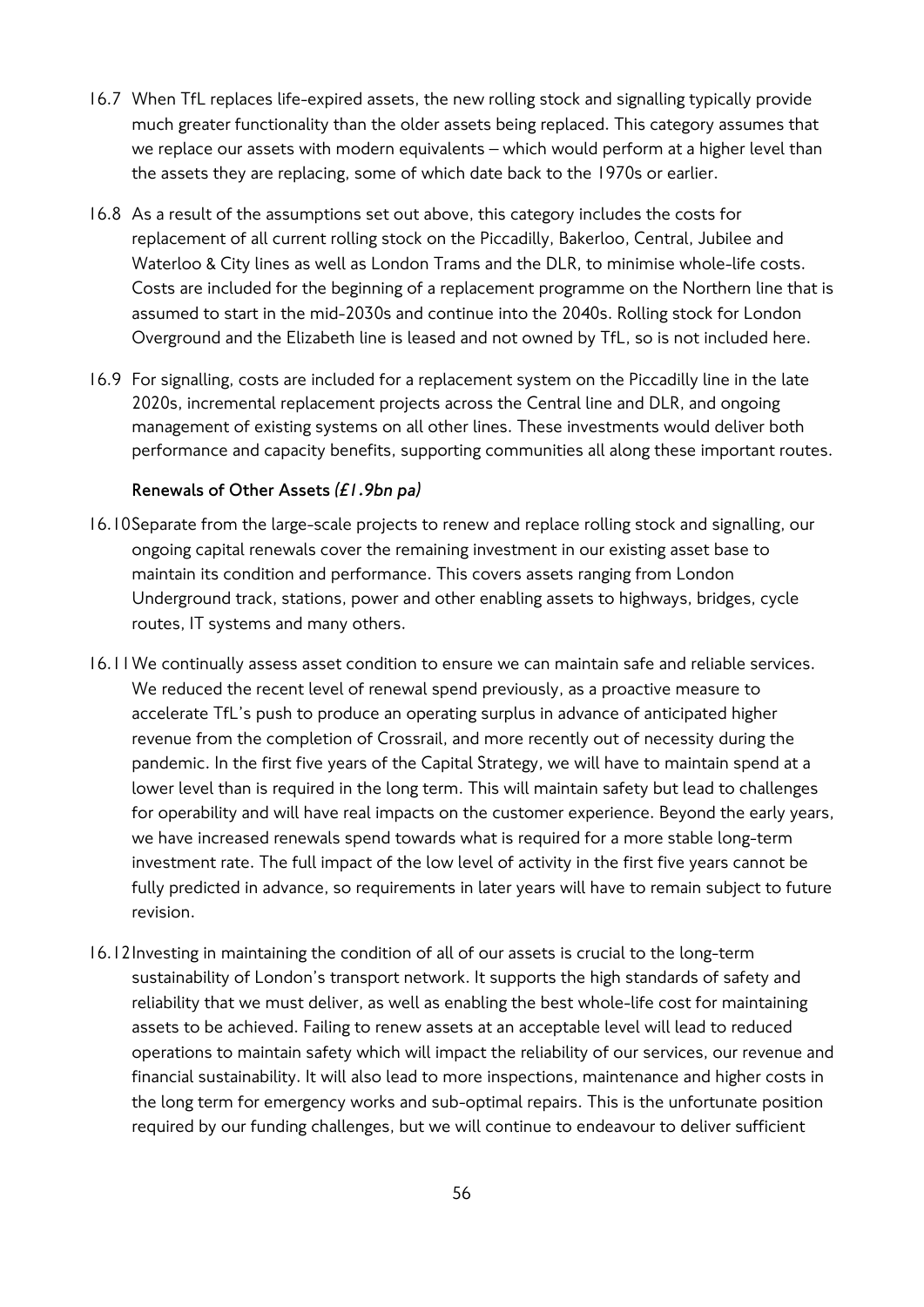- 16.7 When TfL replaces life-expired assets, the new rolling stock and signalling typically provide much greater functionality than the older assets being replaced. This category assumes that we replace our assets with modern equivalents – which would perform at a higher level than the assets they are replacing, some of which date back to the 1970s or earlier.
- 16.8 As a result of the assumptions set out above, this category includes the costs for replacement of all current rolling stock on the Piccadilly, Bakerloo, Central, Jubilee and Waterloo & City lines as well as London Trams and the DLR, to minimise whole-life costs. Costs are included for the beginning of a replacement programme on the Northern line that is assumed to start in the mid-2030s and continue into the 2040s. Rolling stock for London Overground and the Elizabeth line is leased and not owned by TfL, so is not included here.
- 16.9 For signalling, costs are included for a replacement system on the Piccadilly line in the late 2020s, incremental replacement projects across the Central line and DLR, and ongoing management of existing systems on all other lines. These investments would deliver both performance and capacity benefits, supporting communities all along these important routes.

#### **Renewals of Other Assets** *(£1.9bn pa)*

- 16.10Separate from the large-scale projects to renew and replace rolling stock and signalling, our ongoing capital renewals cover the remaining investment in our existing asset base to maintain its condition and performance. This covers assets ranging from London Underground track, stations, power and other enabling assets to highways, bridges, cycle routes, IT systems and many others.
- 16.11We continually assess asset condition to ensure we can maintain safe and reliable services. We reduced the recent level of renewal spend previously, as a proactive measure to accelerate TfL's push to produce an operating surplus in advance of anticipated higher revenue from the completion of Crossrail, and more recently out of necessity during the pandemic. In the first five years of the Capital Strategy, we will have to maintain spend at a lower level than is required in the long term. This will maintain safety but lead to challenges for operability and will have real impacts on the customer experience. Beyond the early years, we have increased renewals spend towards what is required for a more stable long-term investment rate. The full impact of the low level of activity in the first five years cannot be fully predicted in advance, so requirements in later years will have to remain subject to future revision.
- 16.12Investing in maintaining the condition of all of our assets is crucial to the long-term sustainability of London's transport network. It supports the high standards of safety and reliability that we must deliver, as well as enabling the best whole-life cost for maintaining assets to be achieved. Failing to renew assets at an acceptable level will lead to reduced operations to maintain safety which will impact the reliability of our services, our revenue and financial sustainability. It will also lead to more inspections, maintenance and higher costs in the long term for emergency works and sub-optimal repairs. This is the unfortunate position required by our funding challenges, but we will continue to endeavour to deliver sufficient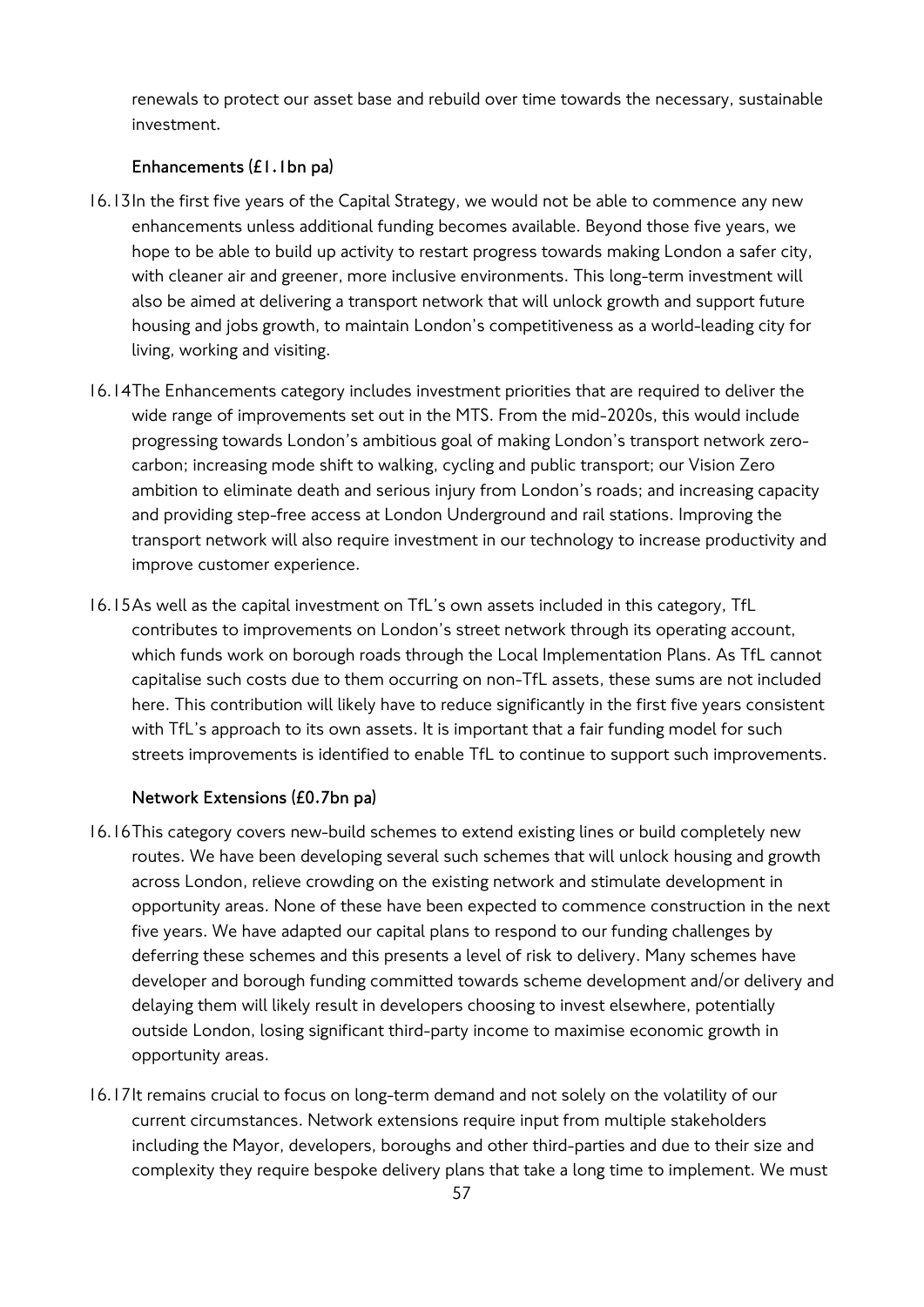renewals to protect our asset base and rebuild over time towards the necessary, sustainable investment.

#### **Enhancements (£1.1bn pa)**

- 16.13In the first five years of the Capital Strategy, we would not be able to commence any new enhancements unless additional funding becomes available. Beyond those five years, we hope to be able to build up activity to restart progress towards making London a safer city, with cleaner air and greener, more inclusive environments. This long-term investment will also be aimed at delivering a transport network that will unlock growth and support future housing and jobs growth, to maintain London's competitiveness as a world-leading city for living, working and visiting.
- 16.14The Enhancements category includes investment priorities that are required to deliver the wide range of improvements set out in the MTS. From the mid-2020s, this would include progressing towards London's ambitious goal of making London's transport network zerocarbon; increasing mode shift to walking, cycling and public transport; our Vision Zero ambition to eliminate death and serious injury from London's roads; and increasing capacity and providing step-free access at London Underground and rail stations. Improving the transport network will also require investment in our technology to increase productivity and improve customer experience.
- 16.15As well as the capital investment on TfL's own assets included in this category, TfL contributes to improvements on London's street network through its operating account, which funds work on borough roads through the Local Implementation Plans. As TfL cannot capitalise such costs due to them occurring on non-TfL assets, these sums are not included here. This contribution will likely have to reduce significantly in the first five years consistent with TfL's approach to its own assets. It is important that a fair funding model for such streets improvements is identified to enable TfL to continue to support such improvements.

#### **Network Extensions (£0.7bn pa)**

- 16.16This category covers new-build schemes to extend existing lines or build completely new routes. We have been developing several such schemes that will unlock housing and growth across London, relieve crowding on the existing network and stimulate development in opportunity areas. None of these have been expected to commence construction in the next five years. We have adapted our capital plans to respond to our funding challenges by deferring these schemes and this presents a level of risk to delivery. Many schemes have developer and borough funding committed towards scheme development and/or delivery and delaying them will likely result in developers choosing to invest elsewhere, potentially outside London, losing significant third-party income to maximise economic growth in opportunity areas.
- 16.17It remains crucial to focus on long-term demand and not solely on the volatility of our current circumstances. Network extensions require input from multiple stakeholders including the Mayor, developers, boroughs and other third-parties and due to their size and complexity they require bespoke delivery plans that take a long time to implement. We must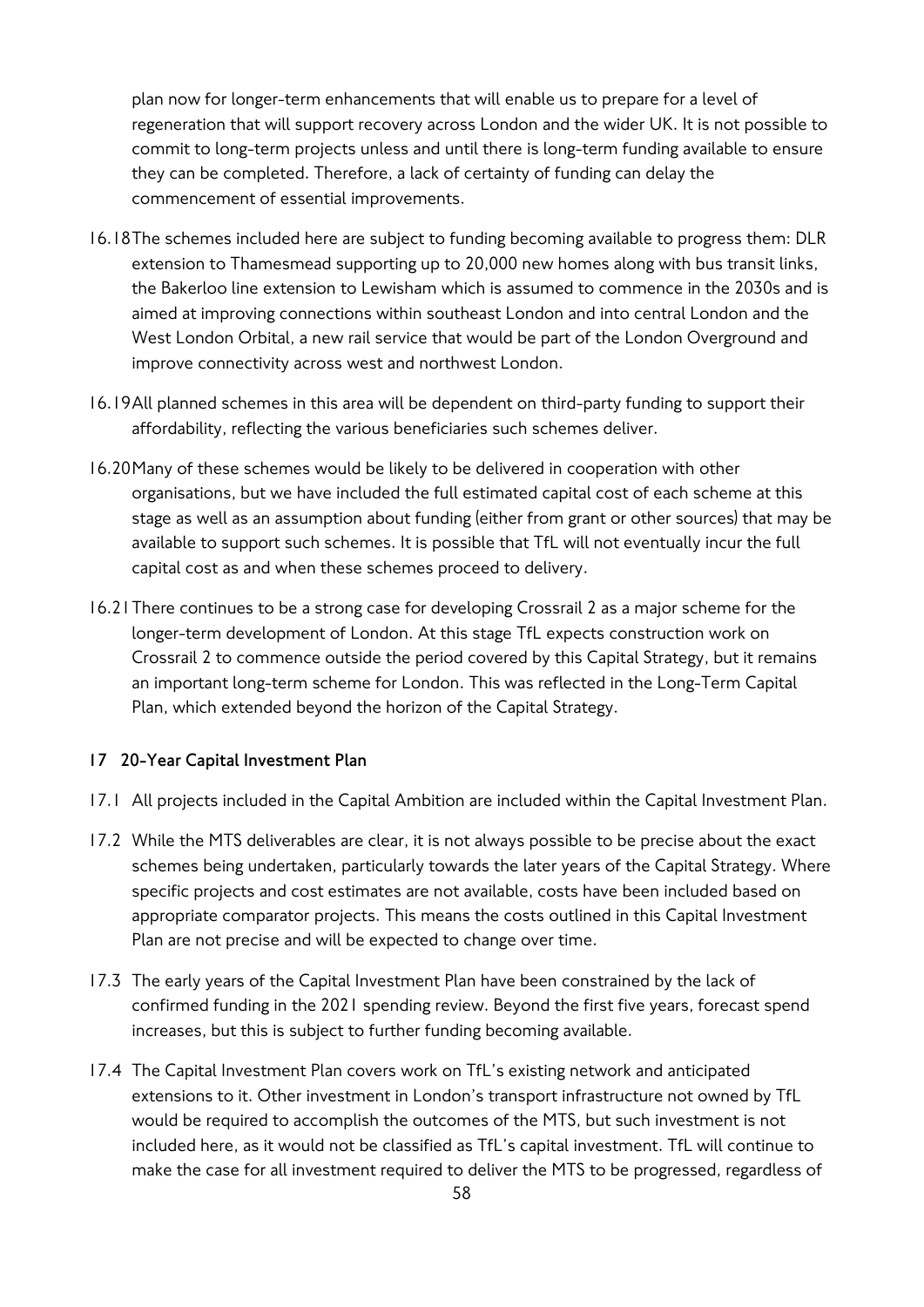plan now for longer-term enhancements that will enable us to prepare for a level of regeneration that will support recovery across London and the wider UK. It is not possible to commit to long-term projects unless and until there is long-term funding available to ensure they can be completed. Therefore, a lack of certainty of funding can delay the commencement of essential improvements.

- 16.18The schemes included here are subject to funding becoming available to progress them: DLR extension to Thamesmead supporting up to 20,000 new homes along with bus transit links, the Bakerloo line extension to Lewisham which is assumed to commence in the 2030s and is aimed at improving connections within southeast London and into central London and the West London Orbital, a new rail service that would be part of the London Overground and improve connectivity across west and northwest London.
- 16.19All planned schemes in this area will be dependent on third-party funding to support their affordability, reflecting the various beneficiaries such schemes deliver.
- 16.20Many of these schemes would be likely to be delivered in cooperation with other organisations, but we have included the full estimated capital cost of each scheme at this stage as well as an assumption about funding (either from grant or other sources) that may be available to support such schemes. It is possible that TfL will not eventually incur the full capital cost as and when these schemes proceed to delivery.
- 16.21There continues to be a strong case for developing Crossrail 2 as a major scheme for the longer-term development of London. At this stage TfL expects construction work on Crossrail 2 to commence outside the period covered by this Capital Strategy, but it remains an important long-term scheme for London. This was reflected in the Long-Term Capital Plan, which extended beyond the horizon of the Capital Strategy.

## **17 20-Year Capital Investment Plan**

- 17.1 All projects included in the Capital Ambition are included within the Capital Investment Plan.
- 17.2 While the MTS deliverables are clear, it is not always possible to be precise about the exact schemes being undertaken, particularly towards the later years of the Capital Strategy. Where specific projects and cost estimates are not available, costs have been included based on appropriate comparator projects. This means the costs outlined in this Capital Investment Plan are not precise and will be expected to change over time.
- 17.3 The early years of the Capital Investment Plan have been constrained by the lack of confirmed funding in the 2021 spending review. Beyond the first five years, forecast spend increases, but this is subject to further funding becoming available.
- 17.4 The Capital Investment Plan covers work on TfL's existing network and anticipated extensions to it. Other investment in London's transport infrastructure not owned by TfL would be required to accomplish the outcomes of the MTS, but such investment is not included here, as it would not be classified as TfL's capital investment. TfL will continue to make the case for all investment required to deliver the MTS to be progressed, regardless of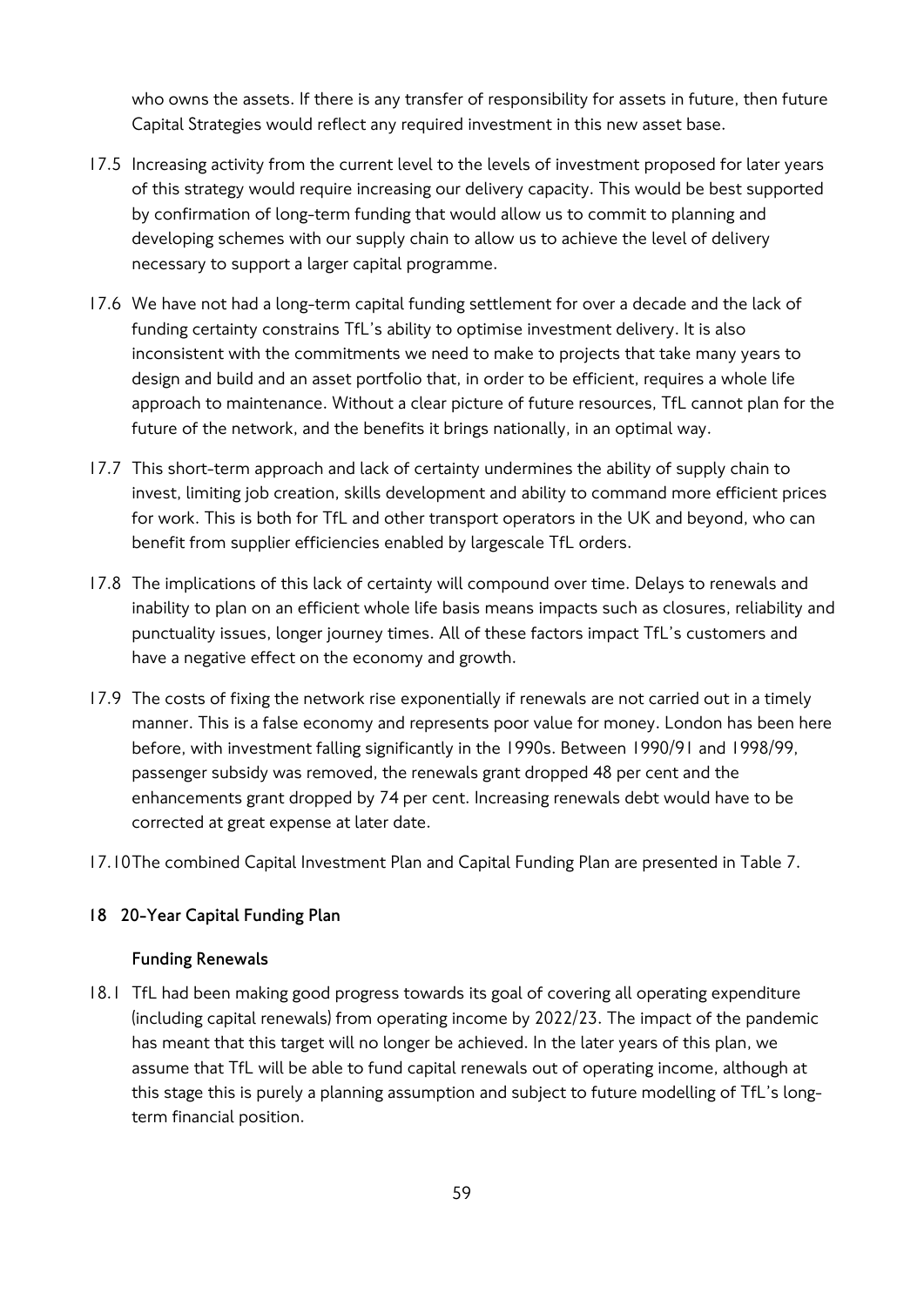who owns the assets. If there is any transfer of responsibility for assets in future, then future Capital Strategies would reflect any required investment in this new asset base.

- 17.5 Increasing activity from the current level to the levels of investment proposed for later years of this strategy would require increasing our delivery capacity. This would be best supported by confirmation of long-term funding that would allow us to commit to planning and developing schemes with our supply chain to allow us to achieve the level of delivery necessary to support a larger capital programme.
- 17.6 We have not had a long-term capital funding settlement for over a decade and the lack of funding certainty constrains TfL's ability to optimise investment delivery. It is also inconsistent with the commitments we need to make to projects that take many years to design and build and an asset portfolio that, in order to be efficient, requires a whole life approach to maintenance. Without a clear picture of future resources, TfL cannot plan for the future of the network, and the benefits it brings nationally, in an optimal way.
- 17.7 This short-term approach and lack of certainty undermines the ability of supply chain to invest, limiting job creation, skills development and ability to command more efficient prices for work. This is both for TfL and other transport operators in the UK and beyond, who can benefit from supplier efficiencies enabled by largescale TfL orders.
- 17.8 The implications of this lack of certainty will compound over time. Delays to renewals and inability to plan on an efficient whole life basis means impacts such as closures, reliability and punctuality issues, longer journey times. All of these factors impact TfL's customers and have a negative effect on the economy and growth.
- 17.9 The costs of fixing the network rise exponentially if renewals are not carried out in a timely manner. This is a false economy and represents poor value for money. London has been here before, with investment falling significantly in the 1990s. Between 1990/91 and 1998/99, passenger subsidy was removed, the renewals grant dropped 48 per cent and the enhancements grant dropped by 74 per cent. Increasing renewals debt would have to be corrected at great expense at later date.
- 17.10The combined Capital Investment Plan and Capital Funding Plan are presented in Table 7.

## **18 20-Year Capital Funding Plan**

#### **Funding Renewals**

18.1 TfL had been making good progress towards its goal of covering all operating expenditure (including capital renewals) from operating income by 2022/23. The impact of the pandemic has meant that this target will no longer be achieved. In the later years of this plan, we assume that TfL will be able to fund capital renewals out of operating income, although at this stage this is purely a planning assumption and subject to future modelling of TfL's longterm financial position.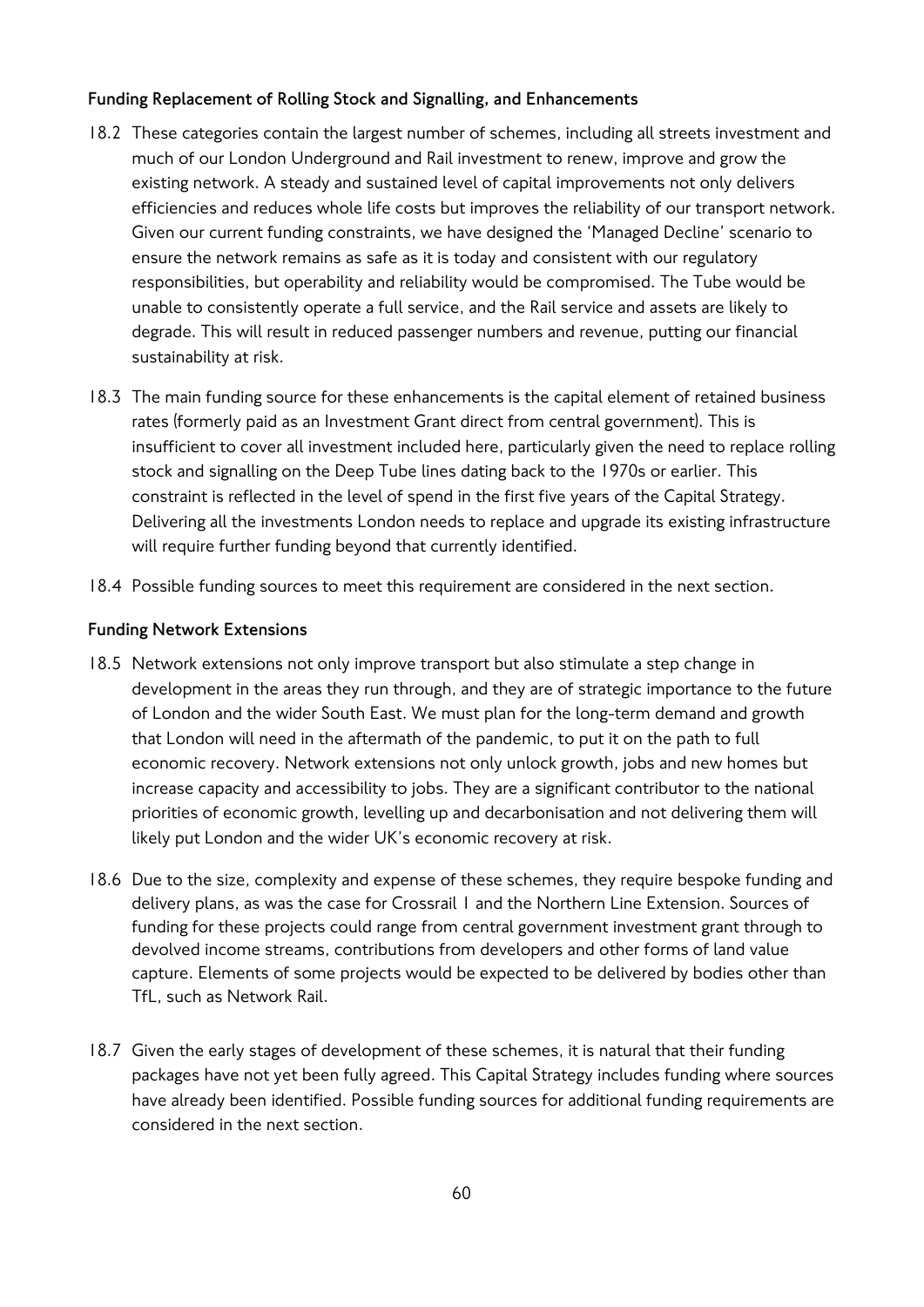## **Funding Replacement of Rolling Stock and Signalling, and Enhancements**

- 18.2 These categories contain the largest number of schemes, including all streets investment and much of our London Underground and Rail investment to renew, improve and grow the existing network. A steady and sustained level of capital improvements not only delivers efficiencies and reduces whole life costs but improves the reliability of our transport network. Given our current funding constraints, we have designed the 'Managed Decline' scenario to ensure the network remains as safe as it is today and consistent with our regulatory responsibilities, but operability and reliability would be compromised. The Tube would be unable to consistently operate a full service, and the Rail service and assets are likely to degrade. This will result in reduced passenger numbers and revenue, putting our financial sustainability at risk.
- 18.3 The main funding source for these enhancements is the capital element of retained business rates (formerly paid as an Investment Grant direct from central government). This is insufficient to cover all investment included here, particularly given the need to replace rolling stock and signalling on the Deep Tube lines dating back to the 1970s or earlier. This constraint is reflected in the level of spend in the first five years of the Capital Strategy. Delivering all the investments London needs to replace and upgrade its existing infrastructure will require further funding beyond that currently identified.
- 18.4 Possible funding sources to meet this requirement are considered in the next section.

## **Funding Network Extensions**

- 18.5 Network extensions not only improve transport but also stimulate a step change in development in the areas they run through, and they are of strategic importance to the future of London and the wider South East. We must plan for the long-term demand and growth that London will need in the aftermath of the pandemic, to put it on the path to full economic recovery. Network extensions not only unlock growth, jobs and new homes but increase capacity and accessibility to jobs. They are a significant contributor to the national priorities of economic growth, levelling up and decarbonisation and not delivering them will likely put London and the wider UK's economic recovery at risk.
- 18.6 Due to the size, complexity and expense of these schemes, they require bespoke funding and delivery plans, as was the case for Crossrail 1 and the Northern Line Extension. Sources of funding for these projects could range from central government investment grant through to devolved income streams, contributions from developers and other forms of land value capture. Elements of some projects would be expected to be delivered by bodies other than TfL, such as Network Rail.
- 18.7 Given the early stages of development of these schemes, it is natural that their funding packages have not yet been fully agreed. This Capital Strategy includes funding where sources have already been identified. Possible funding sources for additional funding requirements are considered in the next section.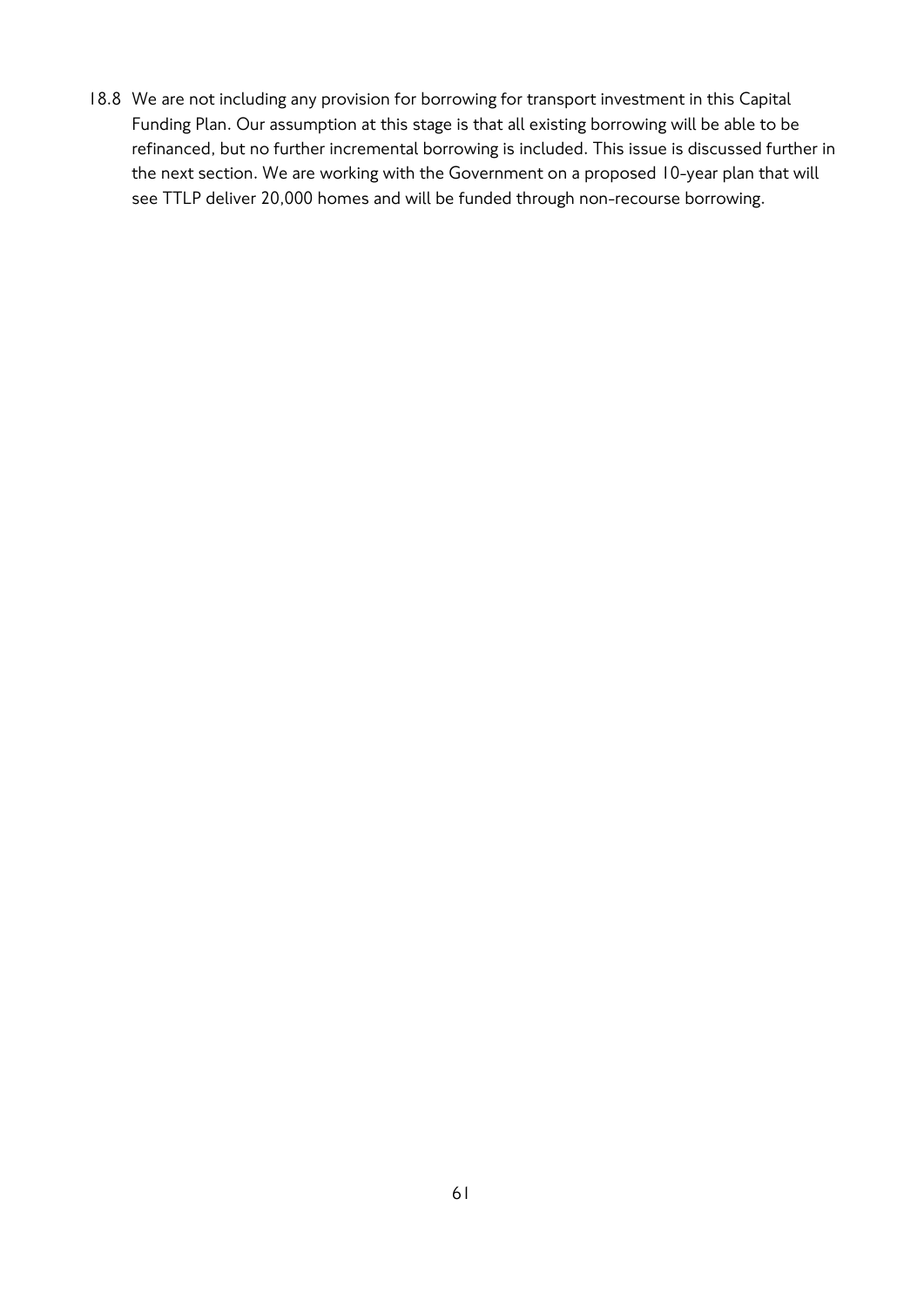18.8 We are not including any provision for borrowing for transport investment in this Capital Funding Plan. Our assumption at this stage is that all existing borrowing will be able to be refinanced, but no further incremental borrowing is included. This issue is discussed further in the next section. We are working with the Government on a proposed 10-year plan that will see TTLP deliver 20,000 homes and will be funded through non-recourse borrowing.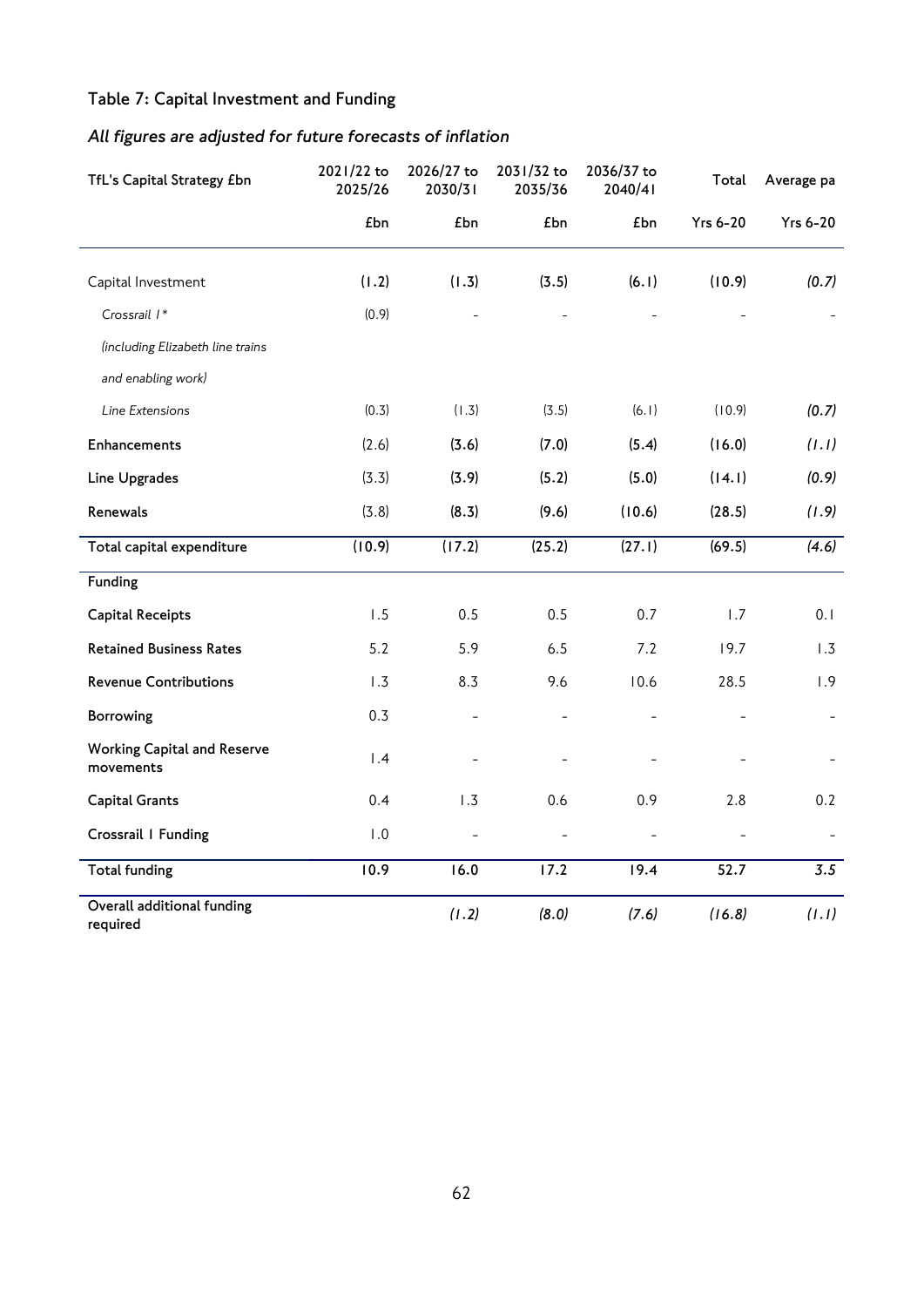# **Table 7: Capital Investment and Funding**

# *All figures are adjusted for future forecasts of inflation*

| TfL's Capital Strategy £bn                      | 2021/22 to<br>2025/26 | 2026/27 to<br>2030/31 | 2031/32 to<br>2035/36 | 2036/37 to<br>2040/41 | Total           | Average pa      |
|-------------------------------------------------|-----------------------|-----------------------|-----------------------|-----------------------|-----------------|-----------------|
|                                                 | £bn                   | £bn                   | £bn                   | £bn                   | <b>Yrs 6-20</b> | <b>Yrs 6-20</b> |
| Capital Investment                              | (1.2)                 | (1.3)                 | (3.5)                 | (6.1)                 | (10.9)          | (0.7)           |
| Crossrail I*                                    | (0.9)                 |                       |                       |                       |                 |                 |
| (including Elizabeth line trains                |                       |                       |                       |                       |                 |                 |
| and enabling work)                              |                       |                       |                       |                       |                 |                 |
| Line Extensions                                 | (0.3)                 | (1.3)                 | (3.5)                 | (6.1)                 | (10.9)          | (0.7)           |
| Enhancements                                    | (2.6)                 | (3.6)                 | (7.0)                 | (5.4)                 | (16.0)          | (1.1)           |
| Line Upgrades                                   | (3.3)                 | (3.9)                 | (5.2)                 | (5.0)                 | (14.1)          | (0.9)           |
| Renewals                                        | (3.8)                 | (8.3)                 | (9.6)                 | (10.6)                | (28.5)          | (1.9)           |
| Total capital expenditure                       | (10.9)                | (17.2)                | (25.2)                | (27.1)                | (69.5)          | (4.6)           |
| Funding                                         |                       |                       |                       |                       |                 |                 |
| <b>Capital Receipts</b>                         | 1.5                   | 0.5                   | 0.5                   | 0.7                   | 1.7             | 0.1             |
| <b>Retained Business Rates</b>                  | 5.2                   | 5.9                   | 6.5                   | 7.2                   | 19.7            | 1.3             |
| <b>Revenue Contributions</b>                    | 1.3                   | 8.3                   | 9.6                   | 10.6                  | 28.5            | 1.9             |
| Borrowing                                       | 0.3                   |                       |                       |                       |                 |                 |
| <b>Working Capital and Reserve</b><br>movements | 1.4                   |                       |                       |                       |                 |                 |
| <b>Capital Grants</b>                           | 0.4                   | 1.3                   | 0.6                   | 0.9                   | 2.8             | 0.2             |
| Crossrail I Funding                             | 1.0                   |                       |                       |                       |                 |                 |
| <b>Total funding</b>                            | 10.9                  | 16.0                  | $\overline{17.2}$     | 19.4                  | 52.7            | 3.5             |
| Overall additional funding<br>required          |                       | (1.2)                 | (8.0)                 | (7.6)                 | (16.8)          | (1.1)           |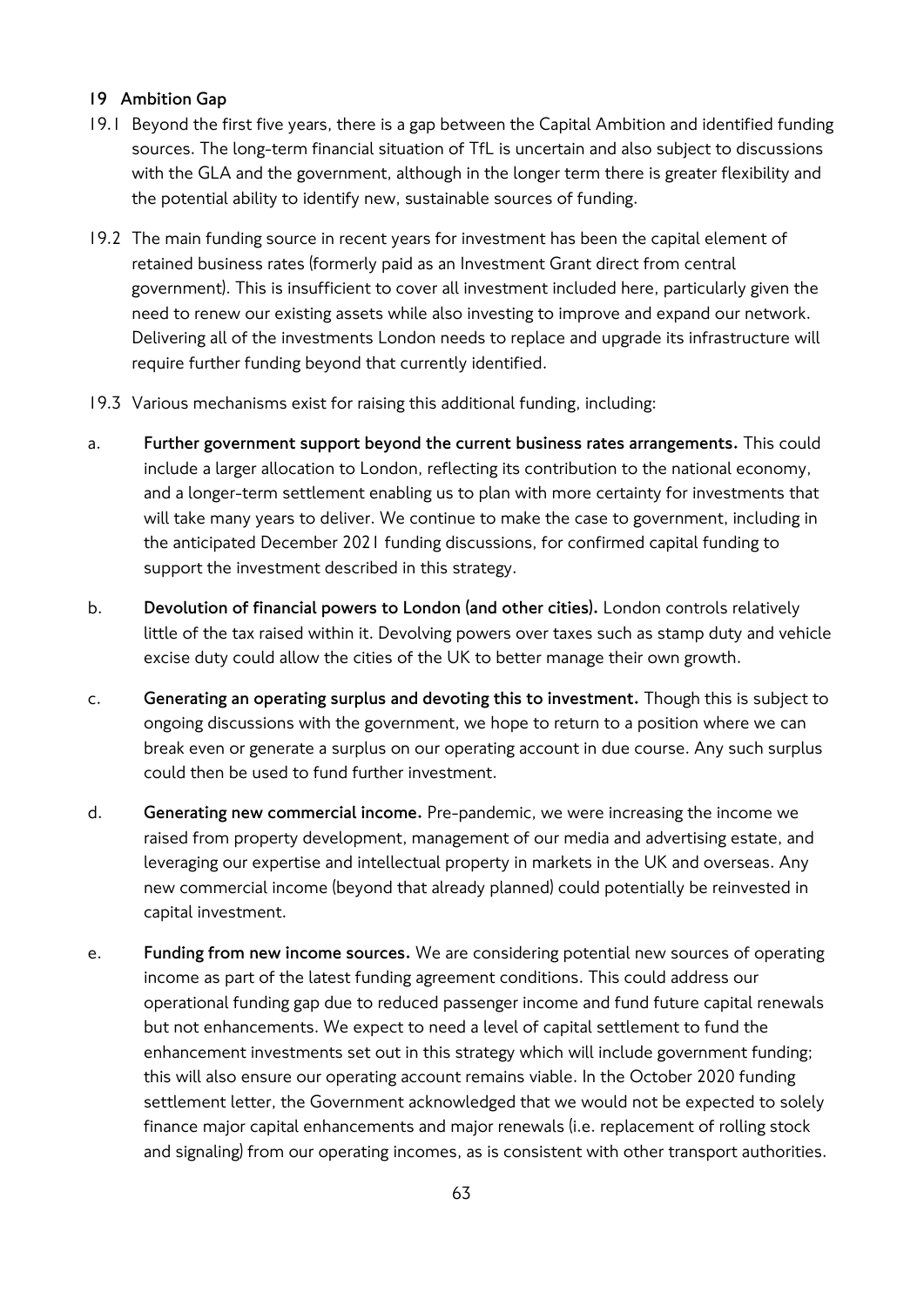## **19 Ambition Gap**

- 19.1 Beyond the first five years, there is a gap between the Capital Ambition and identified funding sources. The long-term financial situation of TfL is uncertain and also subject to discussions with the GLA and the government, although in the longer term there is greater flexibility and the potential ability to identify new, sustainable sources of funding.
- 19.2 The main funding source in recent years for investment has been the capital element of retained business rates (formerly paid as an Investment Grant direct from central government). This is insufficient to cover all investment included here, particularly given the need to renew our existing assets while also investing to improve and expand our network. Delivering all of the investments London needs to replace and upgrade its infrastructure will require further funding beyond that currently identified.
- 19.3 Various mechanisms exist for raising this additional funding, including:
- a. **Further government support beyond the current business rates arrangements.** This could include a larger allocation to London, reflecting its contribution to the national economy, and a longer-term settlement enabling us to plan with more certainty for investments that will take many years to deliver. We continue to make the case to government, including in the anticipated December 2021 funding discussions, for confirmed capital funding to support the investment described in this strategy.
- b. **Devolution of financial powers to London (and other cities).** London controls relatively little of the tax raised within it. Devolving powers over taxes such as stamp duty and vehicle excise duty could allow the cities of the UK to better manage their own growth.
- c. **Generating an operating surplus and devoting this to investment.** Though this is subject to ongoing discussions with the government, we hope to return to a position where we can break even or generate a surplus on our operating account in due course. Any such surplus could then be used to fund further investment.
- d. **Generating new commercial income.** Pre-pandemic, we were increasing the income we raised from property development, management of our media and advertising estate, and leveraging our expertise and intellectual property in markets in the UK and overseas. Any new commercial income (beyond that already planned) could potentially be reinvested in capital investment.
- e. **Funding from new income sources.** We are considering potential new sources of operating income as part of the latest funding agreement conditions. This could address our operational funding gap due to reduced passenger income and fund future capital renewals but not enhancements. We expect to need a level of capital settlement to fund the enhancement investments set out in this strategy which will include government funding; this will also ensure our operating account remains viable. In the October 2020 funding settlement letter, the Government acknowledged that we would not be expected to solely finance major capital enhancements and major renewals (i.e. replacement of rolling stock and signaling) from our operating incomes, as is consistent with other transport authorities.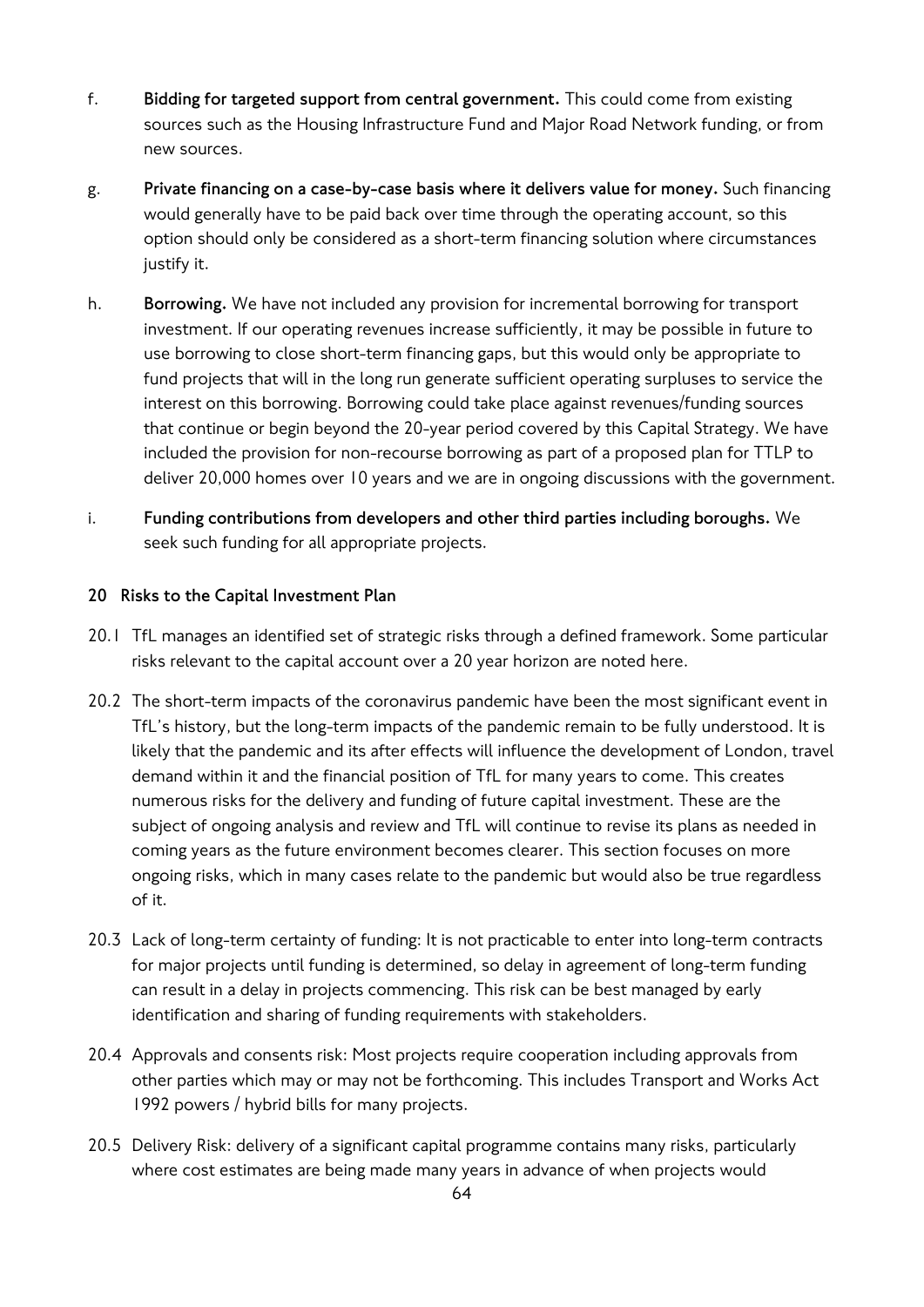- f. **Bidding for targeted support from central government.** This could come from existing sources such as the Housing Infrastructure Fund and Major Road Network funding, or from new sources.
- g. **Private financing on a case-by-case basis where it delivers value for money.** Such financing would generally have to be paid back over time through the operating account, so this option should only be considered as a short-term financing solution where circumstances justify it.
- h. **Borrowing.** We have not included any provision for incremental borrowing for transport investment. If our operating revenues increase sufficiently, it may be possible in future to use borrowing to close short-term financing gaps, but this would only be appropriate to fund projects that will in the long run generate sufficient operating surpluses to service the interest on this borrowing. Borrowing could take place against revenues/funding sources that continue or begin beyond the 20-year period covered by this Capital Strategy. We have included the provision for non-recourse borrowing as part of a proposed plan for TTLP to deliver 20,000 homes over 10 years and we are in ongoing discussions with the government.
- i. **Funding contributions from developers and other third parties including boroughs.** We seek such funding for all appropriate projects.

## **20 Risks to the Capital Investment Plan**

- 20.1 TfL manages an identified set of strategic risks through a defined framework. Some particular risks relevant to the capital account over a 20 year horizon are noted here.
- 20.2 The short-term impacts of the coronavirus pandemic have been the most significant event in TfL's history, but the long-term impacts of the pandemic remain to be fully understood. It is likely that the pandemic and its after effects will influence the development of London, travel demand within it and the financial position of TfL for many years to come. This creates numerous risks for the delivery and funding of future capital investment. These are the subject of ongoing analysis and review and TfL will continue to revise its plans as needed in coming years as the future environment becomes clearer. This section focuses on more ongoing risks, which in many cases relate to the pandemic but would also be true regardless of it.
- 20.3 Lack of long-term certainty of funding: It is not practicable to enter into long-term contracts for major projects until funding is determined, so delay in agreement of long-term funding can result in a delay in projects commencing. This risk can be best managed by early identification and sharing of funding requirements with stakeholders.
- 20.4 Approvals and consents risk: Most projects require cooperation including approvals from other parties which may or may not be forthcoming. This includes Transport and Works Act 1992 powers / hybrid bills for many projects.
- 20.5 Delivery Risk: delivery of a significant capital programme contains many risks, particularly where cost estimates are being made many years in advance of when projects would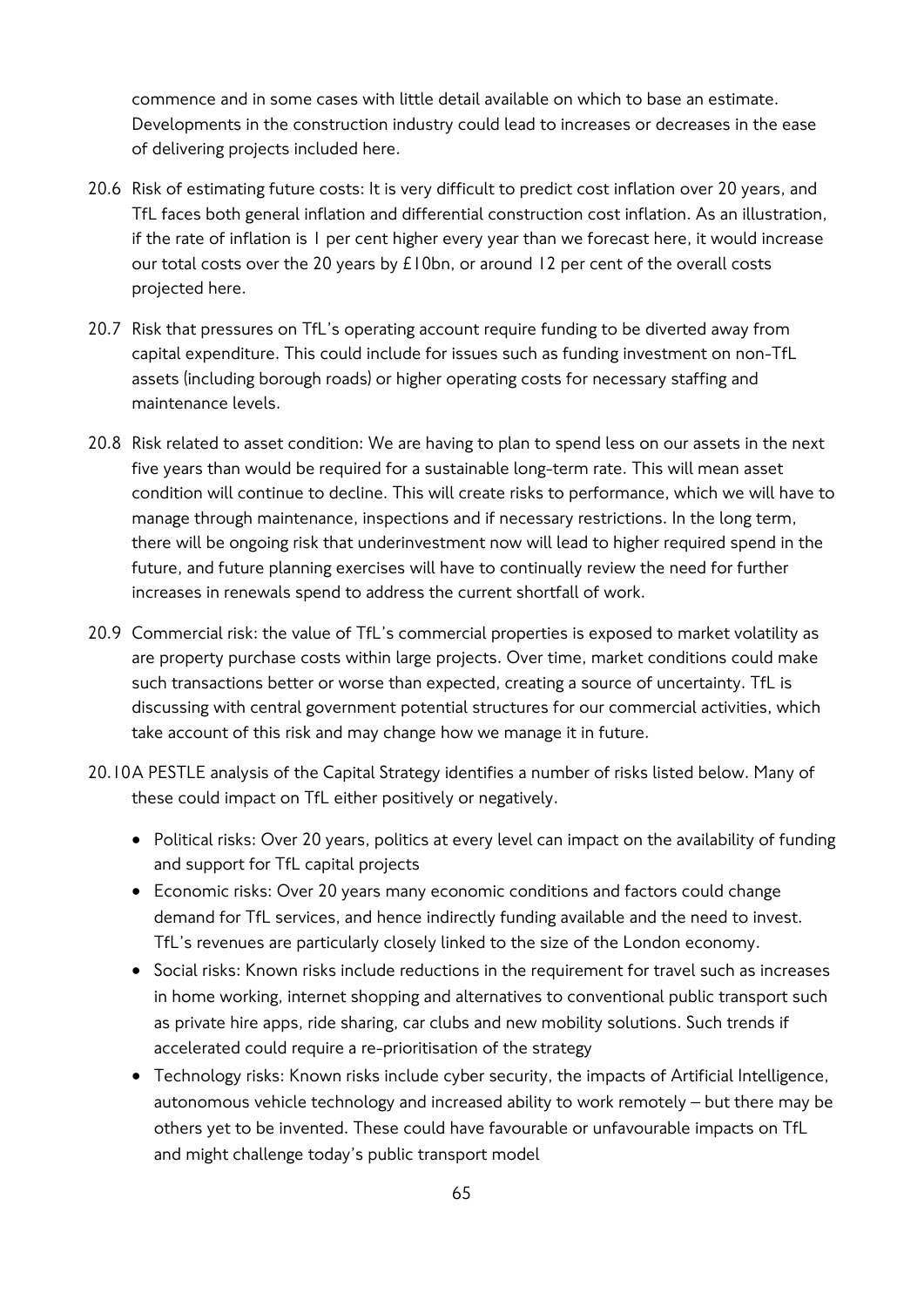commence and in some cases with little detail available on which to base an estimate. Developments in the construction industry could lead to increases or decreases in the ease of delivering projects included here.

- 20.6 Risk of estimating future costs: It is very difficult to predict cost inflation over 20 years, and TfL faces both general inflation and differential construction cost inflation. As an illustration, if the rate of inflation is 1 per cent higher every year than we forecast here, it would increase our total costs over the 20 years by £10bn, or around 12 per cent of the overall costs projected here.
- 20.7 Risk that pressures on TfL's operating account require funding to be diverted away from capital expenditure. This could include for issues such as funding investment on non-TfL assets (including borough roads) or higher operating costs for necessary staffing and maintenance levels.
- 20.8 Risk related to asset condition: We are having to plan to spend less on our assets in the next five years than would be required for a sustainable long-term rate. This will mean asset condition will continue to decline. This will create risks to performance, which we will have to manage through maintenance, inspections and if necessary restrictions. In the long term, there will be ongoing risk that underinvestment now will lead to higher required spend in the future, and future planning exercises will have to continually review the need for further increases in renewals spend to address the current shortfall of work.
- 20.9 Commercial risk: the value of TfL's commercial properties is exposed to market volatility as are property purchase costs within large projects. Over time, market conditions could make such transactions better or worse than expected, creating a source of uncertainty. TfL is discussing with central government potential structures for our commercial activities, which take account of this risk and may change how we manage it in future.
- 20.10A PESTLE analysis of the Capital Strategy identifies a number of risks listed below. Many of these could impact on TfL either positively or negatively.
	- Political risks: Over 20 years, politics at every level can impact on the availability of funding and support for TfL capital projects
	- Economic risks: Over 20 years many economic conditions and factors could change demand for TfL services, and hence indirectly funding available and the need to invest. TfL's revenues are particularly closely linked to the size of the London economy.
	- Social risks: Known risks include reductions in the requirement for travel such as increases in home working, internet shopping and alternatives to conventional public transport such as private hire apps, ride sharing, car clubs and new mobility solutions. Such trends if accelerated could require a re-prioritisation of the strategy
	- Technology risks: Known risks include cyber security, the impacts of Artificial Intelligence, autonomous vehicle technology and increased ability to work remotely – but there may be others yet to be invented. These could have favourable or unfavourable impacts on TfL and might challenge today's public transport model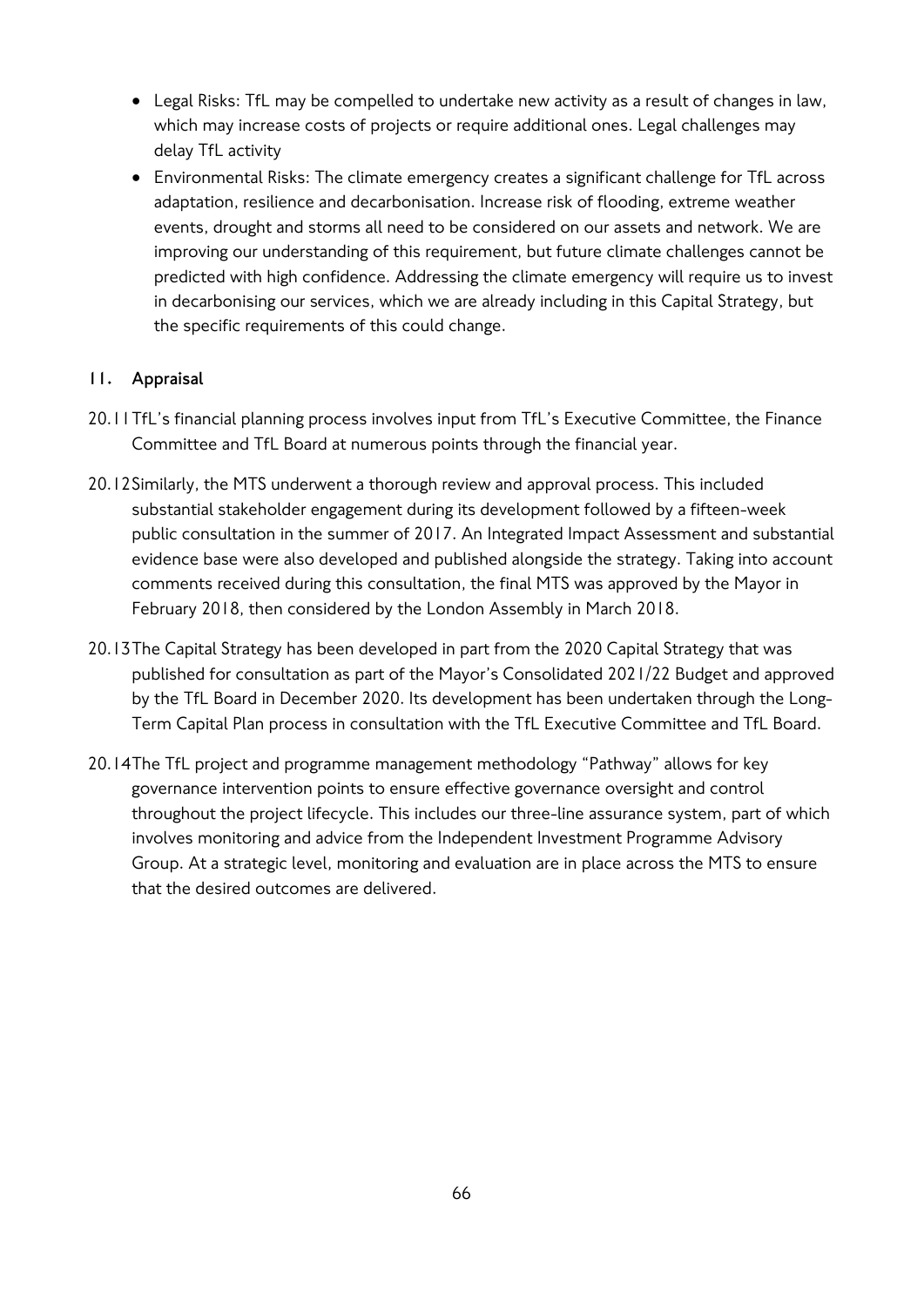- Legal Risks: TfL may be compelled to undertake new activity as a result of changes in law, which may increase costs of projects or require additional ones. Legal challenges may delay TfL activity
- Environmental Risks: The climate emergency creates a significant challenge for TfL across adaptation, resilience and decarbonisation. Increase risk of flooding, extreme weather events, drought and storms all need to be considered on our assets and network. We are improving our understanding of this requirement, but future climate challenges cannot be predicted with high confidence. Addressing the climate emergency will require us to invest in decarbonising our services, which we are already including in this Capital Strategy, but the specific requirements of this could change.

## **11. Appraisal**

- 20.11TfL's financial planning process involves input from TfL's Executive Committee, the Finance Committee and TfL Board at numerous points through the financial year.
- 20.12Similarly, the MTS underwent a thorough review and approval process. This included substantial stakeholder engagement during its development followed by a fifteen-week public consultation in the summer of 2017. An Integrated Impact Assessment and substantial evidence base were also developed and published alongside the strategy. Taking into account comments received during this consultation, the final MTS was approved by the Mayor in February 2018, then considered by the London Assembly in March 2018.
- 20.13The Capital Strategy has been developed in part from the 2020 Capital Strategy that was published for consultation as part of the Mayor's Consolidated 2021/22 Budget and approved by the TfL Board in December 2020. Its development has been undertaken through the Long-Term Capital Plan process in consultation with the TfL Executive Committee and TfL Board.
- 20.14The TfL project and programme management methodology "Pathway" allows for key governance intervention points to ensure effective governance oversight and control throughout the project lifecycle. This includes our three-line assurance system, part of which involves monitoring and advice from the Independent Investment Programme Advisory Group. At a strategic level, monitoring and evaluation are in place across the MTS to ensure that the desired outcomes are delivered.